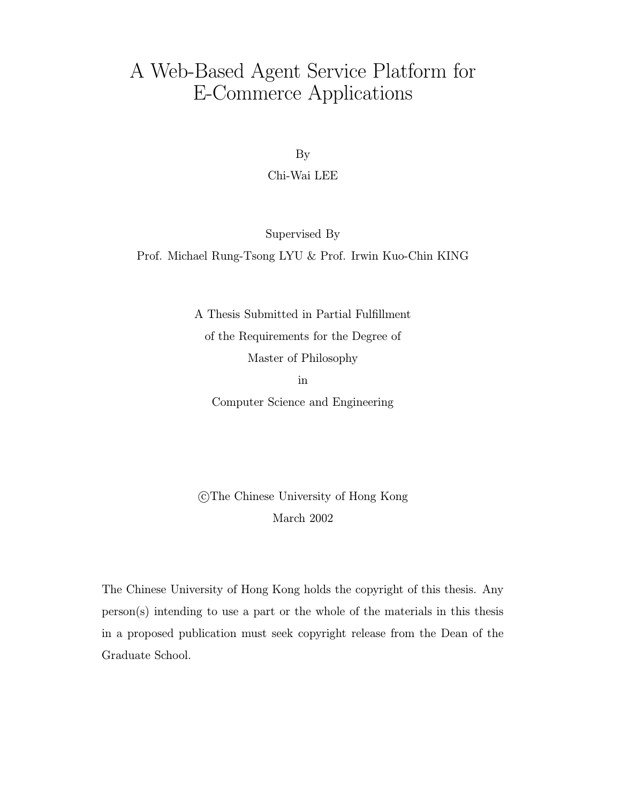# A Web-Based Agent Service Platform for E-Commerce Applications

By

Chi-Wai LEE

Supervised By

Prof. Michael Rung-Tsong LYU & Prof. Irwin Kuo-Chin KING

A Thesis Submitted in Partial Fulfillment of the Requirements for the Degree of Master of Philosophy

in

Computer Science and Engineering

 c The Chinese University of Hong Kong March 2002

The Chinese University of Hong Kong holds the copyright of this thesis. Any person(s) intending to use a part or the whole of the materials in this thesis in a proposed publication must seek copyright release from the Dean of the Graduate School.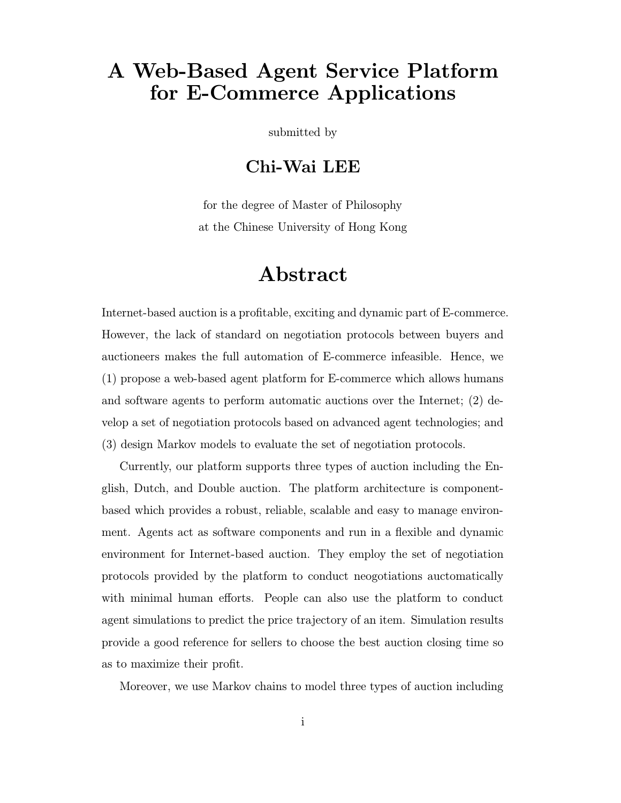## A Web-Based Agent Service Platform for E-Commerce Applications

submitted by

## Chi-Wai LEE

for the degree of Master of Philosophy at the Chinese University of Hong Kong

## Abstract

Internet-based auction is a profitable, exciting and dynamic part of E-commerce. However, the lack of standard on negotiation protocols between buyers and auctioneers makes the full automation of E-commerce infeasible. Hence, we (1) propose a web-based agent platform for E-commerce which allows humans and software agents to perform automatic auctions over the Internet;  $(2)$  develop a set of negotiation protocols based on advanced agent technologies; and (3) design Markov models to evaluate the set of negotiation protocols.

Currently, our platform supports three types of auction including the English, Dutch, and Double auction. The platform architecture is componentbased which provides a robust, reliable, scalable and easy to manage environment. Agents act as software components and run in a flexible and dynamic environment for Internet-based auction. They employ the set of negotiation protocols provided by the platform to conduct neogotiations auctomatically with minimal human efforts. People can also use the platform to conduct agent simulations to predict the price trajectory of an item. Simulation results provide a good reference for sellers to choose the best auction closing time so as to maximize their profit.

Moreover, we use Markov chains to model three types of auction including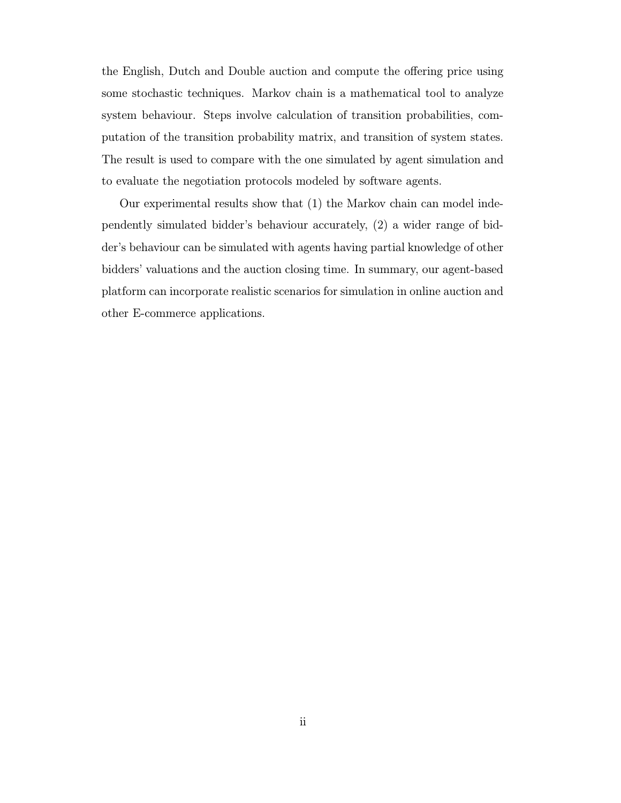the English, Dutch and Double auction and compute the offering price using some stochastic techniques. Markov chain is a mathematical tool to analyze system behaviour. Steps involve calculation of transition probabilities, computation of the transition probability matrix, and transition of system states. The result is used to compare with the one simulated by agent simulation and to evaluate the negotiation protocols modeled by software agents.

Our experimental results show that (1) the Markov chain can model independently simulated bidder's behaviour accurately, (2) a wider range of bidder's behaviour can be simulated with agents having partial knowledge of other bidders' valuations and the auction closing time. In summary, our agent-based platform can incorporate realistic scenarios for simulation in online auction and other E-commerce applications.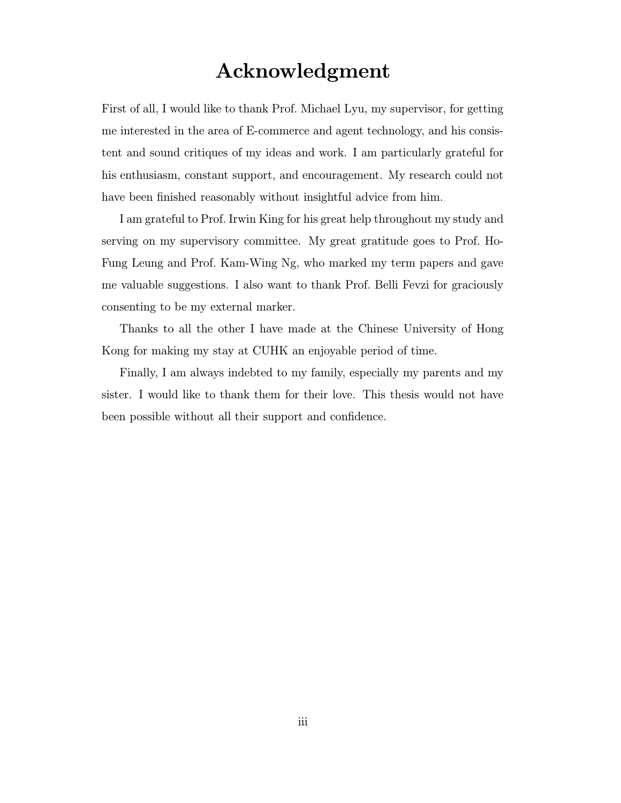## Acknowledgment

First of all, I would like to thank Prof. Michael Lyu, my supervisor, for getting me interested in the area of E-commerce and agent technology, and his consistent and sound critiques of my ideas and work. I am particularly grateful for his enthusiasm, constant support, and encouragement. My research could not have been finished reasonably without insightful advice from him.

I am grateful to Prof. Irwin King for his great help throughout my study and serving on my supervisory committee. My great gratitude goes to Prof. Ho-Fung Leung and Prof. Kam-Wing Ng, who marked my term papers and gave me valuable suggestions. I also want to thank Prof. Belli Fevzi for graciously consenting to be my external marker.

Thanks to all the other I have made at the Chinese University of Hong Kong for making my stay at CUHK an enjoyable period of time.

Finally, I am always indebted to my family, especially my parents and my sister. I would like to thank them for their love. This thesis would not have been possible without all their support and confidence.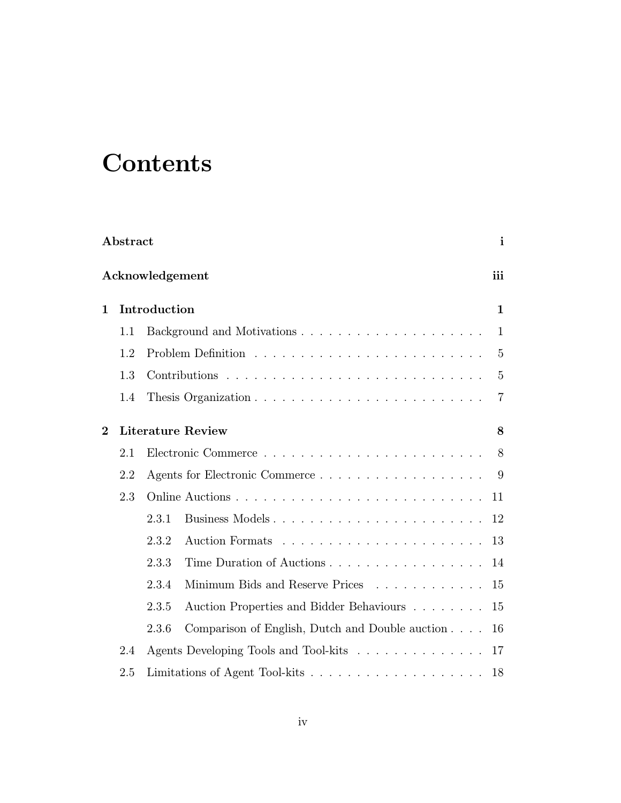# **Contents**

|                | Abstract<br>$\mathbf{i}$ |                 |                                                 |                |  |  |  |  |  |
|----------------|--------------------------|-----------------|-------------------------------------------------|----------------|--|--|--|--|--|
|                |                          | Acknowledgement |                                                 | iii            |  |  |  |  |  |
| $\mathbf 1$    |                          | Introduction    |                                                 | $\mathbf{1}$   |  |  |  |  |  |
|                | 1.1                      |                 |                                                 | $\mathbf{1}$   |  |  |  |  |  |
|                | 1.2                      |                 |                                                 | $\overline{5}$ |  |  |  |  |  |
|                | 1.3                      |                 |                                                 | $\overline{5}$ |  |  |  |  |  |
|                | 1.4                      |                 |                                                 | $\overline{7}$ |  |  |  |  |  |
| $\overline{2}$ |                          |                 | <b>Literature Review</b>                        | 8              |  |  |  |  |  |
|                | 2.1                      |                 |                                                 | 8              |  |  |  |  |  |
|                | 2.2                      |                 |                                                 | 9              |  |  |  |  |  |
|                | 2.3                      |                 |                                                 | 11             |  |  |  |  |  |
|                |                          | 2.3.1           | Business Models                                 | 12             |  |  |  |  |  |
|                |                          | 2.3.2           |                                                 | 13             |  |  |  |  |  |
|                |                          | 2.3.3           | Time Duration of Auctions                       | 14             |  |  |  |  |  |
|                |                          | 2.3.4           | Minimum Bids and Reserve Prices                 | 15             |  |  |  |  |  |
|                |                          | 2.3.5           | Auction Properties and Bidder Behaviours        | 15             |  |  |  |  |  |
|                |                          | 2.3.6           | Comparison of English, Dutch and Double auction | 16             |  |  |  |  |  |
|                | 2.4                      |                 | Agents Developing Tools and Tool-kits           | 17             |  |  |  |  |  |
|                | 2.5                      |                 |                                                 | 18             |  |  |  |  |  |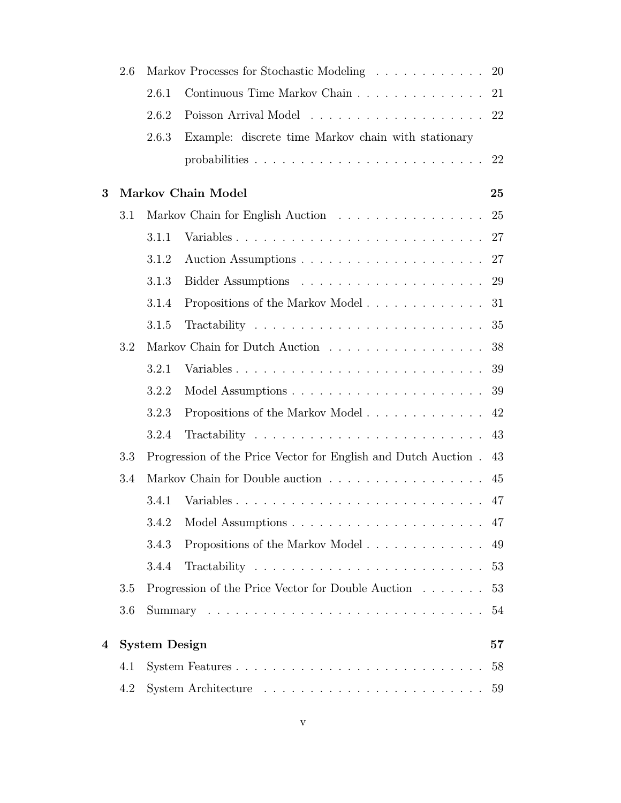|   | 2.6 |                      | Markov Processes for Stochastic Modeling<br>20                 |    |  |  |  |  |  |  |
|---|-----|----------------------|----------------------------------------------------------------|----|--|--|--|--|--|--|
|   |     | 2.6.1                | Continuous Time Markov Chain                                   |    |  |  |  |  |  |  |
|   |     | 2.6.2                |                                                                |    |  |  |  |  |  |  |
|   |     | 2.6.3                | Example: discrete time Markov chain with stationary            |    |  |  |  |  |  |  |
|   |     |                      |                                                                | 22 |  |  |  |  |  |  |
| 3 |     |                      | Markov Chain Model                                             | 25 |  |  |  |  |  |  |
|   | 3.1 |                      |                                                                | 25 |  |  |  |  |  |  |
|   |     | 3.1.1                | Variables                                                      | 27 |  |  |  |  |  |  |
|   |     | 3.1.2                |                                                                |    |  |  |  |  |  |  |
|   |     | 3.1.3                |                                                                | 29 |  |  |  |  |  |  |
|   |     | 3.1.4                | Propositions of the Markov Model                               | 31 |  |  |  |  |  |  |
|   |     | 3.1.5                |                                                                |    |  |  |  |  |  |  |
|   | 3.2 |                      | Markov Chain for Dutch Auction                                 | 38 |  |  |  |  |  |  |
|   |     | 3.2.1                |                                                                | 39 |  |  |  |  |  |  |
|   |     | 3.2.2                |                                                                | 39 |  |  |  |  |  |  |
|   |     | 3.2.3                | Propositions of the Markov Model                               | 42 |  |  |  |  |  |  |
|   |     | 3.2.4                |                                                                | 43 |  |  |  |  |  |  |
|   | 3.3 |                      | Progression of the Price Vector for English and Dutch Auction. | 43 |  |  |  |  |  |  |
|   | 3.4 |                      |                                                                | 45 |  |  |  |  |  |  |
|   |     | 3.4.1                |                                                                | 47 |  |  |  |  |  |  |
|   |     | 3.4.2                |                                                                |    |  |  |  |  |  |  |
|   |     | 3.4.3                | Propositions of the Markov Model                               | 49 |  |  |  |  |  |  |
|   |     | 3.4.4                |                                                                | 53 |  |  |  |  |  |  |
|   | 3.5 |                      | Progression of the Price Vector for Double Auction             | 53 |  |  |  |  |  |  |
|   | 3.6 |                      |                                                                | 54 |  |  |  |  |  |  |
| 4 |     | <b>System Design</b> |                                                                | 57 |  |  |  |  |  |  |
|   | 4.1 |                      |                                                                | 58 |  |  |  |  |  |  |
|   | 4.2 |                      |                                                                | 59 |  |  |  |  |  |  |
|   |     |                      |                                                                |    |  |  |  |  |  |  |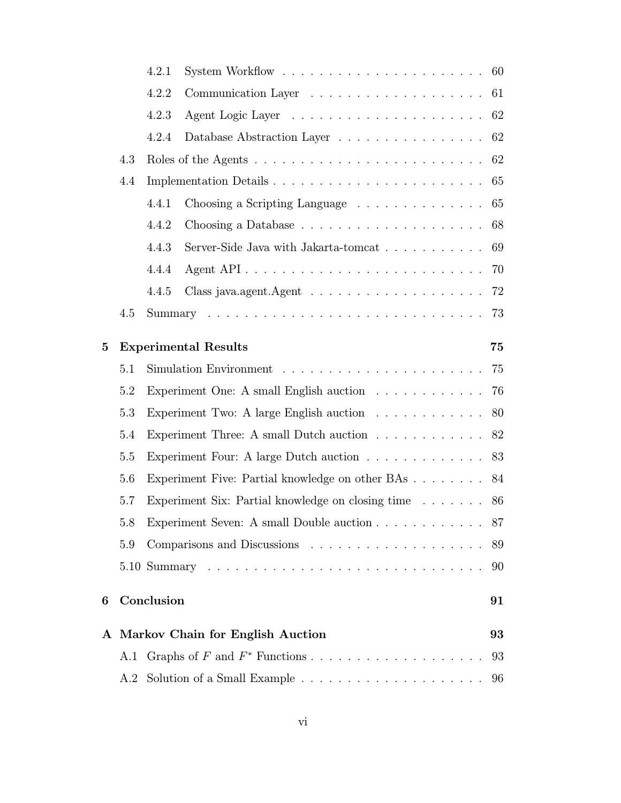|          |     | 4.2.1             |                                                                          |    |  |  |  |  |  |  |
|----------|-----|-------------------|--------------------------------------------------------------------------|----|--|--|--|--|--|--|
|          |     | 4.2.2<br>61<br>62 |                                                                          |    |  |  |  |  |  |  |
| 4.2.3    |     |                   |                                                                          |    |  |  |  |  |  |  |
|          |     | 4.2.4             | Database Abstraction Layer 62                                            |    |  |  |  |  |  |  |
|          | 4.3 |                   |                                                                          | 62 |  |  |  |  |  |  |
|          | 4.4 |                   | Implementation Details                                                   | 65 |  |  |  |  |  |  |
|          |     | 4.4.1             | Choosing a Scripting Language                                            | 65 |  |  |  |  |  |  |
|          |     | 4.4.2             |                                                                          | 68 |  |  |  |  |  |  |
|          |     | 4.4.3             | Server-Side Java with Jakarta-tomcat                                     | 69 |  |  |  |  |  |  |
|          |     | 4.4.4             |                                                                          | 70 |  |  |  |  |  |  |
|          |     | 4.4.5             |                                                                          | 72 |  |  |  |  |  |  |
|          | 4.5 |                   |                                                                          | 73 |  |  |  |  |  |  |
| $\bf{5}$ |     |                   | <b>Experimental Results</b>                                              | 75 |  |  |  |  |  |  |
|          | 5.1 |                   | 75                                                                       |    |  |  |  |  |  |  |
|          | 5.2 |                   | Experiment One: A small English auction                                  | 76 |  |  |  |  |  |  |
|          | 5.3 |                   | Experiment Two: A large English auction                                  | 80 |  |  |  |  |  |  |
|          | 5.4 |                   | Experiment Three: A small Dutch auction $\ldots \ldots \ldots \ldots$ 82 |    |  |  |  |  |  |  |
|          | 5.5 |                   | Experiment Four: A large Dutch auction $\ldots \ldots \ldots \ldots$     | 83 |  |  |  |  |  |  |
|          | 5.6 |                   | Experiment Five: Partial knowledge on other BAs 84                       |    |  |  |  |  |  |  |
|          | 5.7 |                   | Experiment Six: Partial knowledge on closing time $\dots \dots$          | 86 |  |  |  |  |  |  |
|          | 5.8 |                   | Experiment Seven: A small Double auction 87                              |    |  |  |  |  |  |  |
|          | 5.9 |                   |                                                                          | 89 |  |  |  |  |  |  |
|          |     |                   |                                                                          | 90 |  |  |  |  |  |  |
| 6        |     | Conclusion        |                                                                          | 91 |  |  |  |  |  |  |
|          |     |                   | A Markov Chain for English Auction                                       | 93 |  |  |  |  |  |  |
|          |     |                   |                                                                          | 93 |  |  |  |  |  |  |
|          |     |                   |                                                                          |    |  |  |  |  |  |  |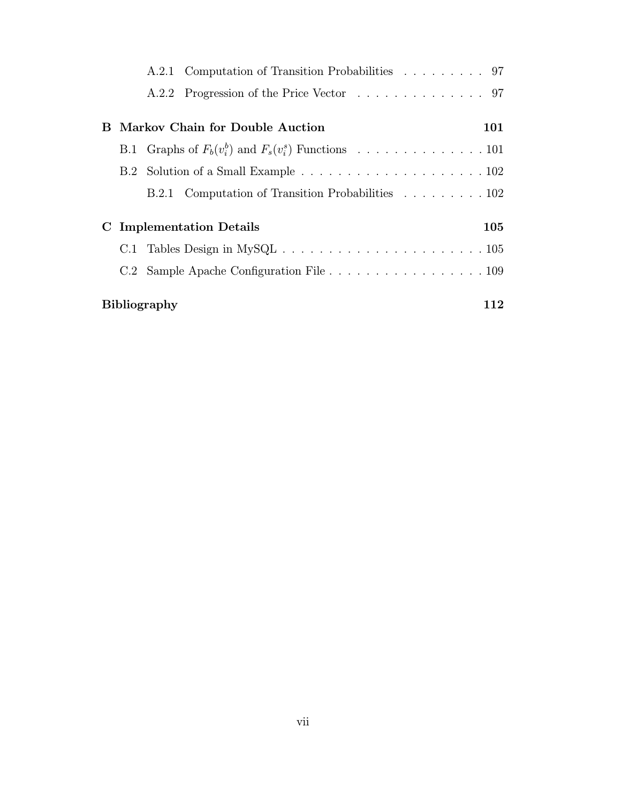|   |                            |  | A.2.1 Computation of Transition Probabilities 97                                                |     |  |  |  |  |
|---|----------------------------|--|-------------------------------------------------------------------------------------------------|-----|--|--|--|--|
|   |                            |  | A.2.2 Progression of the Price Vector 97                                                        |     |  |  |  |  |
|   |                            |  |                                                                                                 |     |  |  |  |  |
| В |                            |  | Markov Chain for Double Auction                                                                 | 101 |  |  |  |  |
|   |                            |  |                                                                                                 |     |  |  |  |  |
|   |                            |  |                                                                                                 |     |  |  |  |  |
|   |                            |  | B.2.1 Computation of Transition Probabilities 102                                               |     |  |  |  |  |
|   |                            |  |                                                                                                 |     |  |  |  |  |
| C |                            |  | <b>Implementation Details</b>                                                                   | 105 |  |  |  |  |
|   |                            |  | C.1 Tables Design in MySQL $\ldots \ldots \ldots \ldots \ldots \ldots \ldots \ldots \ldots 105$ |     |  |  |  |  |
|   |                            |  | C.2 Sample Apache Configuration File 109                                                        |     |  |  |  |  |
|   |                            |  |                                                                                                 |     |  |  |  |  |
|   | <b>Bibliography</b><br>112 |  |                                                                                                 |     |  |  |  |  |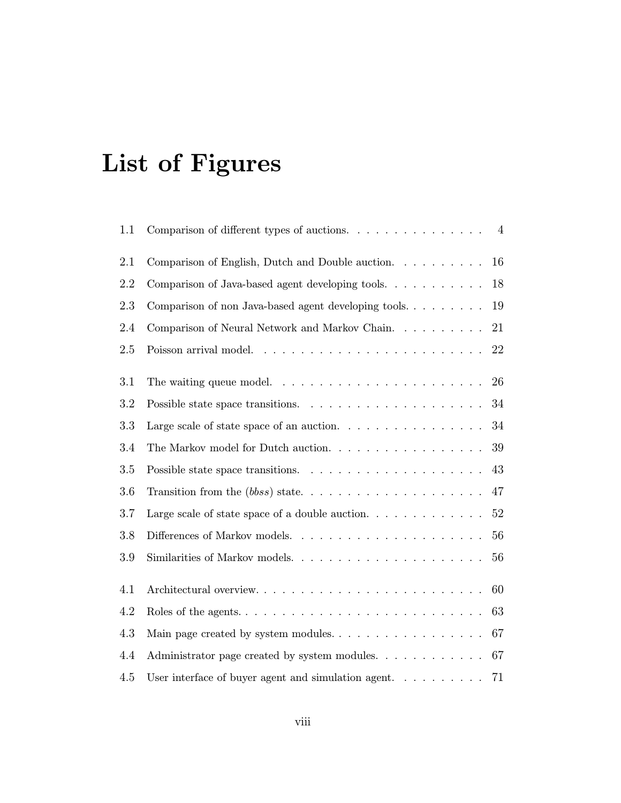# List of Figures

| 1.1 | $\overline{4}$                                                                                 |  |
|-----|------------------------------------------------------------------------------------------------|--|
| 2.1 | Comparison of English, Dutch and Double auction.<br>16                                         |  |
| 2.2 | 18<br>Comparison of Java-based agent developing tools.                                         |  |
| 2.3 | 19<br>Comparison of non Java-based agent developing tools                                      |  |
| 2.4 | 21<br>Comparison of Neural Network and Markov Chain.                                           |  |
| 2.5 | Poisson arrival model. $\ldots \ldots \ldots \ldots \ldots \ldots \ldots \ldots \ldots 22$     |  |
| 3.1 | The waiting queue model. $\ldots \ldots \ldots \ldots \ldots \ldots \ldots$<br>26              |  |
|     |                                                                                                |  |
| 3.2 | Possible state space transitions. $\ldots \ldots \ldots \ldots \ldots \ldots \ldots 34$        |  |
| 3.3 | Large scale of state space of an auction. $\ldots \ldots \ldots \ldots \ldots$<br>-34          |  |
| 3.4 | The Markov model for Dutch auction. $\ldots \ldots \ldots \ldots \ldots \ldots 39$             |  |
| 3.5 | 43                                                                                             |  |
| 3.6 |                                                                                                |  |
| 3.7 | 52                                                                                             |  |
| 3.8 |                                                                                                |  |
| 3.9 | Similarities of Markov models<br>56                                                            |  |
| 4.1 | Architectural overview<br>60                                                                   |  |
| 4.2 | 63<br>Roles of the agents. $\dots \dots \dots \dots \dots \dots \dots \dots \dots \dots \dots$ |  |
| 4.3 | -67                                                                                            |  |
| 4.4 | Administrator page created by system modules. 67                                               |  |
|     |                                                                                                |  |
| 4.5 | User interface of buyer agent and simulation agent. $\ldots$ ,<br>71                           |  |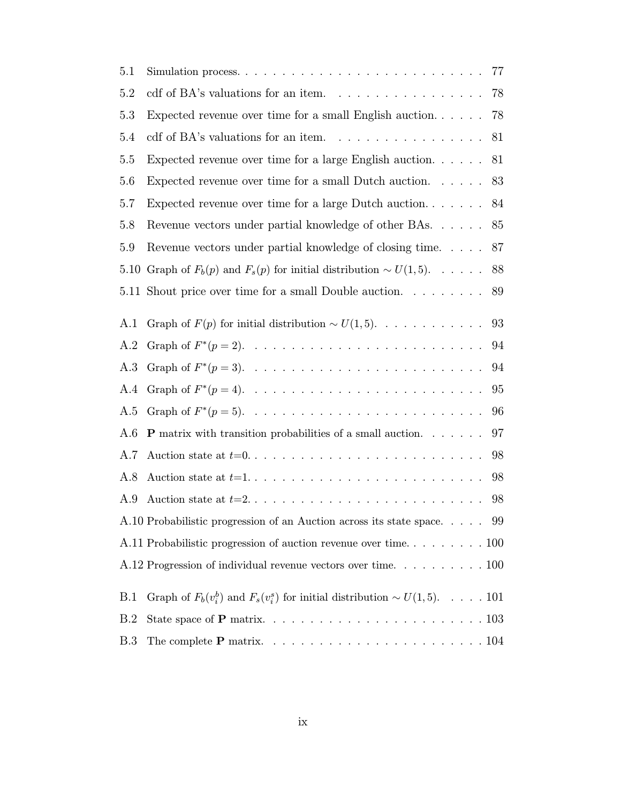| 5.1 |                                                                                     |  |  | 77 |
|-----|-------------------------------------------------------------------------------------|--|--|----|
| 5.2 | cdf of BA's valuations for an item. $\ldots \ldots \ldots \ldots \ldots$            |  |  | 78 |
| 5.3 | Expected revenue over time for a small English auction. $\dots$ .                   |  |  | 78 |
| 5.4 | cdf of BA's valuations for an item. $\ldots \ldots \ldots \ldots \ldots$            |  |  | 81 |
| 5.5 | Expected revenue over time for a large English auction. $\ldots$ .                  |  |  | 81 |
| 5.6 | Expected revenue over time for a small Dutch auction. $\ldots$ .                    |  |  | 83 |
| 5.7 | Expected revenue over time for a large Dutch auction                                |  |  | 84 |
| 5.8 | Revenue vectors under partial knowledge of other BAs                                |  |  | 85 |
| 5.9 | Revenue vectors under partial knowledge of closing time. 87                         |  |  |    |
|     | 5.10 Graph of $F_b(p)$ and $F_s(p)$ for initial distribution $\sim U(1,5)$ 88       |  |  |    |
|     | 5.11 Shout price over time for a small Double auction.                              |  |  | 89 |
|     |                                                                                     |  |  |    |
| A.1 | Graph of $F(p)$ for initial distribution $\sim U(1,5)$ .                            |  |  | 93 |
| A.2 |                                                                                     |  |  | 94 |
| A.3 |                                                                                     |  |  | 94 |
| A.4 |                                                                                     |  |  | 95 |
| A.5 |                                                                                     |  |  | 96 |
| A.6 | <b>P</b> matrix with transition probabilities of a small auction. $\ldots$ .        |  |  | 97 |
| A.7 |                                                                                     |  |  | 98 |
| A.8 |                                                                                     |  |  | 98 |
| A.9 |                                                                                     |  |  | 98 |
|     | A.10 Probabilistic progression of an Auction across its state space 99              |  |  |    |
|     |                                                                                     |  |  |    |
|     |                                                                                     |  |  |    |
|     |                                                                                     |  |  |    |
| B.1 | Graph of $F_b(v_i^b)$ and $F_s(v_i^s)$ for initial distribution $\sim U(1,5)$ . 101 |  |  |    |
| B.2 |                                                                                     |  |  |    |
| B.3 |                                                                                     |  |  |    |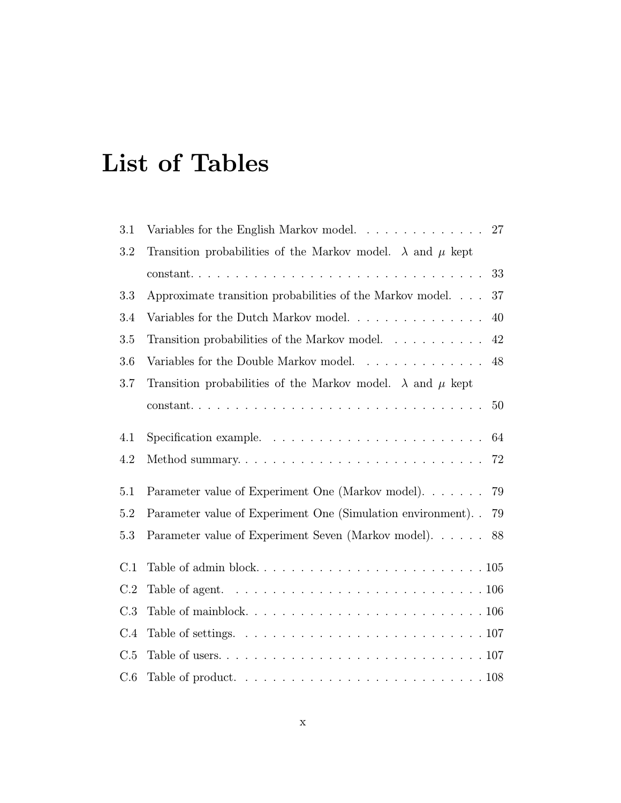# List of Tables

| 3.1 | Variables for the English Markov model<br>27                                                       |
|-----|----------------------------------------------------------------------------------------------------|
| 3.2 | Transition probabilities of the Markov model. $\lambda$ and $\mu$ kept                             |
|     | 33                                                                                                 |
| 3.3 | 37<br>Approximate transition probabilities of the Markov model                                     |
| 3.4 | Variables for the Dutch Markov model<br>40                                                         |
| 3.5 | 42<br>Transition probabilities of the Markov model.                                                |
| 3.6 | Variables for the Double Markov model. $\ldots \ldots \ldots \ldots$<br>48                         |
| 3.7 | Transition probabilities of the Markov model. $\lambda$ and $\mu$ kept                             |
|     | 50                                                                                                 |
| 4.1 | 64                                                                                                 |
| 4.2 | Method summary<br>72                                                                               |
| 5.1 | Parameter value of Experiment One (Markov model). 79                                               |
| 5.2 | Parameter value of Experiment One (Simulation environment). . 79                                   |
| 5.3 | Parameter value of Experiment Seven (Markov model).<br>88                                          |
| C.1 |                                                                                                    |
| C.2 | Table of agent. $\ldots \ldots \ldots \ldots \ldots \ldots \ldots \ldots \ldots \ldots \ldots 106$ |
| C.3 |                                                                                                    |
| C.4 |                                                                                                    |
| C.5 |                                                                                                    |
| C.6 | Table of product. $\ldots \ldots \ldots \ldots \ldots \ldots \ldots \ldots \ldots \ldots 108$      |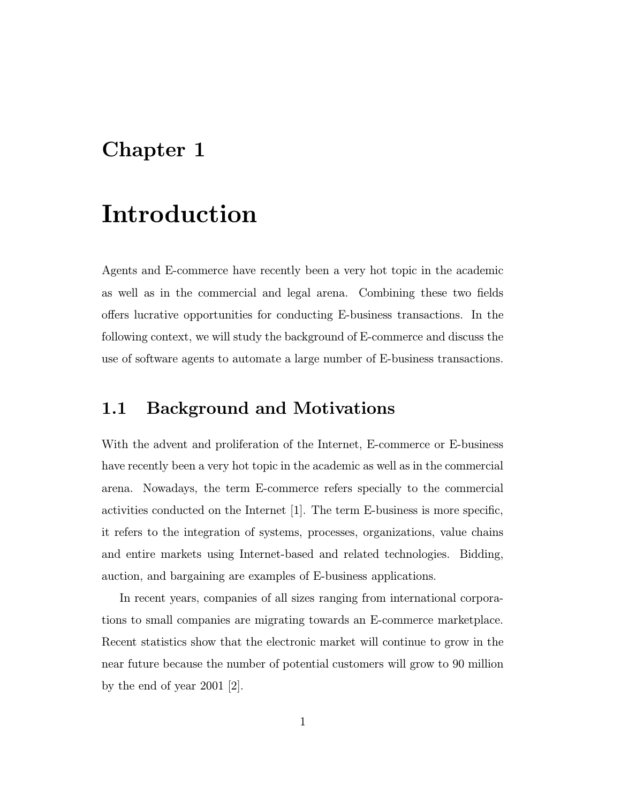## Chapter 1

# Introduction

Agents and E-commerce have recently been a very hot topic in the academic as well as in the commercial and legal arena. Combining these two fields offers lucrative opportunities for conducting E-business transactions. In the following context, we will study the background of E-commerce and discuss the use of software agents to automate a large number of E-business transactions.

## 1.1 Background and Motivations

With the advent and proliferation of the Internet, E-commerce or E-business have recently been a very hot topic in the academic as well as in the commercial arena. Nowadays, the term E-commerce refers specially to the commercial activities conducted on the Internet [1]. The term E-business is more specific, it refers to the integration of systems, processes, organizations, value chains and entire markets using Internet-based and related technologies. Bidding, auction, and bargaining are examples of E-business applications.

In recent years, companies of all sizes ranging from international corporations to small companies are migrating towards an E-commerce marketplace. Recent statistics show that the electronic market will continue to grow in the near future because the number of potential customers will grow to 90 million by the end of year 2001 [2].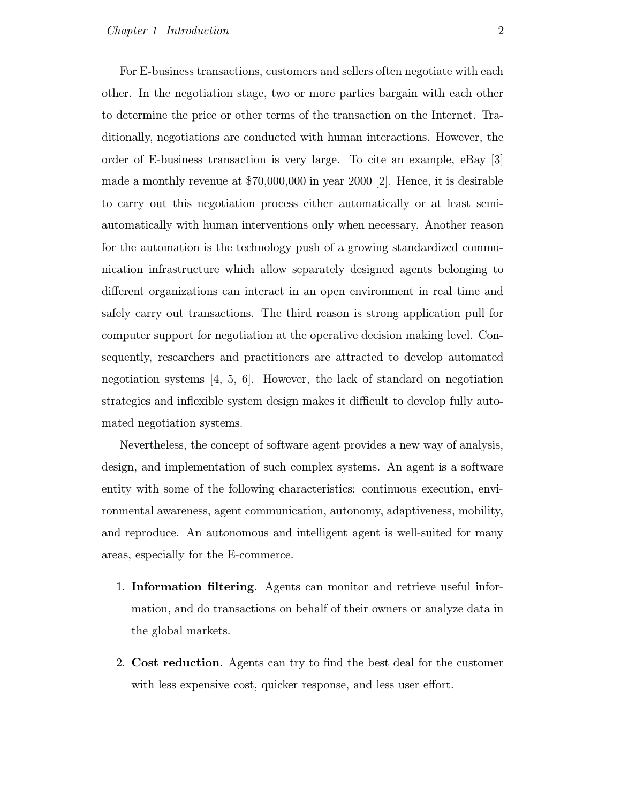For E-business transactions, customers and sellers often negotiate with each other. In the negotiation stage, two or more parties bargain with each other to determine the price or other terms of the transaction on the Internet. Traditionally, negotiations are conducted with human interactions. However, the order of E-business transaction is very large. To cite an example, eBay [3] made a monthly revenue at \$70,000,000 in year 2000 [2]. Hence, it is desirable to carry out this negotiation process either automatically or at least semiautomatically with human interventions only when necessary. Another reason for the automation is the technology push of a growing standardized communication infrastructure which allow separately designed agents belonging to different organizations can interact in an open environment in real time and safely carry out transactions. The third reason is strong application pull for computer support for negotiation at the operative decision making level. Consequently, researchers and practitioners are attracted to develop automated negotiation systems [4, 5, 6]. However, the lack of standard on negotiation strategies and inflexible system design makes it difficult to develop fully automated negotiation systems.

Nevertheless, the concept of software agent provides a new way of analysis, design, and implementation of such complex systems. An agent is a software entity with some of the following characteristics: continuous execution, environmental awareness, agent communication, autonomy, adaptiveness, mobility, and reproduce. An autonomous and intelligent agent is well-suited for many areas, especially for the E-commerce.

- 1. Information filtering. Agents can monitor and retrieve useful information, and do transactions on behalf of their owners or analyze data in the global markets.
- 2. Cost reduction. Agents can try to find the best deal for the customer with less expensive cost, quicker response, and less user effort.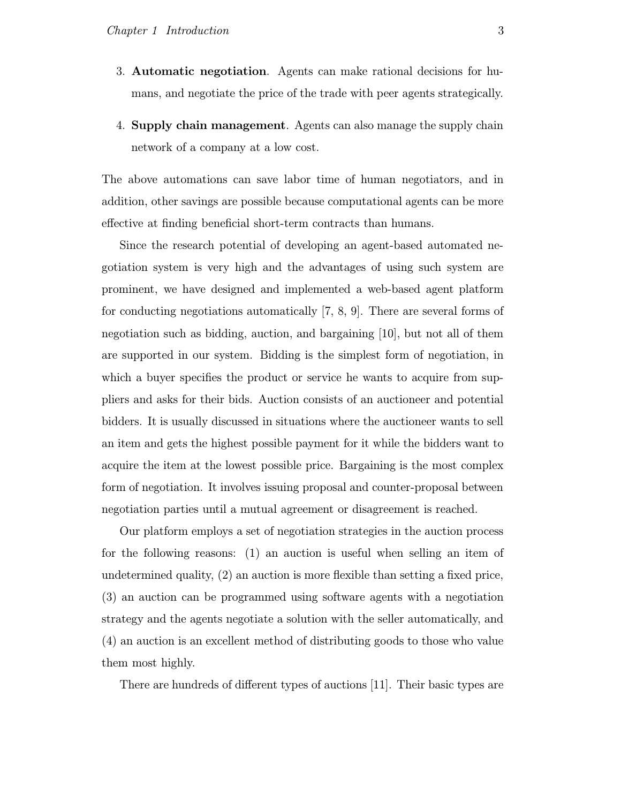- 3. Automatic negotiation. Agents can make rational decisions for humans, and negotiate the price of the trade with peer agents strategically.
- 4. Supply chain management. Agents can also manage the supply chain network of a company at a low cost.

The above automations can save labor time of human negotiators, and in addition, other savings are possible because computational agents can be more effective at finding beneficial short-term contracts than humans.

Since the research potential of developing an agent-based automated negotiation system is very high and the advantages of using such system are prominent, we have designed and implemented a web-based agent platform for conducting negotiations automatically [7, 8, 9]. There are several forms of negotiation such as bidding, auction, and bargaining [10], but not all of them are supported in our system. Bidding is the simplest form of negotiation, in which a buyer specifies the product or service he wants to acquire from suppliers and asks for their bids. Auction consists of an auctioneer and potential bidders. It is usually discussed in situations where the auctioneer wants to sell an item and gets the highest possible payment for it while the bidders want to acquire the item at the lowest possible price. Bargaining is the most complex form of negotiation. It involves issuing proposal and counter-proposal between negotiation parties until a mutual agreement or disagreement is reached.

Our platform employs a set of negotiation strategies in the auction process for the following reasons: (1) an auction is useful when selling an item of undetermined quality, (2) an auction is more flexible than setting a fixed price, (3) an auction can be programmed using software agents with a negotiation strategy and the agents negotiate a solution with the seller automatically, and (4) an auction is an excellent method of distributing goods to those who value them most highly.

There are hundreds of different types of auctions [11]. Their basic types are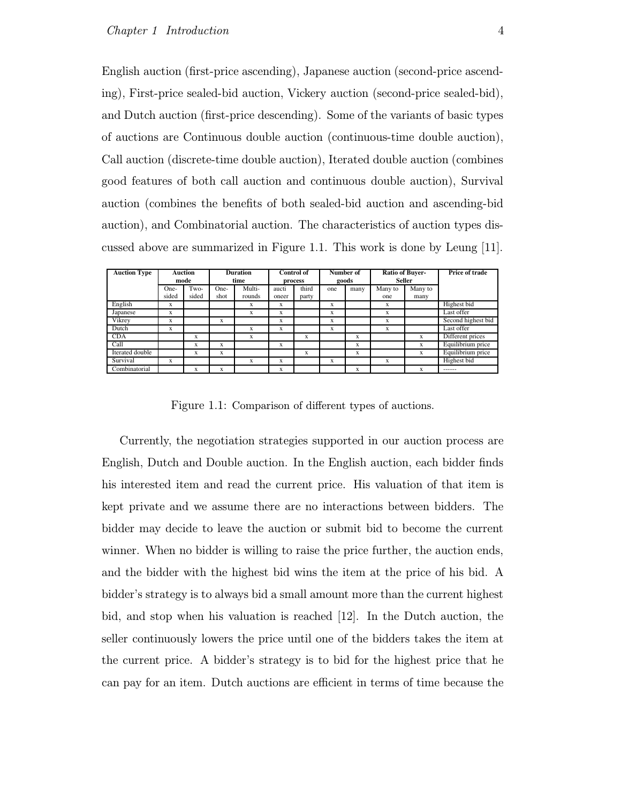English auction (first-price ascending), Japanese auction (second-price ascending), First-price sealed-bid auction, Vickery auction (second-price sealed-bid), and Dutch auction (first-price descending). Some of the variants of basic types of auctions are Continuous double auction (continuous-time double auction), Call auction (discrete-time double auction), Iterated double auction (combines good features of both call auction and continuous double auction), Survival auction (combines the benefits of both sealed-bid auction and ascending-bid auction), and Combinatorial auction. The characteristics of auction types discussed above are summarized in Figure 1.1. This work is done by Leung [11].

| <b>Auction Type</b> |       | <b>Auction</b><br>mode |      | <b>Duration</b><br>time |       | <b>Control of</b><br>process |     | Number of<br>goods |         | <b>Ratio of Buver-</b><br><b>Seller</b> | Price of trade     |
|---------------------|-------|------------------------|------|-------------------------|-------|------------------------------|-----|--------------------|---------|-----------------------------------------|--------------------|
|                     | One-  | Two-                   | One- | Multi-                  | aucti | third                        | one | many               | Many to | Many to                                 |                    |
|                     | sided | sided                  | shot | rounds                  | oneer | party                        |     |                    | one     | many                                    |                    |
| English             | X     |                        |      | x                       | X     |                              | x   |                    | X       |                                         | Highest bid        |
| Japanese            | X     |                        |      | x                       | X     |                              | X   |                    | X       |                                         | Last offer         |
| Vikrev              | X     |                        | X    |                         | X     |                              | X   |                    | X       |                                         | Second highest bid |
| Dutch               | x     |                        |      | X                       | X     |                              | X   |                    | X       |                                         | Last offer         |
| <b>CDA</b>          |       | X                      |      | X                       |       | X                            |     | X                  |         | X                                       | Different prices   |
| Call                |       | X                      | X    |                         | X     |                              |     | X                  |         | X                                       | Equilibrium price  |
| Iterated double     |       | X                      | X    |                         |       | x                            |     | X                  |         | X.                                      | Equilibrium price  |
| Survival            | X     |                        |      | x                       | X     |                              | x   |                    | X       |                                         | Highest bid        |
| Combinatorial       |       | X                      | X    |                         | X     |                              |     | X                  |         | X                                       | ------             |

Figure 1.1: Comparison of different types of auctions.

Currently, the negotiation strategies supported in our auction process are English, Dutch and Double auction. In the English auction, each bidder finds his interested item and read the current price. His valuation of that item is kept private and we assume there are no interactions between bidders. The bidder may decide to leave the auction or submit bid to become the current winner. When no bidder is willing to raise the price further, the auction ends, and the bidder with the highest bid wins the item at the price of his bid. A bidder's strategy is to always bid a small amount more than the current highest bid, and stop when his valuation is reached [12]. In the Dutch auction, the seller continuously lowers the price until one of the bidders takes the item at the current price. A bidder's strategy is to bid for the highest price that he can pay for an item. Dutch auctions are efficient in terms of time because the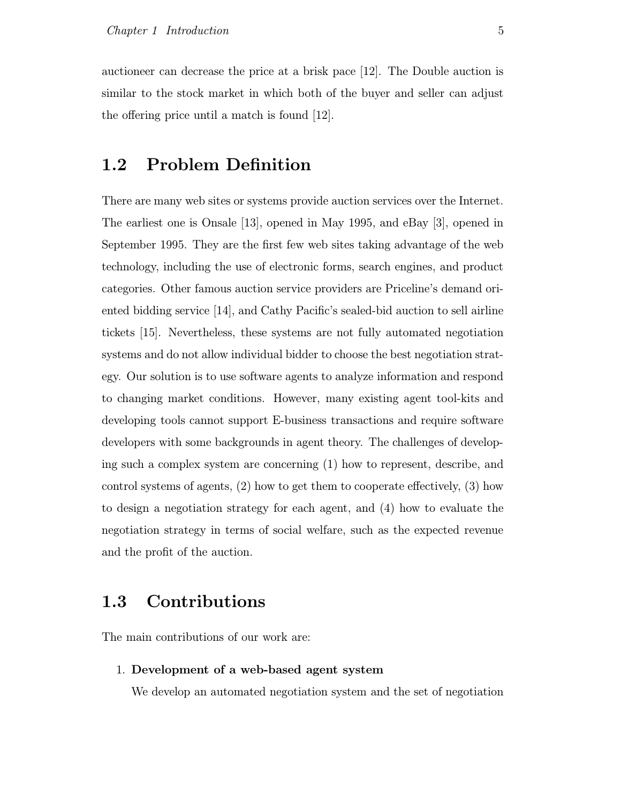auctioneer can decrease the price at a brisk pace [12]. The Double auction is similar to the stock market in which both of the buyer and seller can adjust the offering price until a match is found [12].

## 1.2 Problem Definition

There are many web sites or systems provide auction services over the Internet. The earliest one is Onsale [13], opened in May 1995, and eBay [3], opened in September 1995. They are the first few web sites taking advantage of the web technology, including the use of electronic forms, search engines, and product categories. Other famous auction service providers are Priceline's demand oriented bidding service [14], and Cathy Pacific's sealed-bid auction to sell airline tickets [15]. Nevertheless, these systems are not fully automated negotiation systems and do not allow individual bidder to choose the best negotiation strategy. Our solution is to use software agents to analyze information and respond to changing market conditions. However, many existing agent tool-kits and developing tools cannot support E-business transactions and require software developers with some backgrounds in agent theory. The challenges of developing such a complex system are concerning (1) how to represent, describe, and control systems of agents, (2) how to get them to cooperate effectively, (3) how to design a negotiation strategy for each agent, and (4) how to evaluate the negotiation strategy in terms of social welfare, such as the expected revenue and the profit of the auction.

## 1.3 Contributions

The main contributions of our work are:

#### 1. Development of a web-based agent system

We develop an automated negotiation system and the set of negotiation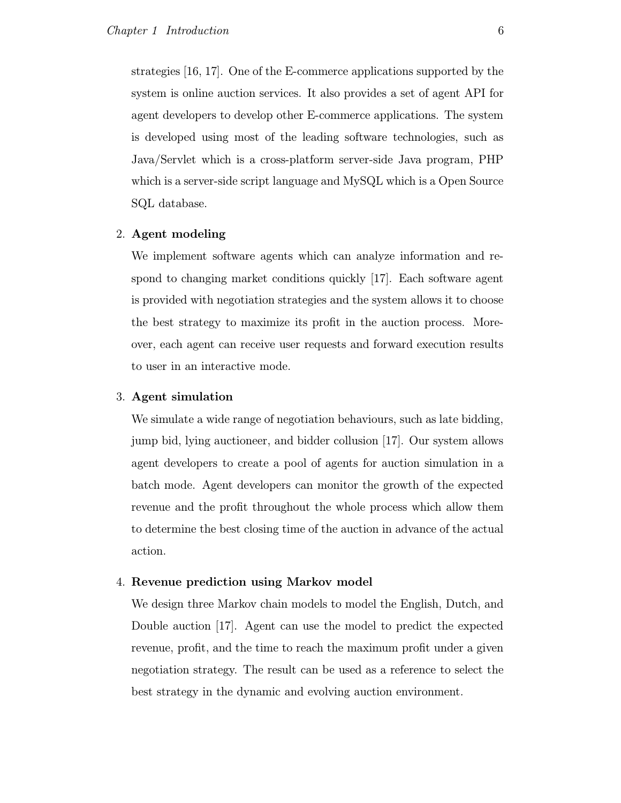strategies [16, 17]. One of the E-commerce applications supported by the system is online auction services. It also provides a set of agent API for agent developers to develop other E-commerce applications. The system is developed using most of the leading software technologies, such as Java/Servlet which is a cross-platform server-side Java program, PHP which is a server-side script language and MySQL which is a Open Source SQL database.

#### 2. Agent modeling

We implement software agents which can analyze information and respond to changing market conditions quickly [17]. Each software agent is provided with negotiation strategies and the system allows it to choose the best strategy to maximize its profit in the auction process. Moreover, each agent can receive user requests and forward execution results to user in an interactive mode.

#### 3. Agent simulation

We simulate a wide range of negotiation behaviours, such as late bidding, jump bid, lying auctioneer, and bidder collusion [17]. Our system allows agent developers to create a pool of agents for auction simulation in a batch mode. Agent developers can monitor the growth of the expected revenue and the profit throughout the whole process which allow them to determine the best closing time of the auction in advance of the actual action.

#### 4. Revenue prediction using Markov model

We design three Markov chain models to model the English, Dutch, and Double auction [17]. Agent can use the model to predict the expected revenue, profit, and the time to reach the maximum profit under a given negotiation strategy. The result can be used as a reference to select the best strategy in the dynamic and evolving auction environment.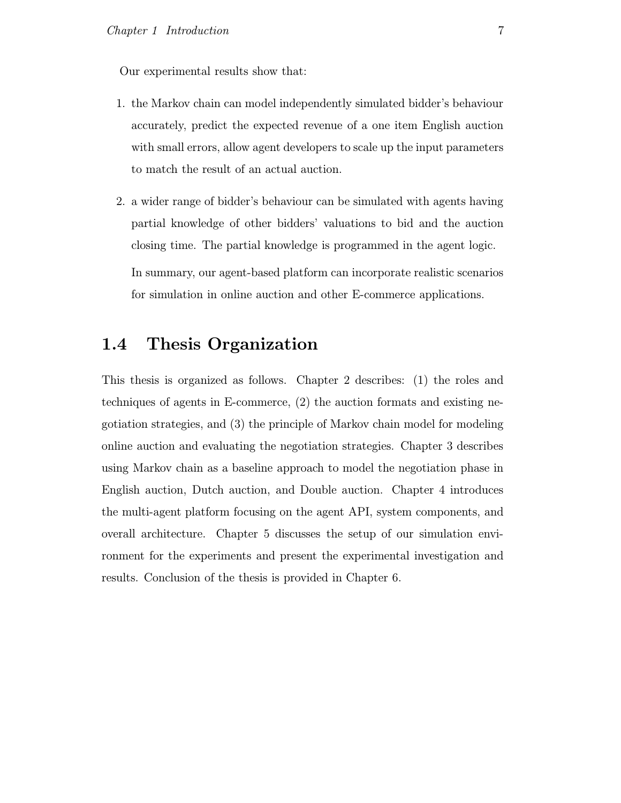Our experimental results show that:

- 1. the Markov chain can model independently simulated bidder's behaviour accurately, predict the expected revenue of a one item English auction with small errors, allow agent developers to scale up the input parameters to match the result of an actual auction.
- 2. a wider range of bidder's behaviour can be simulated with agents having partial knowledge of other bidders' valuations to bid and the auction closing time. The partial knowledge is programmed in the agent logic. In summary, our agent-based platform can incorporate realistic scenarios for simulation in online auction and other E-commerce applications.

### 1.4 Thesis Organization

This thesis is organized as follows. Chapter 2 describes: (1) the roles and techniques of agents in E-commerce, (2) the auction formats and existing negotiation strategies, and (3) the principle of Markov chain model for modeling online auction and evaluating the negotiation strategies. Chapter 3 describes using Markov chain as a baseline approach to model the negotiation phase in English auction, Dutch auction, and Double auction. Chapter 4 introduces the multi-agent platform focusing on the agent API, system components, and overall architecture. Chapter 5 discusses the setup of our simulation environment for the experiments and present the experimental investigation and results. Conclusion of the thesis is provided in Chapter 6.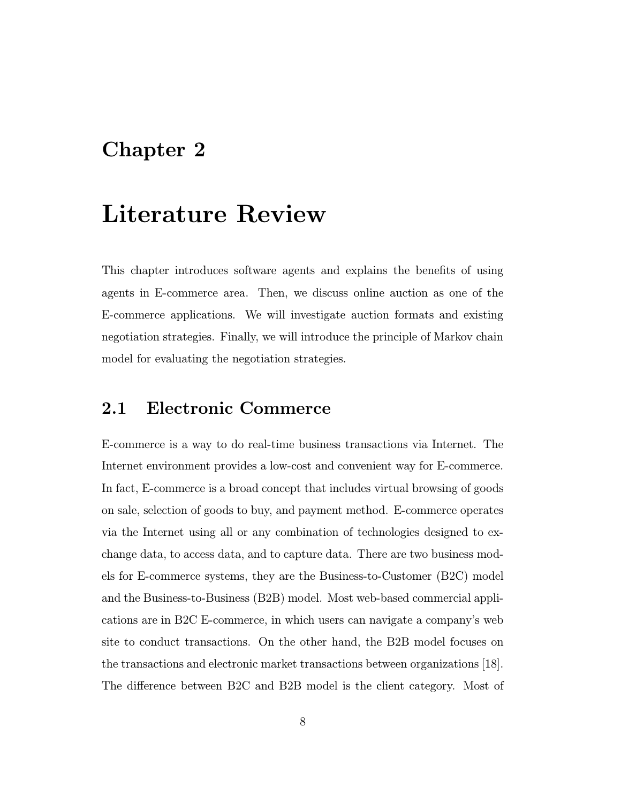## Chapter 2

# Literature Review

This chapter introduces software agents and explains the benefits of using agents in E-commerce area. Then, we discuss online auction as one of the E-commerce applications. We will investigate auction formats and existing negotiation strategies. Finally, we will introduce the principle of Markov chain model for evaluating the negotiation strategies.

### 2.1 Electronic Commerce

E-commerce is a way to do real-time business transactions via Internet. The Internet environment provides a low-cost and convenient way for E-commerce. In fact, E-commerce is a broad concept that includes virtual browsing of goods on sale, selection of goods to buy, and payment method. E-commerce operates via the Internet using all or any combination of technologies designed to exchange data, to access data, and to capture data. There are two business models for E-commerce systems, they are the Business-to-Customer (B2C) model and the Business-to-Business (B2B) model. Most web-based commercial applications are in B2C E-commerce, in which users can navigate a company's web site to conduct transactions. On the other hand, the B2B model focuses on the transactions and electronic market transactions between organizations [18]. The difference between B2C and B2B model is the client category. Most of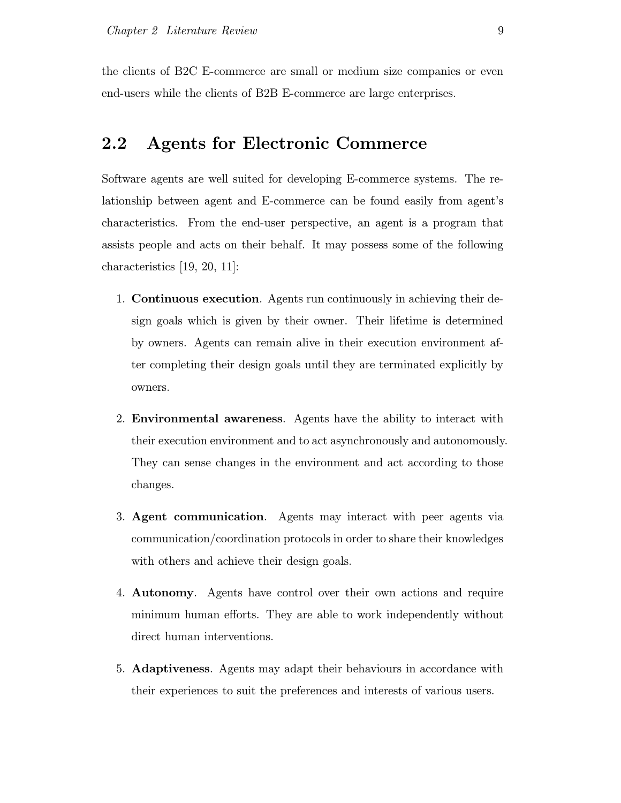the clients of B2C E-commerce are small or medium size companies or even end-users while the clients of B2B E-commerce are large enterprises.

### 2.2 Agents for Electronic Commerce

Software agents are well suited for developing E-commerce systems. The relationship between agent and E-commerce can be found easily from agent's characteristics. From the end-user perspective, an agent is a program that assists people and acts on their behalf. It may possess some of the following characteristics [19, 20, 11]:

- 1. Continuous execution. Agents run continuously in achieving their design goals which is given by their owner. Their lifetime is determined by owners. Agents can remain alive in their execution environment after completing their design goals until they are terminated explicitly by owners.
- 2. Environmental awareness. Agents have the ability to interact with their execution environment and to act asynchronously and autonomously. They can sense changes in the environment and act according to those changes.
- 3. Agent communication. Agents may interact with peer agents via communication/coordination protocols in order to share their knowledges with others and achieve their design goals.
- 4. Autonomy. Agents have control over their own actions and require minimum human efforts. They are able to work independently without direct human interventions.
- 5. Adaptiveness. Agents may adapt their behaviours in accordance with their experiences to suit the preferences and interests of various users.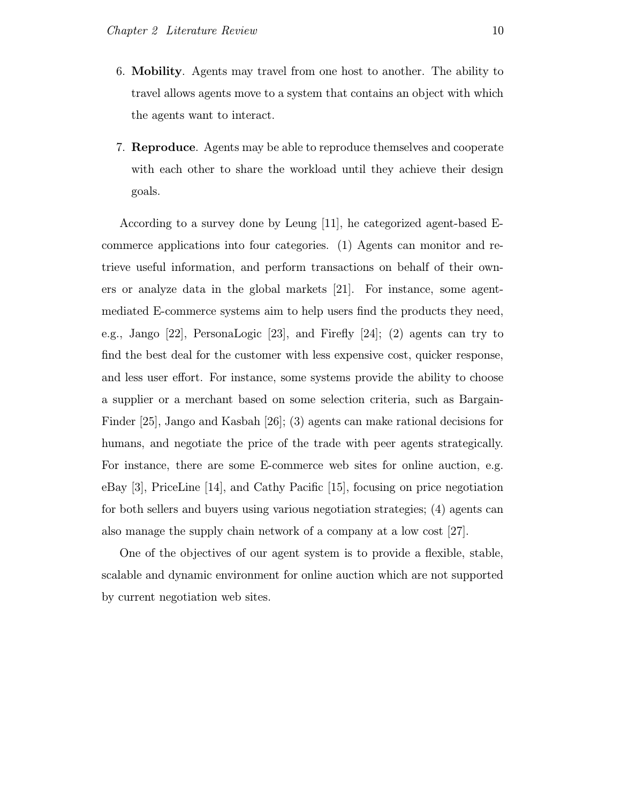- 6. Mobility. Agents may travel from one host to another. The ability to travel allows agents move to a system that contains an object with which the agents want to interact.
- 7. Reproduce. Agents may be able to reproduce themselves and cooperate with each other to share the workload until they achieve their design goals.

According to a survey done by Leung [11], he categorized agent-based Ecommerce applications into four categories. (1) Agents can monitor and retrieve useful information, and perform transactions on behalf of their owners or analyze data in the global markets [21]. For instance, some agentmediated E-commerce systems aim to help users find the products they need, e.g., Jango [22], PersonaLogic [23], and Firefly [24]; (2) agents can try to find the best deal for the customer with less expensive cost, quicker response, and less user effort. For instance, some systems provide the ability to choose a supplier or a merchant based on some selection criteria, such as Bargain-Finder [25], Jango and Kasbah [26]; (3) agents can make rational decisions for humans, and negotiate the price of the trade with peer agents strategically. For instance, there are some E-commerce web sites for online auction, e.g. eBay [3], PriceLine [14], and Cathy Pacific [15], focusing on price negotiation for both sellers and buyers using various negotiation strategies; (4) agents can also manage the supply chain network of a company at a low cost [27].

One of the objectives of our agent system is to provide a flexible, stable, scalable and dynamic environment for online auction which are not supported by current negotiation web sites.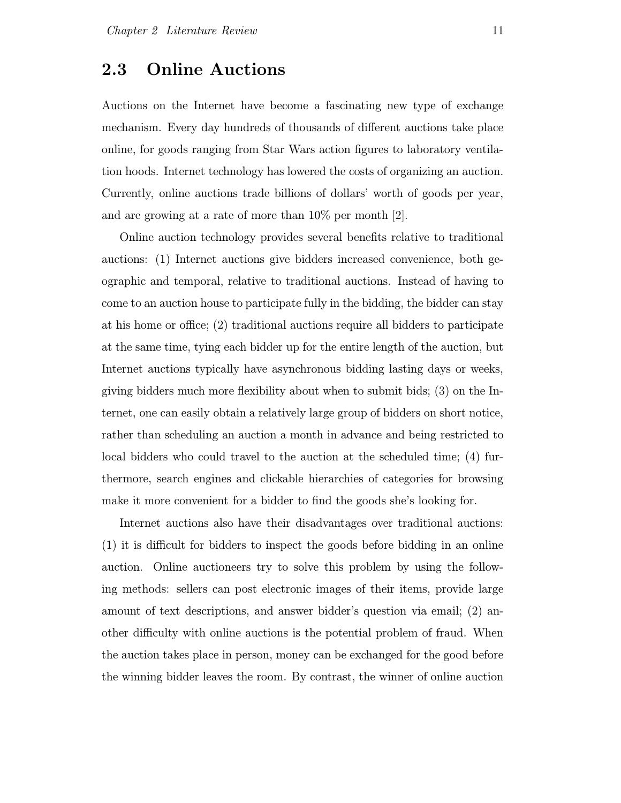#### 2.3 Online Auctions

Auctions on the Internet have become a fascinating new type of exchange mechanism. Every day hundreds of thousands of different auctions take place online, for goods ranging from Star Wars action figures to laboratory ventilation hoods. Internet technology has lowered the costs of organizing an auction. Currently, online auctions trade billions of dollars' worth of goods per year, and are growing at a rate of more than 10% per month [2].

Online auction technology provides several benefits relative to traditional auctions: (1) Internet auctions give bidders increased convenience, both geographic and temporal, relative to traditional auctions. Instead of having to come to an auction house to participate fully in the bidding, the bidder can stay at his home or office; (2) traditional auctions require all bidders to participate at the same time, tying each bidder up for the entire length of the auction, but Internet auctions typically have asynchronous bidding lasting days or weeks, giving bidders much more flexibility about when to submit bids; (3) on the Internet, one can easily obtain a relatively large group of bidders on short notice, rather than scheduling an auction a month in advance and being restricted to local bidders who could travel to the auction at the scheduled time; (4) furthermore, search engines and clickable hierarchies of categories for browsing make it more convenient for a bidder to find the goods she's looking for.

Internet auctions also have their disadvantages over traditional auctions: (1) it is difficult for bidders to inspect the goods before bidding in an online auction. Online auctioneers try to solve this problem by using the following methods: sellers can post electronic images of their items, provide large amount of text descriptions, and answer bidder's question via email; (2) another difficulty with online auctions is the potential problem of fraud. When the auction takes place in person, money can be exchanged for the good before the winning bidder leaves the room. By contrast, the winner of online auction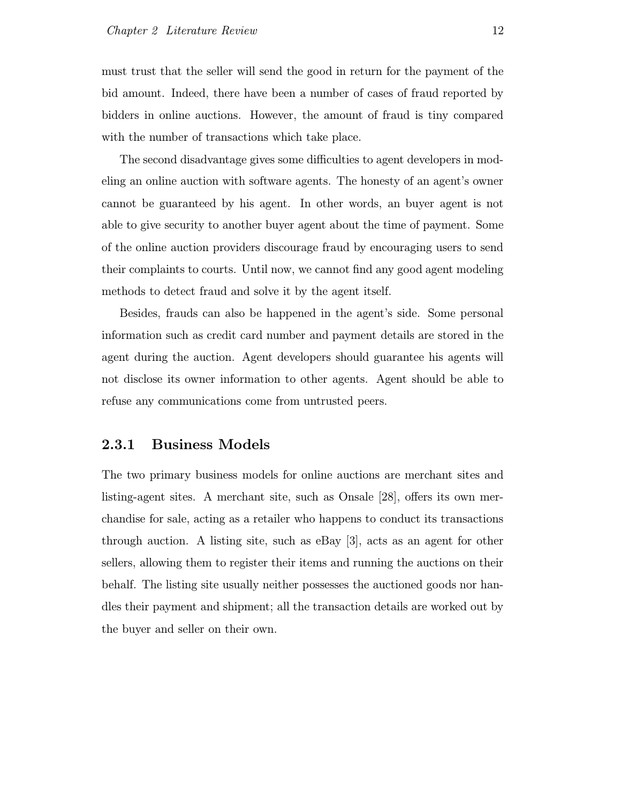must trust that the seller will send the good in return for the payment of the bid amount. Indeed, there have been a number of cases of fraud reported by bidders in online auctions. However, the amount of fraud is tiny compared with the number of transactions which take place.

The second disadvantage gives some difficulties to agent developers in modeling an online auction with software agents. The honesty of an agent's owner cannot be guaranteed by his agent. In other words, an buyer agent is not able to give security to another buyer agent about the time of payment. Some of the online auction providers discourage fraud by encouraging users to send their complaints to courts. Until now, we cannot find any good agent modeling methods to detect fraud and solve it by the agent itself.

Besides, frauds can also be happened in the agent's side. Some personal information such as credit card number and payment details are stored in the agent during the auction. Agent developers should guarantee his agents will not disclose its owner information to other agents. Agent should be able to refuse any communications come from untrusted peers.

#### 2.3.1 Business Models

The two primary business models for online auctions are merchant sites and listing-agent sites. A merchant site, such as Onsale [28], offers its own merchandise for sale, acting as a retailer who happens to conduct its transactions through auction. A listing site, such as eBay [3], acts as an agent for other sellers, allowing them to register their items and running the auctions on their behalf. The listing site usually neither possesses the auctioned goods nor handles their payment and shipment; all the transaction details are worked out by the buyer and seller on their own.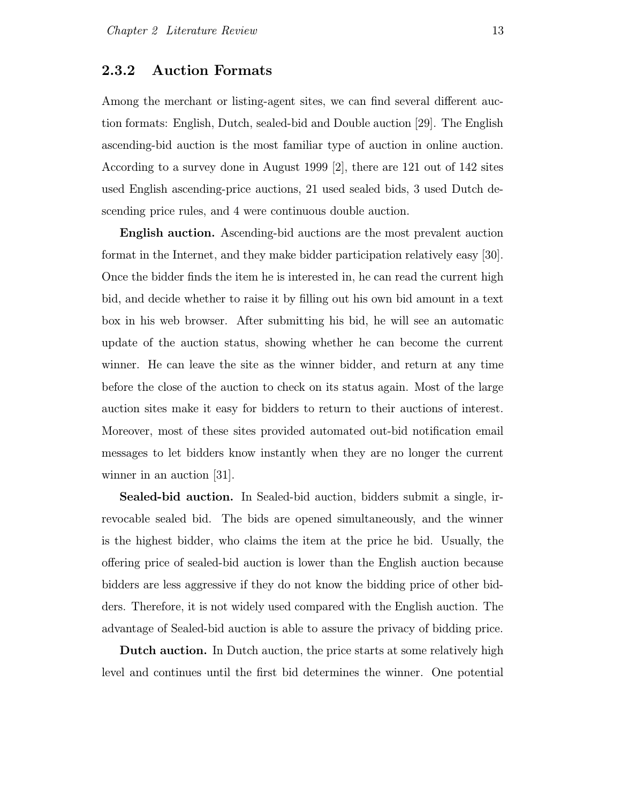#### 2.3.2 Auction Formats

Among the merchant or listing-agent sites, we can find several different auction formats: English, Dutch, sealed-bid and Double auction [29]. The English ascending-bid auction is the most familiar type of auction in online auction. According to a survey done in August 1999 [2], there are 121 out of 142 sites used English ascending-price auctions, 21 used sealed bids, 3 used Dutch descending price rules, and 4 were continuous double auction.

English auction. Ascending-bid auctions are the most prevalent auction format in the Internet, and they make bidder participation relatively easy [30]. Once the bidder finds the item he is interested in, he can read the current high bid, and decide whether to raise it by filling out his own bid amount in a text box in his web browser. After submitting his bid, he will see an automatic update of the auction status, showing whether he can become the current winner. He can leave the site as the winner bidder, and return at any time before the close of the auction to check on its status again. Most of the large auction sites make it easy for bidders to return to their auctions of interest. Moreover, most of these sites provided automated out-bid notification email messages to let bidders know instantly when they are no longer the current winner in an auction [31].

Sealed-bid auction. In Sealed-bid auction, bidders submit a single, irrevocable sealed bid. The bids are opened simultaneously, and the winner is the highest bidder, who claims the item at the price he bid. Usually, the offering price of sealed-bid auction is lower than the English auction because bidders are less aggressive if they do not know the bidding price of other bidders. Therefore, it is not widely used compared with the English auction. The advantage of Sealed-bid auction is able to assure the privacy of bidding price.

Dutch auction. In Dutch auction, the price starts at some relatively high level and continues until the first bid determines the winner. One potential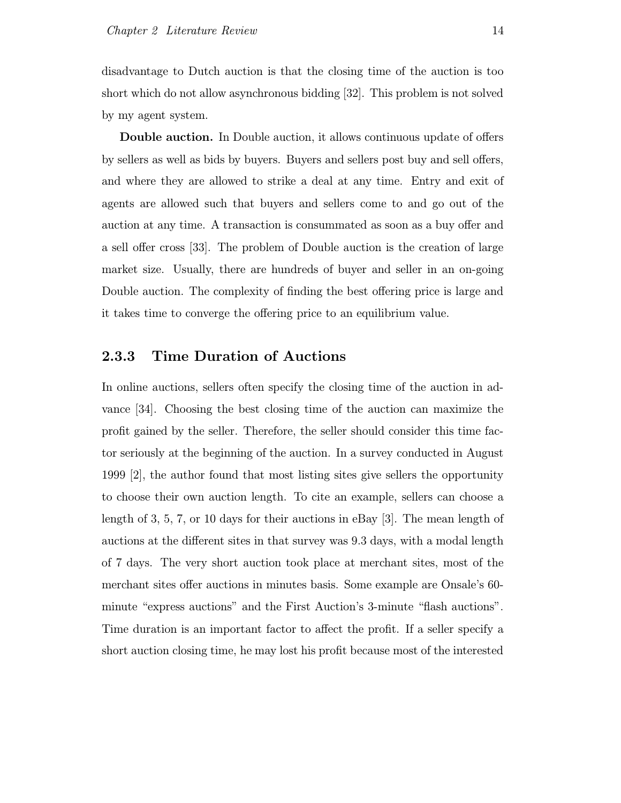disadvantage to Dutch auction is that the closing time of the auction is too short which do not allow asynchronous bidding [32]. This problem is not solved by my agent system.

Double auction. In Double auction, it allows continuous update of offers by sellers as well as bids by buyers. Buyers and sellers post buy and sell offers, and where they are allowed to strike a deal at any time. Entry and exit of agents are allowed such that buyers and sellers come to and go out of the auction at any time. A transaction is consummated as soon as a buy offer and a sell offer cross [33]. The problem of Double auction is the creation of large market size. Usually, there are hundreds of buyer and seller in an on-going Double auction. The complexity of finding the best offering price is large and it takes time to converge the offering price to an equilibrium value.

#### 2.3.3 Time Duration of Auctions

In online auctions, sellers often specify the closing time of the auction in advance [34]. Choosing the best closing time of the auction can maximize the profit gained by the seller. Therefore, the seller should consider this time factor seriously at the beginning of the auction. In a survey conducted in August 1999 [2], the author found that most listing sites give sellers the opportunity to choose their own auction length. To cite an example, sellers can choose a length of 3, 5, 7, or 10 days for their auctions in eBay [3]. The mean length of auctions at the different sites in that survey was 9.3 days, with a modal length of 7 days. The very short auction took place at merchant sites, most of the merchant sites offer auctions in minutes basis. Some example are Onsale's 60 minute "express auctions" and the First Auction's 3-minute "flash auctions". Time duration is an important factor to affect the profit. If a seller specify a short auction closing time, he may lost his profit because most of the interested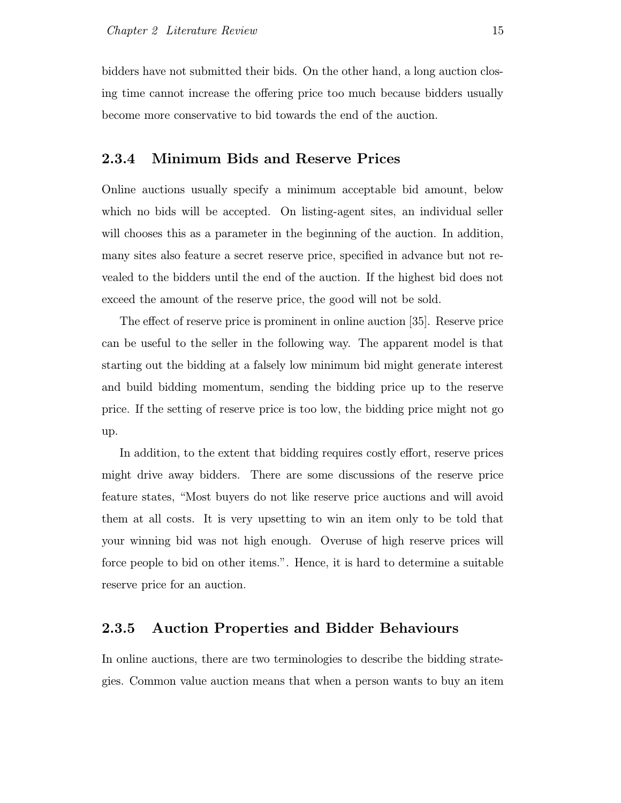bidders have not submitted their bids. On the other hand, a long auction closing time cannot increase the offering price too much because bidders usually become more conservative to bid towards the end of the auction.

#### 2.3.4 Minimum Bids and Reserve Prices

Online auctions usually specify a minimum acceptable bid amount, below which no bids will be accepted. On listing-agent sites, an individual seller will chooses this as a parameter in the beginning of the auction. In addition, many sites also feature a secret reserve price, specified in advance but not revealed to the bidders until the end of the auction. If the highest bid does not exceed the amount of the reserve price, the good will not be sold.

The effect of reserve price is prominent in online auction [35]. Reserve price can be useful to the seller in the following way. The apparent model is that starting out the bidding at a falsely low minimum bid might generate interest and build bidding momentum, sending the bidding price up to the reserve price. If the setting of reserve price is too low, the bidding price might not go up.

In addition, to the extent that bidding requires costly effort, reserve prices might drive away bidders. There are some discussions of the reserve price feature states, "Most buyers do not like reserve price auctions and will avoid them at all costs. It is very upsetting to win an item only to be told that your winning bid was not high enough. Overuse of high reserve prices will force people to bid on other items.". Hence, it is hard to determine a suitable reserve price for an auction.

#### 2.3.5 Auction Properties and Bidder Behaviours

In online auctions, there are two terminologies to describe the bidding strategies. Common value auction means that when a person wants to buy an item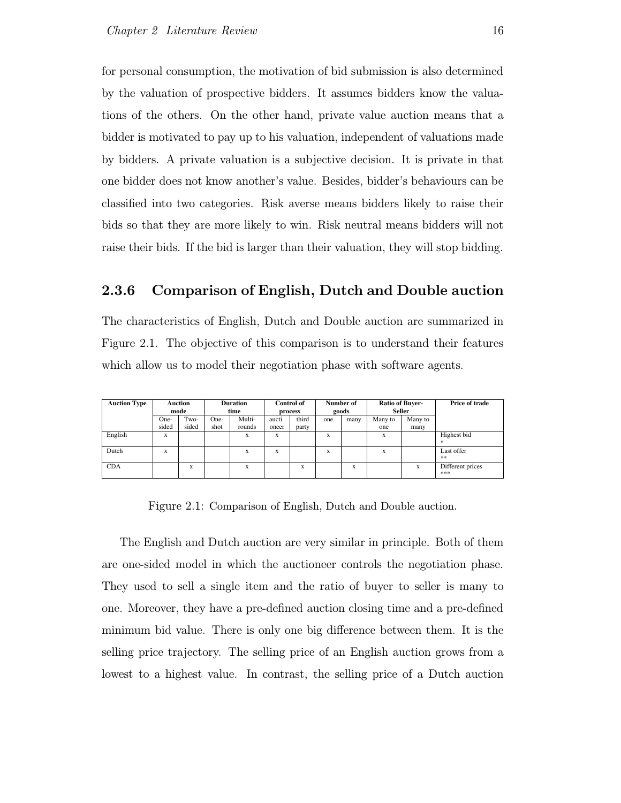for personal consumption, the motivation of bid submission is also determined by the valuation of prospective bidders. It assumes bidders know the valuations of the others. On the other hand, private value auction means that a bidder is motivated to pay up to his valuation, independent of valuations made by bidders. A private valuation is a subjective decision. It is private in that one bidder does not know another's value. Besides, bidder's behaviours can be classified into two categories. Risk averse means bidders likely to raise their bids so that they are more likely to win. Risk neutral means bidders will not raise their bids. If the bid is larger than their valuation, they will stop bidding.

#### 2.3.6 Comparison of English, Dutch and Double auction

The characteristics of English, Dutch and Double auction are summarized in Figure 2.1. The objective of this comparison is to understand their features which allow us to model their negotiation phase with software agents.

| <b>Auction Type</b> |       | <b>Auction</b><br>mode |      | <b>Duration</b><br>time |       | <b>Control of</b><br>process |     | Number of<br>goods | Ratio of Buyer- | Seller  | Price of trade          |
|---------------------|-------|------------------------|------|-------------------------|-------|------------------------------|-----|--------------------|-----------------|---------|-------------------------|
|                     | One-  | Two-                   | One- | Multi-                  | aucti | third                        | one | many               | Many to         | Many to |                         |
|                     | sided | sided                  | shot | rounds                  | oneer | party                        |     |                    | one             | many    |                         |
| English             | X     |                        |      | X                       | X     |                              | X   |                    | X               |         | Highest bid<br>$\ast$   |
| Dutch               | X     |                        |      | x                       | X     |                              | X   |                    | X               |         | Last offer<br>$**$      |
| <b>CDA</b>          |       | X                      |      | X                       |       | X                            |     | X                  |                 | X       | Different prices<br>*** |

Figure 2.1: Comparison of English, Dutch and Double auction.

The English and Dutch auction are very similar in principle. Both of them are one-sided model in which the auctioneer controls the negotiation phase. They used to sell a single item and the ratio of buyer to seller is many to one. Moreover, they have a pre-defined auction closing time and a pre-defined minimum bid value. There is only one big difference between them. It is the selling price trajectory. The selling price of an English auction grows from a lowest to a highest value. In contrast, the selling price of a Dutch auction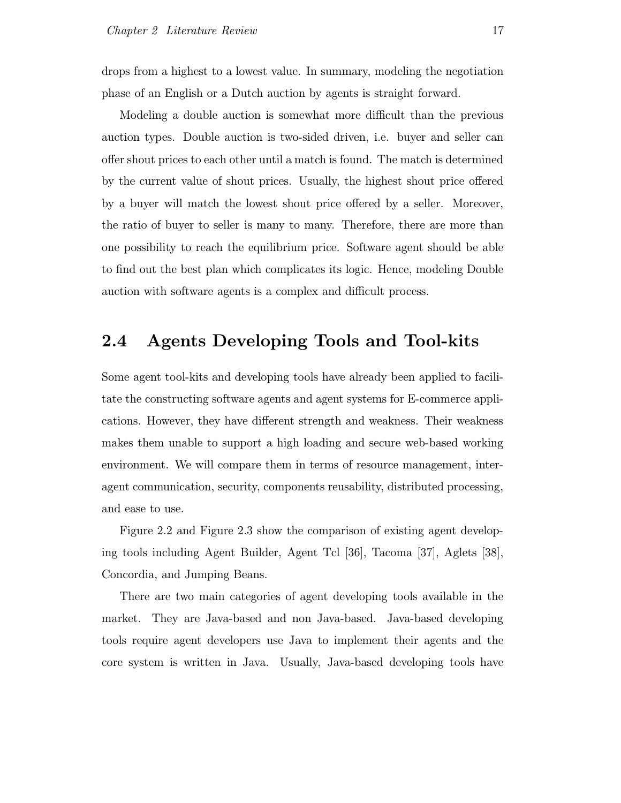drops from a highest to a lowest value. In summary, modeling the negotiation phase of an English or a Dutch auction by agents is straight forward.

Modeling a double auction is somewhat more difficult than the previous auction types. Double auction is two-sided driven, i.e. buyer and seller can offer shout prices to each other until a match is found. The match is determined by the current value of shout prices. Usually, the highest shout price offered by a buyer will match the lowest shout price offered by a seller. Moreover, the ratio of buyer to seller is many to many. Therefore, there are more than one possibility to reach the equilibrium price. Software agent should be able to find out the best plan which complicates its logic. Hence, modeling Double auction with software agents is a complex and difficult process.

### 2.4 Agents Developing Tools and Tool-kits

Some agent tool-kits and developing tools have already been applied to facilitate the constructing software agents and agent systems for E-commerce applications. However, they have different strength and weakness. Their weakness makes them unable to support a high loading and secure web-based working environment. We will compare them in terms of resource management, interagent communication, security, components reusability, distributed processing, and ease to use.

Figure 2.2 and Figure 2.3 show the comparison of existing agent developing tools including Agent Builder, Agent Tcl [36], Tacoma [37], Aglets [38], Concordia, and Jumping Beans.

There are two main categories of agent developing tools available in the market. They are Java-based and non Java-based. Java-based developing tools require agent developers use Java to implement their agents and the core system is written in Java. Usually, Java-based developing tools have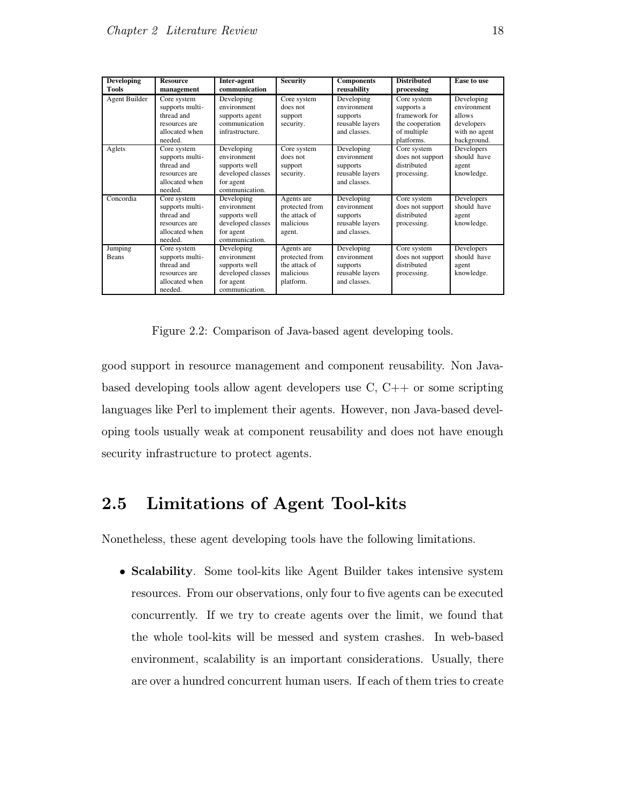| <b>Developing</b><br>Tools | <b>Resource</b><br>management                                                              | Inter-agent<br>communication                                                                   | <b>Security</b>                                                         | <b>Components</b><br>reusability                                         | <b>Distributed</b><br>processing                                                           | <b>Ease to use</b>                                                                |
|----------------------------|--------------------------------------------------------------------------------------------|------------------------------------------------------------------------------------------------|-------------------------------------------------------------------------|--------------------------------------------------------------------------|--------------------------------------------------------------------------------------------|-----------------------------------------------------------------------------------|
| Agent Builder              | Core system<br>supports multi-<br>thread and<br>resources are<br>allocated when<br>needed. | Developing<br>environment<br>supports agent<br>communication<br>infrastructure.                | Core system<br>does not<br>support<br>security.                         | Developing<br>environment<br>supports<br>reusable layers<br>and classes. | Core system<br>supports a<br>framework for<br>the cooperation<br>of multiple<br>platforms. | Developing<br>environment<br>allows<br>developers<br>with no agent<br>background. |
| Aglets                     | Core system<br>supports multi-<br>thread and<br>resources are<br>allocated when<br>needed. | Developing<br>environment<br>supports well<br>developed classes<br>for agent<br>communication. | Core system<br>does not<br>support<br>security.                         | Developing<br>environment<br>supports<br>reusable layers<br>and classes. | Core system<br>does not support<br>distributed<br>processing.                              | Developers<br>should have<br>agent<br>knowledge.                                  |
| Concordia                  | Core system<br>supports multi-<br>thread and<br>resources are<br>allocated when<br>needed. | Developing<br>environment<br>supports well<br>developed classes<br>for agent<br>communication. | Agents are<br>protected from<br>the attack of<br>malicious<br>agent.    | Developing<br>environment<br>supports<br>reusable layers<br>and classes. | Core system<br>does not support<br>distributed<br>processing.                              | Developers<br>should have<br>agent<br>knowledge.                                  |
| Jumping<br>Beans           | Core system<br>supports multi-<br>thread and<br>resources are<br>allocated when<br>needed. | Developing<br>environment<br>supports well<br>developed classes<br>for agent<br>communication. | Agents are<br>protected from<br>the attack of<br>malicious<br>platform. | Developing<br>environment<br>supports<br>reusable layers<br>and classes. | Core system<br>does not support<br>distributed<br>processing.                              | Developers<br>should have<br>agent<br>knowledge.                                  |

Figure 2.2: Comparison of Java-based agent developing tools.

good support in resource management and component reusability. Non Javabased developing tools allow agent developers use C, C++ or some scripting languages like Perl to implement their agents. However, non Java-based developing tools usually weak at component reusability and does not have enough security infrastructure to protect agents.

### 2.5 Limitations of Agent Tool-kits

Nonetheless, these agent developing tools have the following limitations.

• Scalability. Some tool-kits like Agent Builder takes intensive system resources. From our observations, only four to five agents can be executed concurrently. If we try to create agents over the limit, we found that the whole tool-kits will be messed and system crashes. In web-based environment, scalability is an important considerations. Usually, there are over a hundred concurrent human users. If each of them tries to create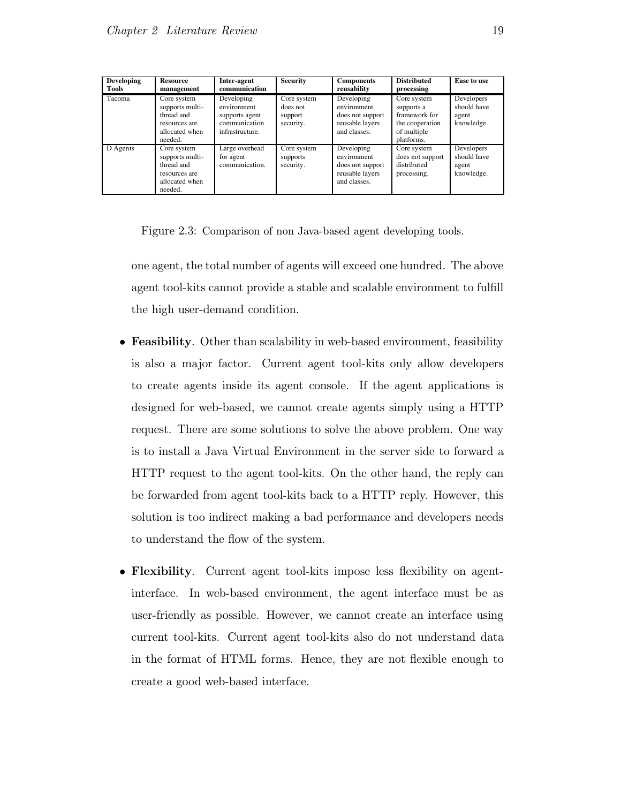| <b>Developing</b><br>Tools | <b>Resource</b><br>management                                                              | Inter-agent<br>communication                                                    | <b>Security</b>                                 | <b>Components</b><br>reusability                                                 | <b>Distributed</b><br>processing                                                           | Ease to use                                      |
|----------------------------|--------------------------------------------------------------------------------------------|---------------------------------------------------------------------------------|-------------------------------------------------|----------------------------------------------------------------------------------|--------------------------------------------------------------------------------------------|--------------------------------------------------|
| Tacoma                     | Core system<br>supports multi-<br>thread and<br>resources are<br>allocated when<br>needed. | Developing<br>environment<br>supports agent<br>communication<br>infrastructure. | Core system<br>does not<br>support<br>security. | Developing<br>environment<br>does not support<br>reusable layers<br>and classes. | Core system<br>supports a<br>framework for<br>the cooperation<br>of multiple<br>platforms. | Developers<br>should have<br>agent<br>knowledge. |
| D Agents                   | Core system<br>supports multi-<br>thread and<br>resources are<br>allocated when<br>needed. | Large overhead<br>for agent<br>communication.                                   | Core system<br>supports<br>security.            | Developing<br>environment<br>does not support<br>reusable layers<br>and classes. | Core system<br>does not support<br>distributed<br>processing.                              | Developers<br>should have<br>agent<br>knowledge. |

Figure 2.3: Comparison of non Java-based agent developing tools.

one agent, the total number of agents will exceed one hundred. The above agent tool-kits cannot provide a stable and scalable environment to fulfill the high user-demand condition.

- Feasibility. Other than scalability in web-based environment, feasibility is also a major factor. Current agent tool-kits only allow developers to create agents inside its agent console. If the agent applications is designed for web-based, we cannot create agents simply using a HTTP request. There are some solutions to solve the above problem. One way is to install a Java Virtual Environment in the server side to forward a HTTP request to the agent tool-kits. On the other hand, the reply can be forwarded from agent tool-kits back to a HTTP reply. However, this solution is too indirect making a bad performance and developers needs to understand the flow of the system.
- Flexibility. Current agent tool-kits impose less flexibility on agentinterface. In web-based environment, the agent interface must be as user-friendly as possible. However, we cannot create an interface using current tool-kits. Current agent tool-kits also do not understand data in the format of HTML forms. Hence, they are not flexible enough to create a good web-based interface.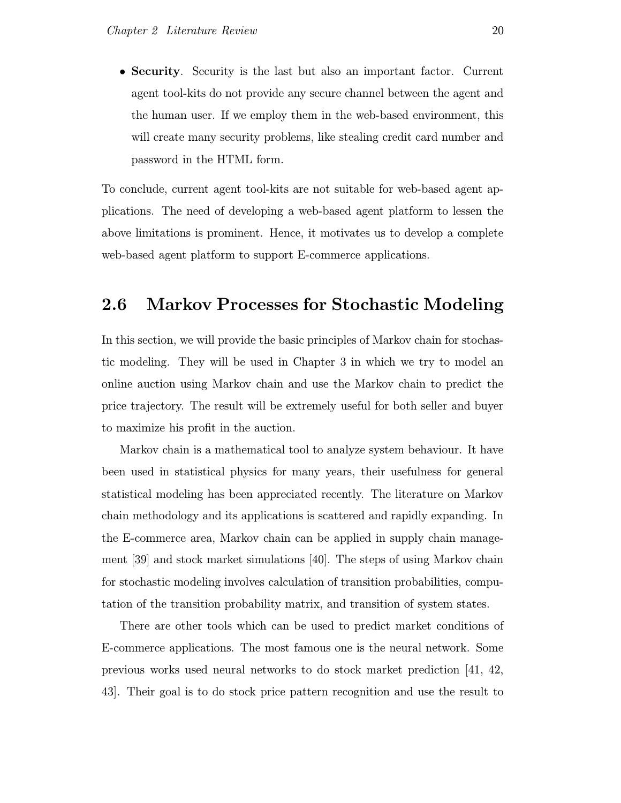• Security. Security is the last but also an important factor. Current agent tool-kits do not provide any secure channel between the agent and the human user. If we employ them in the web-based environment, this will create many security problems, like stealing credit card number and password in the HTML form.

To conclude, current agent tool-kits are not suitable for web-based agent applications. The need of developing a web-based agent platform to lessen the above limitations is prominent. Hence, it motivates us to develop a complete web-based agent platform to support E-commerce applications.

## 2.6 Markov Processes for Stochastic Modeling

In this section, we will provide the basic principles of Markov chain for stochastic modeling. They will be used in Chapter 3 in which we try to model an online auction using Markov chain and use the Markov chain to predict the price trajectory. The result will be extremely useful for both seller and buyer to maximize his profit in the auction.

Markov chain is a mathematical tool to analyze system behaviour. It have been used in statistical physics for many years, their usefulness for general statistical modeling has been appreciated recently. The literature on Markov chain methodology and its applications is scattered and rapidly expanding. In the E-commerce area, Markov chain can be applied in supply chain management [39] and stock market simulations [40]. The steps of using Markov chain for stochastic modeling involves calculation of transition probabilities, computation of the transition probability matrix, and transition of system states.

There are other tools which can be used to predict market conditions of E-commerce applications. The most famous one is the neural network. Some previous works used neural networks to do stock market prediction [41, 42, 43]. Their goal is to do stock price pattern recognition and use the result to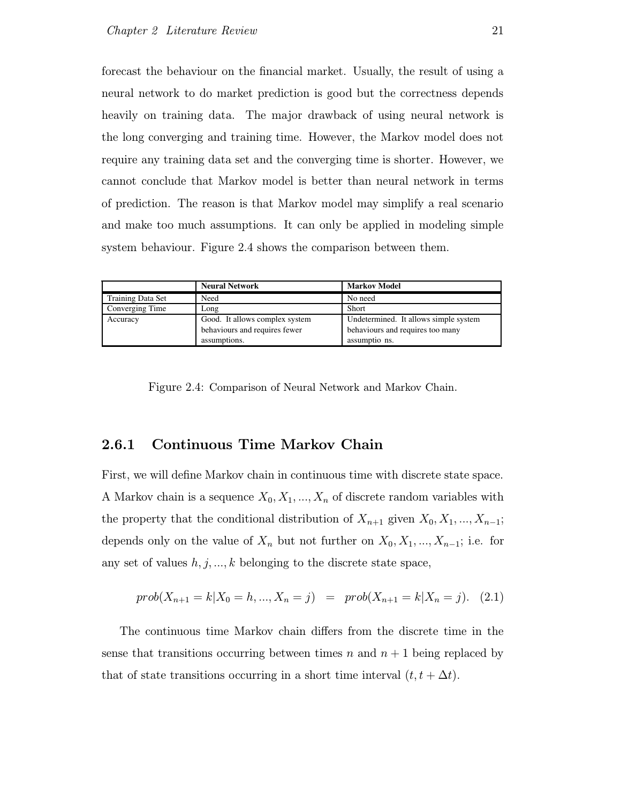forecast the behaviour on the financial market. Usually, the result of using a neural network to do market prediction is good but the correctness depends heavily on training data. The major drawback of using neural network is the long converging and training time. However, the Markov model does not require any training data set and the converging time is shorter. However, we cannot conclude that Markov model is better than neural network in terms of prediction. The reason is that Markov model may simplify a real scenario and make too much assumptions. It can only be applied in modeling simple system behaviour. Figure 2.4 shows the comparison between them.

|                   | <b>Neural Network</b>          | <b>Markov Model</b>                   |
|-------------------|--------------------------------|---------------------------------------|
| Training Data Set | Need                           | No need                               |
| Converging Time   | Long                           | Short                                 |
| Accuracy          | Good. It allows complex system | Undetermined. It allows simple system |
|                   | behaviours and requires fewer  | behaviours and requires too many      |
|                   | assumptions.                   | assumptio ns.                         |

Figure 2.4: Comparison of Neural Network and Markov Chain.

#### 2.6.1 Continuous Time Markov Chain

First, we will define Markov chain in continuous time with discrete state space. A Markov chain is a sequence  $X_0, X_1, ..., X_n$  of discrete random variables with the property that the conditional distribution of  $X_{n+1}$  given  $X_0, X_1, ..., X_{n-1}$ ; depends only on the value of  $X_n$  but not further on  $X_0, X_1, ..., X_{n-1}$ ; i.e. for any set of values  $h, j, \ldots, k$  belonging to the discrete state space,

$$
prob(X_{n+1} = k | X_0 = h, ..., X_n = j) = prob(X_{n+1} = k | X_n = j). (2.1)
$$

The continuous time Markov chain differs from the discrete time in the sense that transitions occurring between times n and  $n + 1$  being replaced by that of state transitions occurring in a short time interval  $(t, t + \Delta t)$ .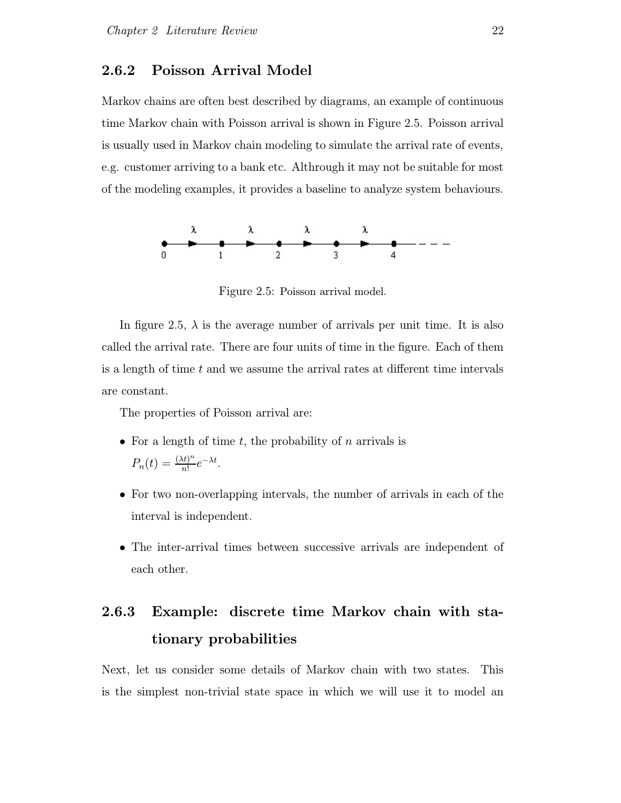#### 2.6.2 Poisson Arrival Model

Markov chains are often best described by diagrams, an example of continuous time Markov chain with Poisson arrival is shown in Figure 2.5. Poisson arrival is usually used in Markov chain modeling to simulate the arrival rate of events, e.g. customer arriving to a bank etc. Althrough it may not be suitable for most of the modeling examples, it provides a baseline to analyze system behaviours.



Figure 2.5: Poisson arrival model.

In figure 2.5,  $\lambda$  is the average number of arrivals per unit time. It is also called the arrival rate. There are four units of time in the figure. Each of them is a length of time  $t$  and we assume the arrival rates at different time intervals are constant.

The properties of Poisson arrival are:

- For a length of time  $t$ , the probability of  $n$  arrivals is  $P_n(t) = \frac{(\lambda t)^n}{n!}$  $\frac{(t)^n}{n!}e^{-\lambda t}$ .
- For two non-overlapping intervals, the number of arrivals in each of the interval is independent.
- The inter-arrival times between successive arrivals are independent of each other.

## 2.6.3 Example: discrete time Markov chain with stationary probabilities

Next, let us consider some details of Markov chain with two states. This is the simplest non-trivial state space in which we will use it to model an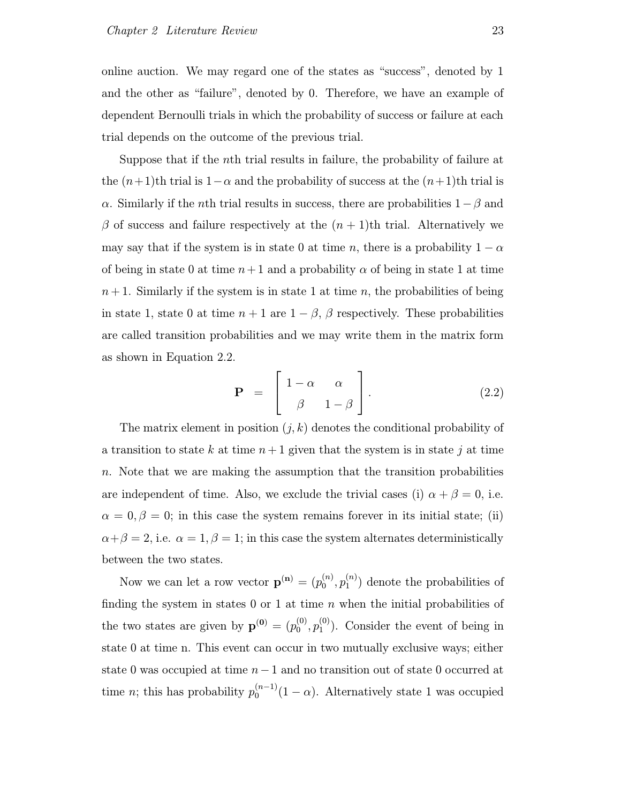online auction. We may regard one of the states as "success", denoted by 1 and the other as "failure", denoted by 0. Therefore, we have an example of dependent Bernoulli trials in which the probability of success or failure at each trial depends on the outcome of the previous trial.

Suppose that if the nth trial results in failure, the probability of failure at the  $(n+1)$ th trial is  $1-\alpha$  and the probability of success at the  $(n+1)$ th trial is α. Similarly if the *n*th trial results in success, there are probabilities  $1-\beta$  and  $\beta$  of success and failure respectively at the  $(n + 1)$ th trial. Alternatively we may say that if the system is in state 0 at time n, there is a probability  $1 - \alpha$ of being in state 0 at time  $n+1$  and a probability  $\alpha$  of being in state 1 at time  $n+1$ . Similarly if the system is in state 1 at time n, the probabilities of being in state 1, state 0 at time  $n + 1$  are  $1 - \beta$ ,  $\beta$  respectively. These probabilities are called transition probabilities and we may write them in the matrix form as shown in Equation 2.2.

$$
\mathbf{P} = \begin{bmatrix} 1 - \alpha & \alpha \\ \beta & 1 - \beta \end{bmatrix}.
$$
 (2.2)

The matrix element in position  $(j, k)$  denotes the conditional probability of a transition to state k at time  $n+1$  given that the system is in state j at time n. Note that we are making the assumption that the transition probabilities are independent of time. Also, we exclude the trivial cases (i)  $\alpha + \beta = 0$ , i.e.  $\alpha = 0, \beta = 0$ ; in this case the system remains forever in its initial state; (ii)  $\alpha + \beta = 2$ , i.e.  $\alpha = 1, \beta = 1$ ; in this case the system alternates deterministically between the two states.

Now we can let a row vector  $\mathbf{p}^{(\mathbf{n})} = (p_0^{(n)})$  $\stackrel{(n)}{0},p_1^{(n)}$  $\binom{n}{1}$  denote the probabilities of finding the system in states 0 or 1 at time  $n$  when the initial probabilities of the two states are given by  $\mathbf{p}^{(0)} = (p_0^{(0)})$  $\stackrel{(0)}{0},\stackrel{(0)}{p_1^{(0)}}$  $_1^{\text{(0)}}$ ). Consider the event of being in state 0 at time n. This event can occur in two mutually exclusive ways; either state 0 was occupied at time n−1 and no transition out of state 0 occurred at time *n*; this has probability  $p_0^{(n-1)}(1-\alpha)$ . Alternatively state 1 was occupied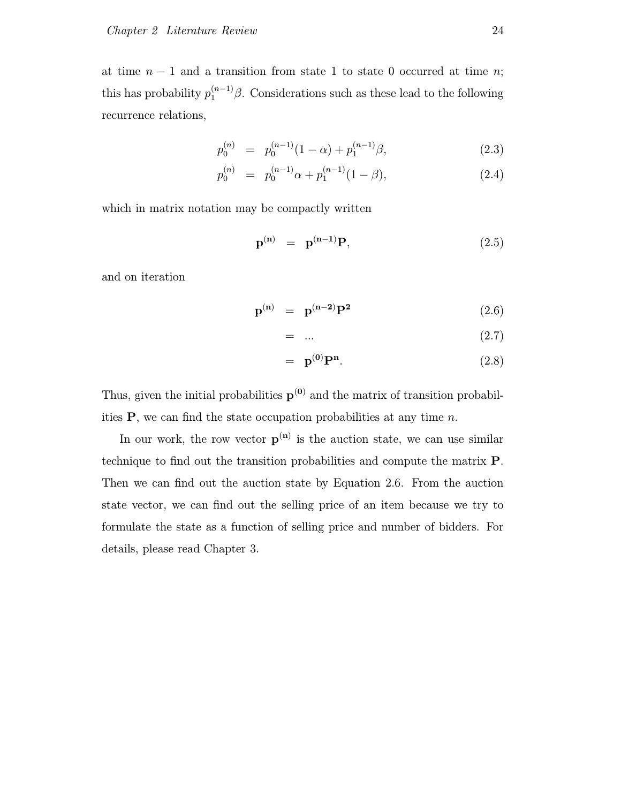at time  $n-1$  and a transition from state 1 to state 0 occurred at time n; this has probability  $p_1^{(n-1)}\beta$ . Considerations such as these lead to the following recurrence relations,

$$
p_0^{(n)} = p_0^{(n-1)}(1-\alpha) + p_1^{(n-1)}\beta,
$$
\n(2.3)

$$
p_0^{(n)} = p_0^{(n-1)}\alpha + p_1^{(n-1)}(1-\beta), \qquad (2.4)
$$

which in matrix notation may be compactly written

$$
\mathbf{p}^{(\mathbf{n})} = \mathbf{p}^{(\mathbf{n}-1)} \mathbf{P}, \tag{2.5}
$$

and on iteration

$$
\mathbf{p}^{(\mathbf{n})} = \mathbf{p}^{(\mathbf{n}-2)} \mathbf{P}^2 \tag{2.6}
$$

$$
= \dots \tag{2.7}
$$

$$
= \mathbf{p}^{(0)} \mathbf{P}^{\mathbf{n}}.\tag{2.8}
$$

Thus, given the initial probabilities  $p^{(0)}$  and the matrix of transition probabilities  $P$ , we can find the state occupation probabilities at any time *n*.

In our work, the row vector  $p^{(n)}$  is the auction state, we can use similar technique to find out the transition probabilities and compute the matrix P. Then we can find out the auction state by Equation 2.6. From the auction state vector, we can find out the selling price of an item because we try to formulate the state as a function of selling price and number of bidders. For details, please read Chapter 3.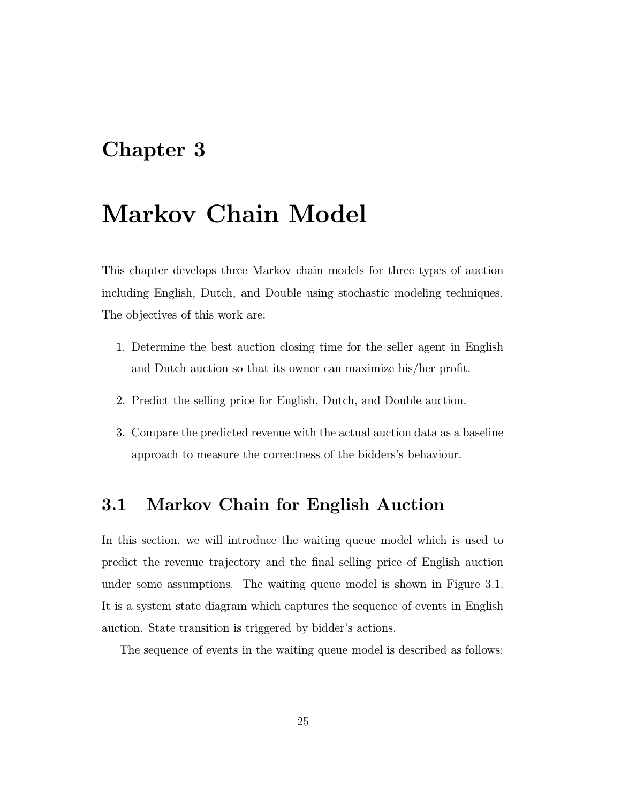## Chapter 3

# Markov Chain Model

This chapter develops three Markov chain models for three types of auction including English, Dutch, and Double using stochastic modeling techniques. The objectives of this work are:

- 1. Determine the best auction closing time for the seller agent in English and Dutch auction so that its owner can maximize his/her profit.
- 2. Predict the selling price for English, Dutch, and Double auction.
- 3. Compare the predicted revenue with the actual auction data as a baseline approach to measure the correctness of the bidders's behaviour.

## 3.1 Markov Chain for English Auction

In this section, we will introduce the waiting queue model which is used to predict the revenue trajectory and the final selling price of English auction under some assumptions. The waiting queue model is shown in Figure 3.1. It is a system state diagram which captures the sequence of events in English auction. State transition is triggered by bidder's actions.

The sequence of events in the waiting queue model is described as follows: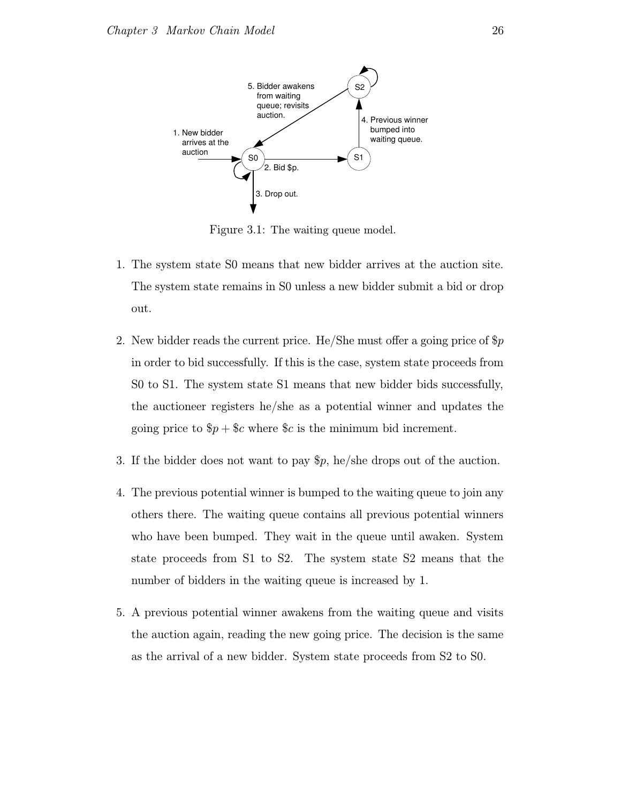

Figure 3.1: The waiting queue model.

- 1. The system state S0 means that new bidder arrives at the auction site. The system state remains in S0 unless a new bidder submit a bid or drop out.
- 2. New bidder reads the current price. He/She must offer a going price of  $\wp$ in order to bid successfully. If this is the case, system state proceeds from S0 to S1. The system state S1 means that new bidder bids successfully, the auctioneer registers he/she as a potential winner and updates the going price to  $\wp + \text{c}$  where  $\text{c}$  is the minimum bid increment.
- 3. If the bidder does not want to pay \$p, he/she drops out of the auction.
- 4. The previous potential winner is bumped to the waiting queue to join any others there. The waiting queue contains all previous potential winners who have been bumped. They wait in the queue until awaken. System state proceeds from S1 to S2. The system state S2 means that the number of bidders in the waiting queue is increased by 1.
- 5. A previous potential winner awakens from the waiting queue and visits the auction again, reading the new going price. The decision is the same as the arrival of a new bidder. System state proceeds from S2 to S0.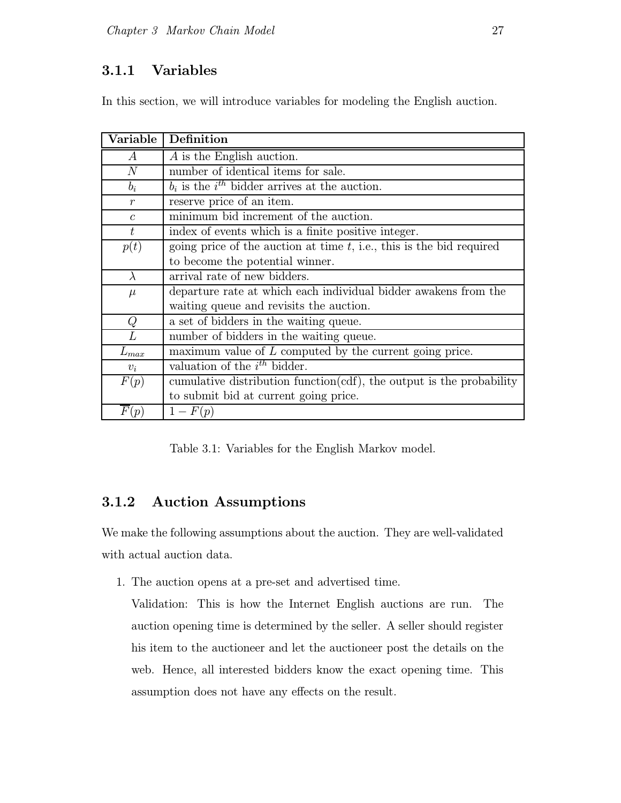## 3.1.1 Variables

In this section, we will introduce variables for modeling the English auction.

| Variable         | Definition                                                              |  |
|------------------|-------------------------------------------------------------------------|--|
| $\boldsymbol{A}$ | A is the English auction.                                               |  |
| N                | number of identical items for sale.                                     |  |
| $b_i$            | $b_i$ is the i <sup>th</sup> bidder arrives at the auction.             |  |
| $\mathcal{r}$    | reserve price of an item.                                               |  |
| $\overline{c}$   | minimum bid increment of the auction.                                   |  |
| t                | index of events which is a finite positive integer.                     |  |
| p(t)             | going price of the auction at time $t$ , i.e., this is the bid required |  |
|                  | to become the potential winner.                                         |  |
| $\lambda$        | arrival rate of new bidders.                                            |  |
| $\mu$            | departure rate at which each individual bidder awakens from the         |  |
|                  | waiting queue and revisits the auction.                                 |  |
| Q                | a set of bidders in the waiting queue.                                  |  |
| L                | number of bidders in the waiting queue.                                 |  |
| $L_{\max}$       | maximum value of $L$ computed by the current going price.               |  |
| $v_i$            | valuation of the $i^{th}$ bidder.                                       |  |
| F(p)             | cumulative distribution function(cdf), the output is the probability    |  |
|                  | to submit bid at current going price.                                   |  |
| F(p)             | $1-F(p)$                                                                |  |

Table 3.1: Variables for the English Markov model.

## 3.1.2 Auction Assumptions

We make the following assumptions about the auction. They are well-validated with actual auction data.

1. The auction opens at a pre-set and advertised time.

Validation: This is how the Internet English auctions are run. The auction opening time is determined by the seller. A seller should register his item to the auctioneer and let the auctioneer post the details on the web. Hence, all interested bidders know the exact opening time. This assumption does not have any effects on the result.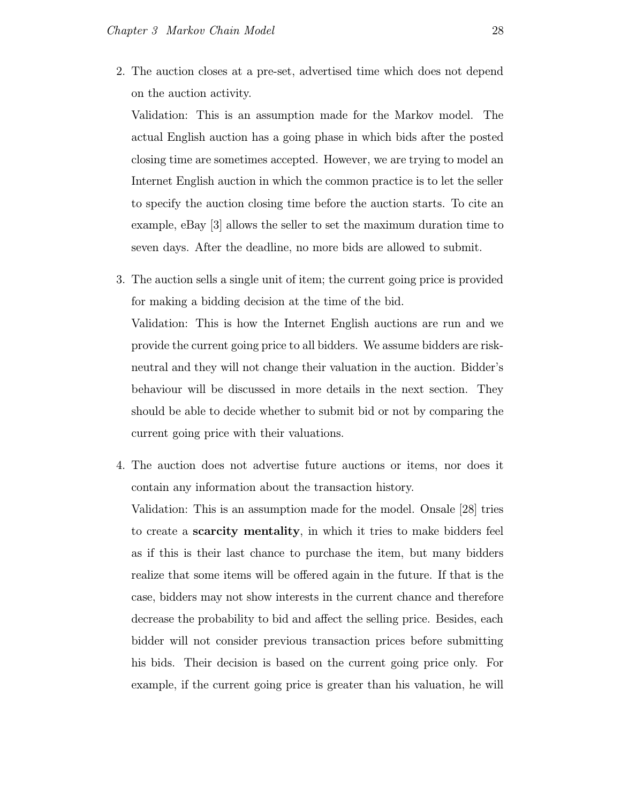2. The auction closes at a pre-set, advertised time which does not depend on the auction activity.

Validation: This is an assumption made for the Markov model. The actual English auction has a going phase in which bids after the posted closing time are sometimes accepted. However, we are trying to model an Internet English auction in which the common practice is to let the seller to specify the auction closing time before the auction starts. To cite an example, eBay [3] allows the seller to set the maximum duration time to seven days. After the deadline, no more bids are allowed to submit.

3. The auction sells a single unit of item; the current going price is provided for making a bidding decision at the time of the bid.

Validation: This is how the Internet English auctions are run and we provide the current going price to all bidders. We assume bidders are riskneutral and they will not change their valuation in the auction. Bidder's behaviour will be discussed in more details in the next section. They should be able to decide whether to submit bid or not by comparing the current going price with their valuations.

4. The auction does not advertise future auctions or items, nor does it contain any information about the transaction history.

Validation: This is an assumption made for the model. Onsale [28] tries to create a scarcity mentality, in which it tries to make bidders feel as if this is their last chance to purchase the item, but many bidders realize that some items will be offered again in the future. If that is the case, bidders may not show interests in the current chance and therefore decrease the probability to bid and affect the selling price. Besides, each bidder will not consider previous transaction prices before submitting his bids. Their decision is based on the current going price only. For example, if the current going price is greater than his valuation, he will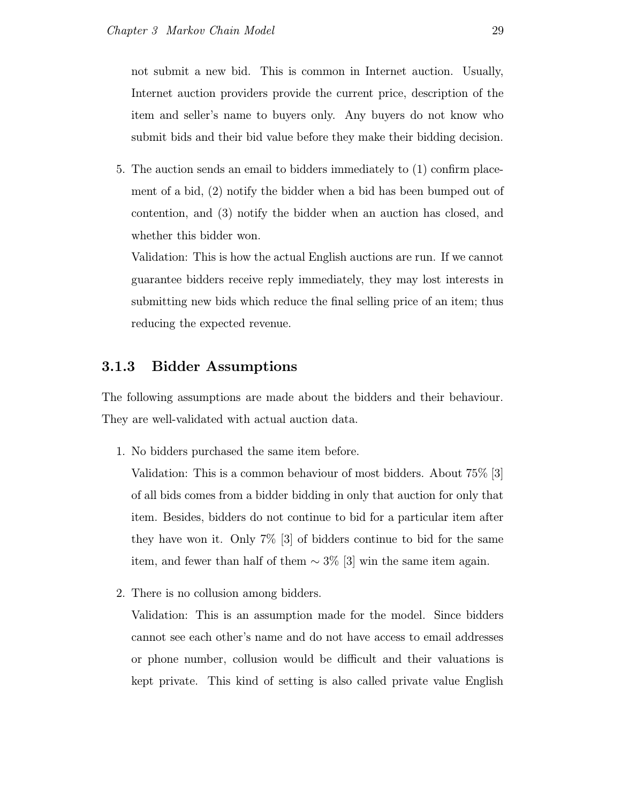not submit a new bid. This is common in Internet auction. Usually, Internet auction providers provide the current price, description of the item and seller's name to buyers only. Any buyers do not know who submit bids and their bid value before they make their bidding decision.

5. The auction sends an email to bidders immediately to (1) confirm placement of a bid, (2) notify the bidder when a bid has been bumped out of contention, and (3) notify the bidder when an auction has closed, and whether this bidder won.

Validation: This is how the actual English auctions are run. If we cannot guarantee bidders receive reply immediately, they may lost interests in submitting new bids which reduce the final selling price of an item; thus reducing the expected revenue.

#### 3.1.3 Bidder Assumptions

The following assumptions are made about the bidders and their behaviour. They are well-validated with actual auction data.

1. No bidders purchased the same item before.

Validation: This is a common behaviour of most bidders. About 75% [3] of all bids comes from a bidder bidding in only that auction for only that item. Besides, bidders do not continue to bid for a particular item after they have won it. Only 7% [3] of bidders continue to bid for the same item, and fewer than half of them  $\sim 3\%$  [3] win the same item again.

2. There is no collusion among bidders.

Validation: This is an assumption made for the model. Since bidders cannot see each other's name and do not have access to email addresses or phone number, collusion would be difficult and their valuations is kept private. This kind of setting is also called private value English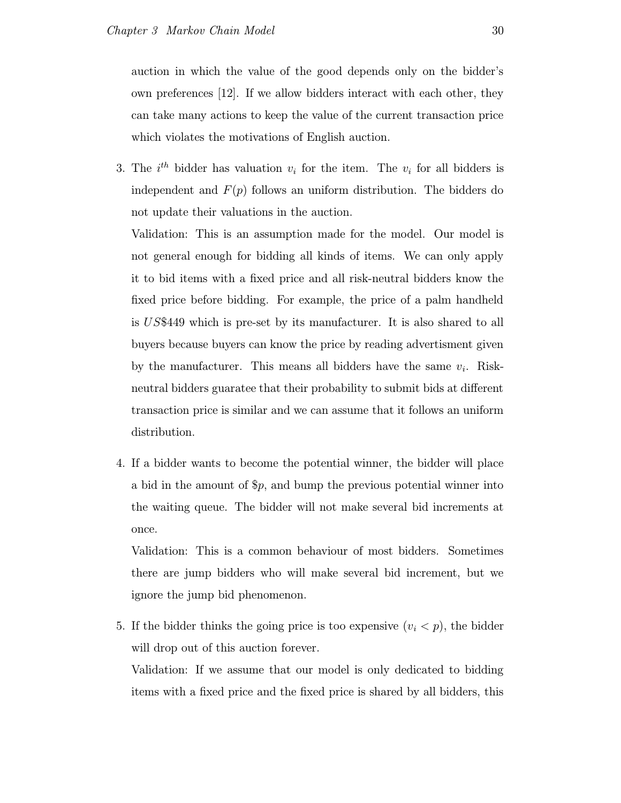auction in which the value of the good depends only on the bidder's own preferences [12]. If we allow bidders interact with each other, they can take many actions to keep the value of the current transaction price which violates the motivations of English auction.

3. The  $i^{th}$  bidder has valuation  $v_i$  for the item. The  $v_i$  for all bidders is independent and  $F(p)$  follows an uniform distribution. The bidders do not update their valuations in the auction.

Validation: This is an assumption made for the model. Our model is not general enough for bidding all kinds of items. We can only apply it to bid items with a fixed price and all risk-neutral bidders know the fixed price before bidding. For example, the price of a palm handheld is US\$449 which is pre-set by its manufacturer. It is also shared to all buyers because buyers can know the price by reading advertisment given by the manufacturer. This means all bidders have the same  $v_i$ . Riskneutral bidders guaratee that their probability to submit bids at different transaction price is similar and we can assume that it follows an uniform distribution.

4. If a bidder wants to become the potential winner, the bidder will place a bid in the amount of  $\hat{p}$ , and bump the previous potential winner into the waiting queue. The bidder will not make several bid increments at once.

Validation: This is a common behaviour of most bidders. Sometimes there are jump bidders who will make several bid increment, but we ignore the jump bid phenomenon.

5. If the bidder thinks the going price is too expensive  $(v_i < p)$ , the bidder will drop out of this auction forever.

Validation: If we assume that our model is only dedicated to bidding items with a fixed price and the fixed price is shared by all bidders, this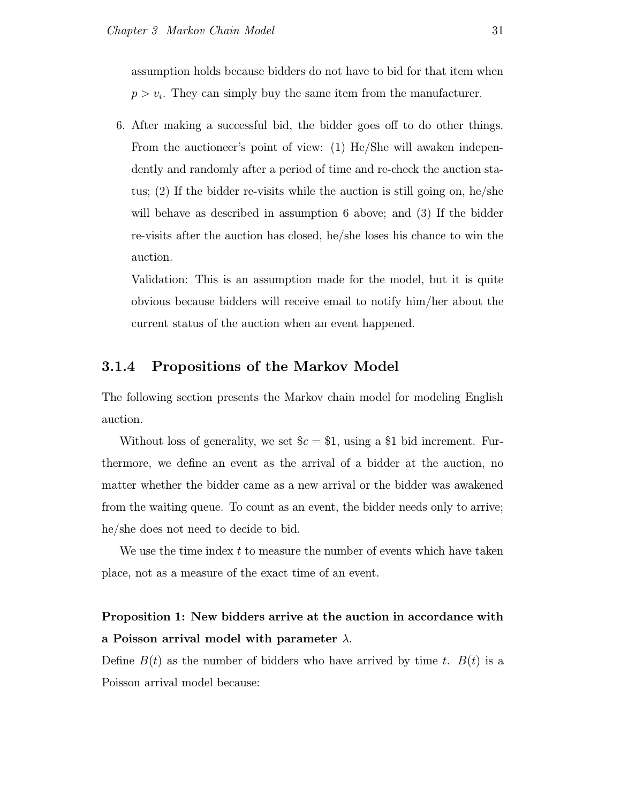assumption holds because bidders do not have to bid for that item when  $p > v_i$ . They can simply buy the same item from the manufacturer.

6. After making a successful bid, the bidder goes off to do other things. From the auctioneer's point of view: (1) He/She will awaken independently and randomly after a period of time and re-check the auction status;  $(2)$  If the bidder re-visits while the auction is still going on, he/she will behave as described in assumption 6 above; and (3) If the bidder re-visits after the auction has closed, he/she loses his chance to win the auction.

Validation: This is an assumption made for the model, but it is quite obvious because bidders will receive email to notify him/her about the current status of the auction when an event happened.

### 3.1.4 Propositions of the Markov Model

The following section presents the Markov chain model for modeling English auction.

Without loss of generality, we set  $c = $1$ , using a \$1 bid increment. Furthermore, we define an event as the arrival of a bidder at the auction, no matter whether the bidder came as a new arrival or the bidder was awakened from the waiting queue. To count as an event, the bidder needs only to arrive; he/she does not need to decide to bid.

We use the time index  $t$  to measure the number of events which have taken place, not as a measure of the exact time of an event.

# Proposition 1: New bidders arrive at the auction in accordance with a Poisson arrival model with parameter  $\lambda$ .

Define  $B(t)$  as the number of bidders who have arrived by time t.  $B(t)$  is a Poisson arrival model because: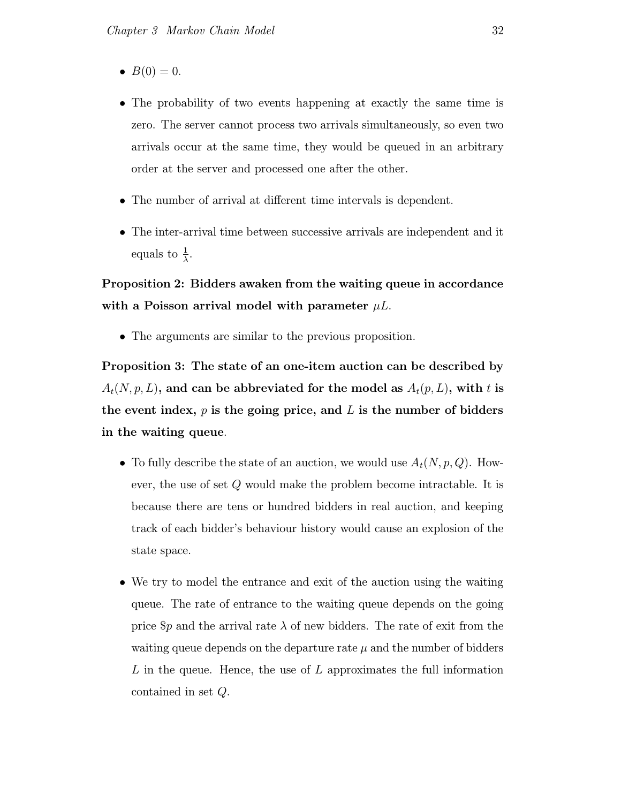- $B(0) = 0$ .
- The probability of two events happening at exactly the same time is zero. The server cannot process two arrivals simultaneously, so even two arrivals occur at the same time, they would be queued in an arbitrary order at the server and processed one after the other.
- The number of arrival at different time intervals is dependent.
- The inter-arrival time between successive arrivals are independent and it equals to  $\frac{1}{\lambda}$ .

Proposition 2: Bidders awaken from the waiting queue in accordance with a Poisson arrival model with parameter  $\mu L$ .

• The arguments are similar to the previous proposition.

Proposition 3: The state of an one-item auction can be described by  $A_t(N, p, L)$ , and can be abbreviated for the model as  $A_t(p, L)$ , with t is the event index,  $p$  is the going price, and  $L$  is the number of bidders in the waiting queue.

- To fully describe the state of an auction, we would use  $A_t(N, p, Q)$ . However, the use of set Q would make the problem become intractable. It is because there are tens or hundred bidders in real auction, and keeping track of each bidder's behaviour history would cause an explosion of the state space.
- We try to model the entrance and exit of the auction using the waiting queue. The rate of entrance to the waiting queue depends on the going price  $\wp$  and the arrival rate  $\lambda$  of new bidders. The rate of exit from the waiting queue depends on the departure rate  $\mu$  and the number of bidders L in the queue. Hence, the use of L approximates the full information contained in set Q.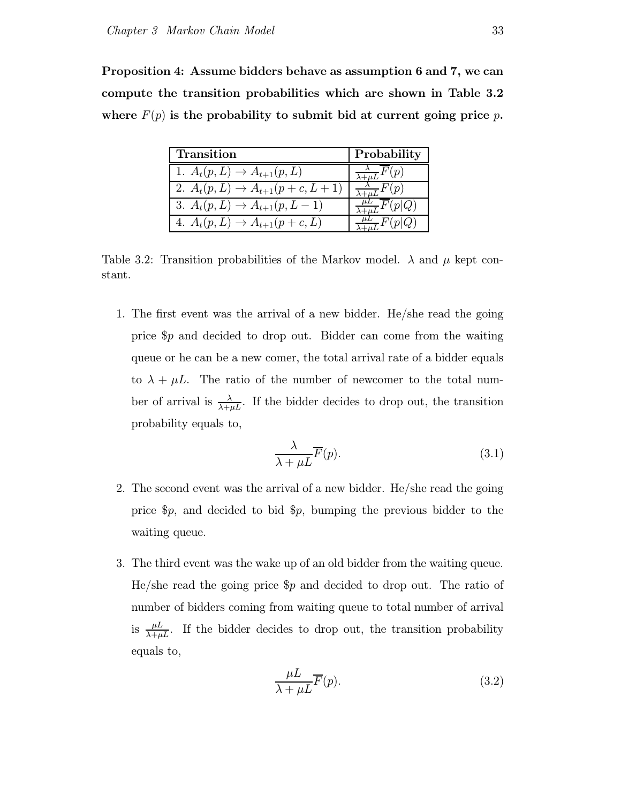Proposition 4: Assume bidders behave as assumption 6 and 7, we can compute the transition probabilities which are shown in Table 3.2 where  $F(p)$  is the probability to submit bid at current going price p.

| <b>Transition</b>                        | Probability                            |
|------------------------------------------|----------------------------------------|
| 1. $A_t(p, L) \to A_{t+1}(p, L)$         | $\frac{\lambda}{\lambda + \mu L} F(p)$ |
| 2. $A_t(p, L) \to A_{t+1}(p + c, L + 1)$ | $\frac{\lambda}{\sqrt{1+\mu I}}F(p)$   |
| 3. $A_t(p, L) \to A_{t+1}(p, L-1)$       | F(p Q)                                 |
| 4. $A_t(p, L) \to A_{t+1}(p + c, L)$     | $\tau F(p Q)$                          |

Table 3.2: Transition probabilities of the Markov model.  $\lambda$  and  $\mu$  kept constant.

1. The first event was the arrival of a new bidder. He/she read the going price \$p and decided to drop out. Bidder can come from the waiting queue or he can be a new comer, the total arrival rate of a bidder equals to  $\lambda + \mu L$ . The ratio of the number of newcomer to the total number of arrival is  $\frac{\lambda}{\lambda+\mu L}$ . If the bidder decides to drop out, the transition probability equals to,

$$
\frac{\lambda}{\lambda + \mu L} \overline{F}(p). \tag{3.1}
$$

- 2. The second event was the arrival of a new bidder. He/she read the going price \$p, and decided to bid \$p, bumping the previous bidder to the waiting queue.
- 3. The third event was the wake up of an old bidder from the waiting queue. He/she read the going price  $\wp$  and decided to drop out. The ratio of number of bidders coming from waiting queue to total number of arrival is  $\frac{\mu L}{\lambda + \mu L}$ . If the bidder decides to drop out, the transition probability equals to,

$$
\frac{\mu L}{\lambda + \mu L} \overline{F}(p). \tag{3.2}
$$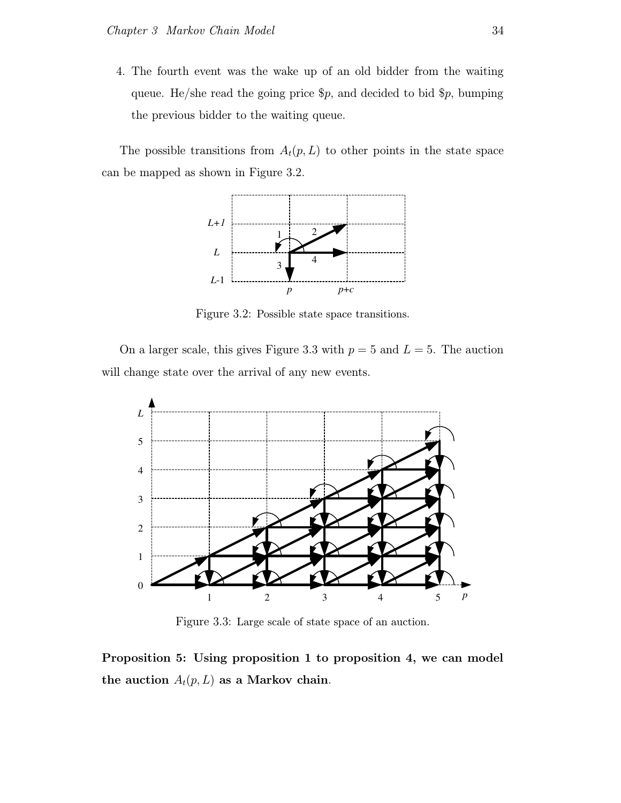4. The fourth event was the wake up of an old bidder from the waiting queue. He/she read the going price  $\wp$ , and decided to bid  $\wp$ , bumping the previous bidder to the waiting queue.

The possible transitions from  $A_t(p, L)$  to other points in the state space can be mapped as shown in Figure 3.2.



Figure 3.2: Possible state space transitions.

On a larger scale, this gives Figure 3.3 with  $p = 5$  and  $L = 5$ . The auction will change state over the arrival of any new events.



Figure 3.3: Large scale of state space of an auction.

Proposition 5: Using proposition 1 to proposition 4, we can model the auction  $A_t(p, L)$  as a Markov chain.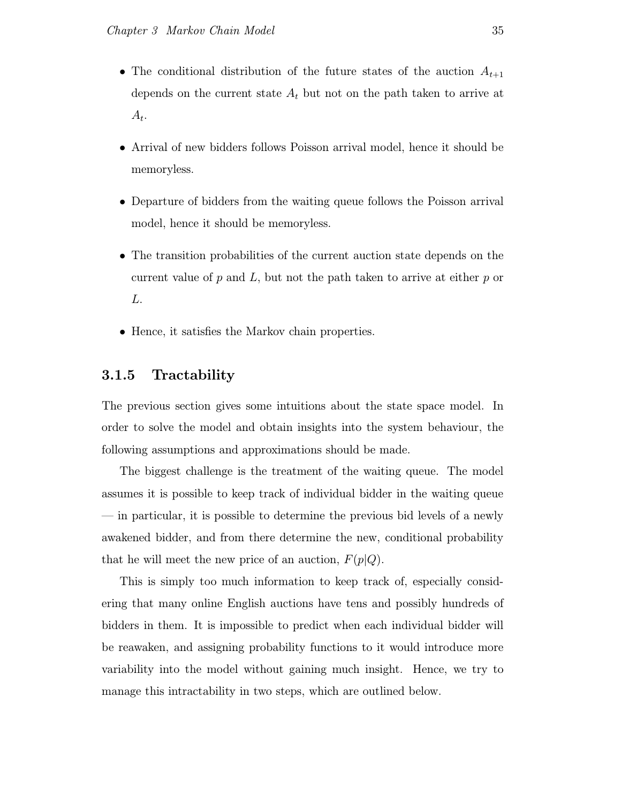- The conditional distribution of the future states of the auction  $A_{t+1}$ depends on the current state  $A_t$  but not on the path taken to arrive at  $A_t$ .
- Arrival of new bidders follows Poisson arrival model, hence it should be memoryless.
- Departure of bidders from the waiting queue follows the Poisson arrival model, hence it should be memoryless.
- The transition probabilities of the current auction state depends on the current value of  $p$  and  $L$ , but not the path taken to arrive at either  $p$  or L.
- Hence, it satisfies the Markov chain properties.

## 3.1.5 Tractability

The previous section gives some intuitions about the state space model. In order to solve the model and obtain insights into the system behaviour, the following assumptions and approximations should be made.

The biggest challenge is the treatment of the waiting queue. The model assumes it is possible to keep track of individual bidder in the waiting queue — in particular, it is possible to determine the previous bid levels of a newly awakened bidder, and from there determine the new, conditional probability that he will meet the new price of an auction,  $F(p|Q)$ .

This is simply too much information to keep track of, especially considering that many online English auctions have tens and possibly hundreds of bidders in them. It is impossible to predict when each individual bidder will be reawaken, and assigning probability functions to it would introduce more variability into the model without gaining much insight. Hence, we try to manage this intractability in two steps, which are outlined below.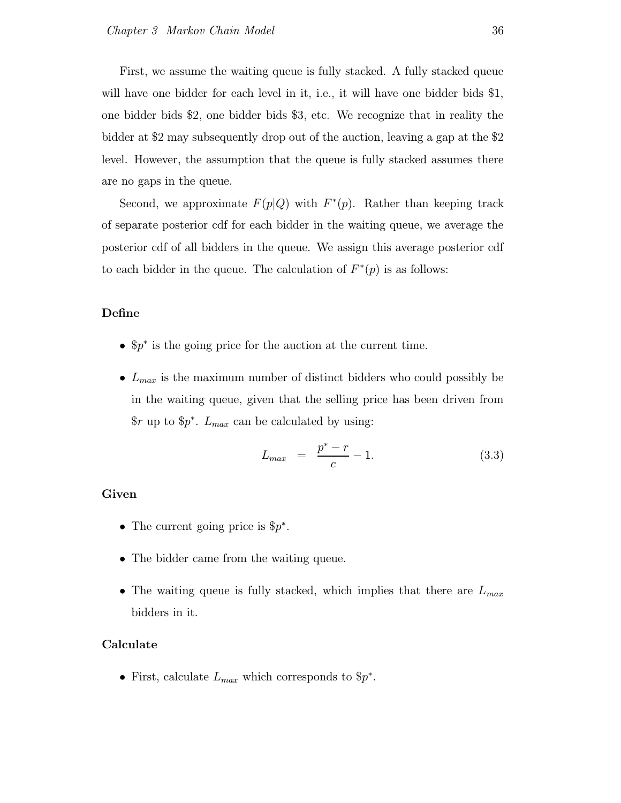First, we assume the waiting queue is fully stacked. A fully stacked queue will have one bidder for each level in it, i.e., it will have one bidder bids \$1, one bidder bids \$2, one bidder bids \$3, etc. We recognize that in reality the bidder at \$2 may subsequently drop out of the auction, leaving a gap at the \$2 level. However, the assumption that the queue is fully stacked assumes there are no gaps in the queue.

Second, we approximate  $F(p|Q)$  with  $F^*(p)$ . Rather than keeping track of separate posterior cdf for each bidder in the waiting queue, we average the posterior cdf of all bidders in the queue. We assign this average posterior cdf to each bidder in the queue. The calculation of  $F^*(p)$  is as follows:

#### Define

- \$p ∗ is the going price for the auction at the current time.
- $L_{max}$  is the maximum number of distinct bidders who could possibly be in the waiting queue, given that the selling price has been driven from  $\text{\$r}$  up to  $\text{\$p*}$ .  $L_{max}$  can be calculated by using:

$$
L_{max} = \frac{p^* - r}{c} - 1. \tag{3.3}
$$

#### Given

- The current going price is  $\oint p^*$ .
- The bidder came from the waiting queue.
- The waiting queue is fully stacked, which implies that there are  $L_{max}$ bidders in it.

#### Calculate

• First, calculate  $L_{max}$  which corresponds to  $p^*$ .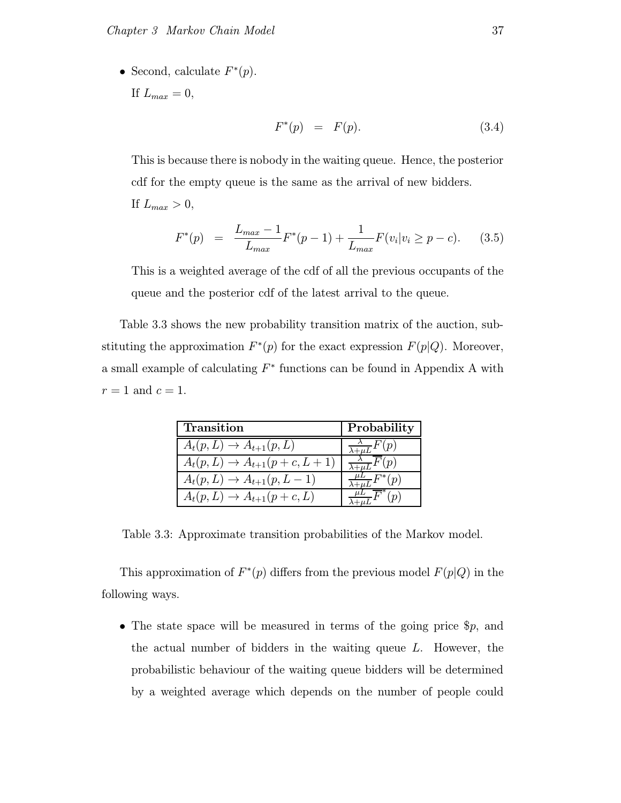• Second, calculate  $F^*(p)$ .

If  $L_{max} = 0$ ,

$$
F^*(p) = F(p). \tag{3.4}
$$

This is because there is nobody in the waiting queue. Hence, the posterior cdf for the empty queue is the same as the arrival of new bidders. If  $L_{max} > 0$ ,

$$
F^*(p) = \frac{L_{max} - 1}{L_{max}} F^*(p - 1) + \frac{1}{L_{max}} F(v_i | v_i \ge p - c). \tag{3.5}
$$

This is a weighted average of the cdf of all the previous occupants of the queue and the posterior cdf of the latest arrival to the queue.

Table 3.3 shows the new probability transition matrix of the auction, substituting the approximation  $F^*(p)$  for the exact expression  $F(p|Q)$ . Moreover, a small example of calculating  $F^*$  functions can be found in Appendix A with  $r = 1$  and  $c = 1$ .

| Transition                            | Probability                               |
|---------------------------------------|-------------------------------------------|
| $A_t(p,L) \rightarrow A_{t+1}(p,L)$   | $\frac{\lambda}{\lambda + \mu L} F(p)$    |
| $A_t(p, L) \to A_{t+1}(p + c, L + 1)$ | $\frac{\overline{\lambda}}{\sqrt{F}}F(p)$ |
| $A_t(p, L) \to A_{t+1}(p, L-1)$       | $-F^*(p)$                                 |
| $A_t(p,L) \rightarrow A_{t+1}(p+c,L)$ | (p)                                       |

Table 3.3: Approximate transition probabilities of the Markov model.

This approximation of  $F^*(p)$  differs from the previous model  $F(p|Q)$  in the following ways.

• The state space will be measured in terms of the going price  $\hat{p}$ , and the actual number of bidders in the waiting queue L. However, the probabilistic behaviour of the waiting queue bidders will be determined by a weighted average which depends on the number of people could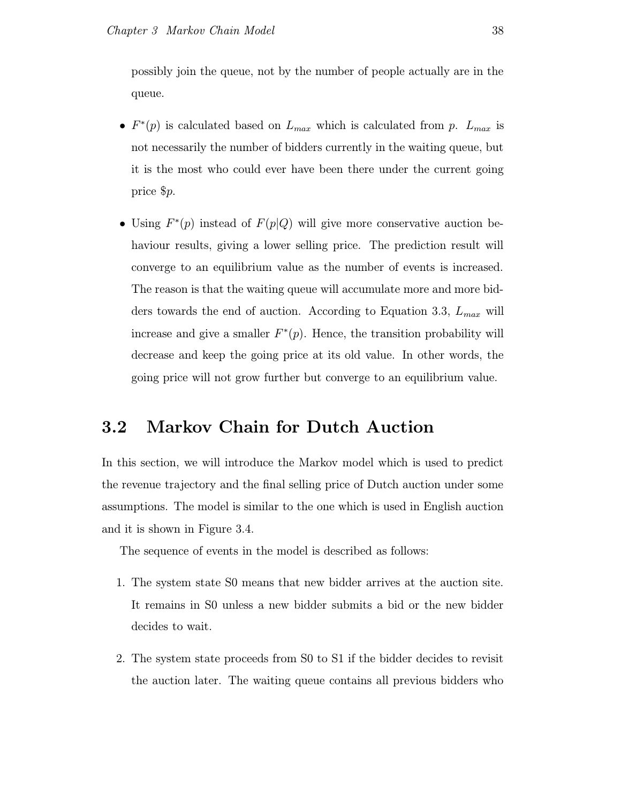possibly join the queue, not by the number of people actually are in the queue.

- $F^*(p)$  is calculated based on  $L_{max}$  which is calculated from p.  $L_{max}$  is not necessarily the number of bidders currently in the waiting queue, but it is the most who could ever have been there under the current going price \$p.
- Using  $F^*(p)$  instead of  $F(p|Q)$  will give more conservative auction behaviour results, giving a lower selling price. The prediction result will converge to an equilibrium value as the number of events is increased. The reason is that the waiting queue will accumulate more and more bidders towards the end of auction. According to Equation 3.3,  $L_{max}$  will increase and give a smaller  $F^*(p)$ . Hence, the transition probability will decrease and keep the going price at its old value. In other words, the going price will not grow further but converge to an equilibrium value.

# 3.2 Markov Chain for Dutch Auction

In this section, we will introduce the Markov model which is used to predict the revenue trajectory and the final selling price of Dutch auction under some assumptions. The model is similar to the one which is used in English auction and it is shown in Figure 3.4.

The sequence of events in the model is described as follows:

- 1. The system state S0 means that new bidder arrives at the auction site. It remains in S0 unless a new bidder submits a bid or the new bidder decides to wait.
- 2. The system state proceeds from S0 to S1 if the bidder decides to revisit the auction later. The waiting queue contains all previous bidders who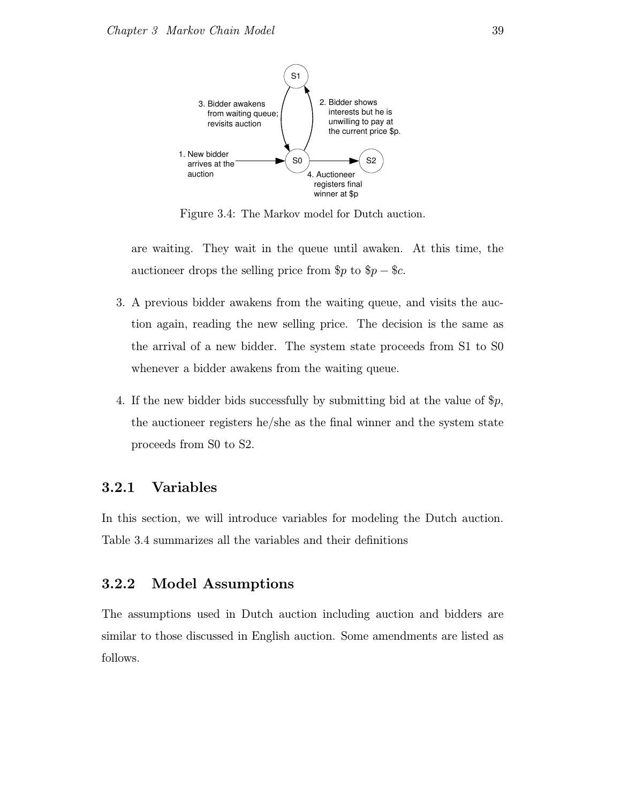

Figure 3.4: The Markov model for Dutch auction.

are waiting. They wait in the queue until awaken. At this time, the auctioneer drops the selling price from  $p$  to  $p - \text{\$c.}$ 

- 3. A previous bidder awakens from the waiting queue, and visits the auction again, reading the new selling price. The decision is the same as the arrival of a new bidder. The system state proceeds from S1 to S0 whenever a bidder awakens from the waiting queue.
- 4. If the new bidder bids successfully by submitting bid at the value of  $\mathcal{P}_p$ , the auctioneer registers he/she as the final winner and the system state proceeds from S0 to S2.

### 3.2.1 Variables

In this section, we will introduce variables for modeling the Dutch auction. Table 3.4 summarizes all the variables and their definitions

## 3.2.2 Model Assumptions

The assumptions used in Dutch auction including auction and bidders are similar to those discussed in English auction. Some amendments are listed as follows.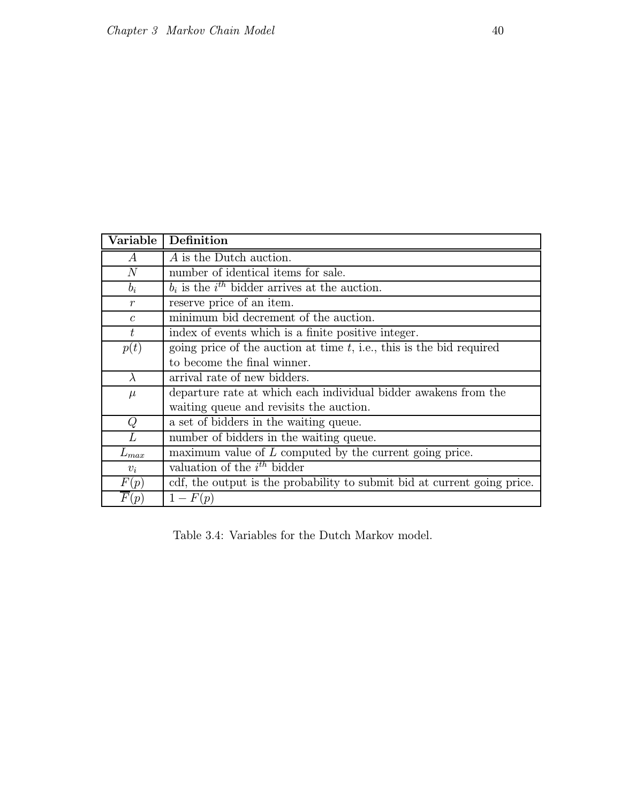| Variable          | Definition                                                               |  |  |
|-------------------|--------------------------------------------------------------------------|--|--|
| $\boldsymbol{A}$  | A is the Dutch auction.                                                  |  |  |
| N                 | number of identical items for sale.                                      |  |  |
| $b_i$             | $b_i$ is the $i^{th}$ bidder arrives at the auction.                     |  |  |
| $\boldsymbol{r}$  | reserve price of an item.                                                |  |  |
| $\mathcal{C}$     | minimum bid decrement of the auction.                                    |  |  |
| t                 | index of events which is a finite positive integer.                      |  |  |
| p(t)              | going price of the auction at time $t$ , i.e., this is the bid required  |  |  |
|                   | to become the final winner.                                              |  |  |
| $\lambda$         | arrival rate of new bidders.                                             |  |  |
| $\mu$             | departure rate at which each individual bidder awakens from the          |  |  |
|                   | waiting queue and revisits the auction.                                  |  |  |
| Q                 | a set of bidders in the waiting queue.                                   |  |  |
| $\overline{L}$    | number of bidders in the waiting queue.                                  |  |  |
| $L_{max}$         | maximum value of $L$ computed by the current going price.                |  |  |
| $v_i$             | valuation of the $i^{th}$ bidder                                         |  |  |
| F(p)              | cdf, the output is the probability to submit bid at current going price. |  |  |
| $\overline{F}(p)$ | $1-F(p)$                                                                 |  |  |

Table 3.4: Variables for the Dutch Markov model.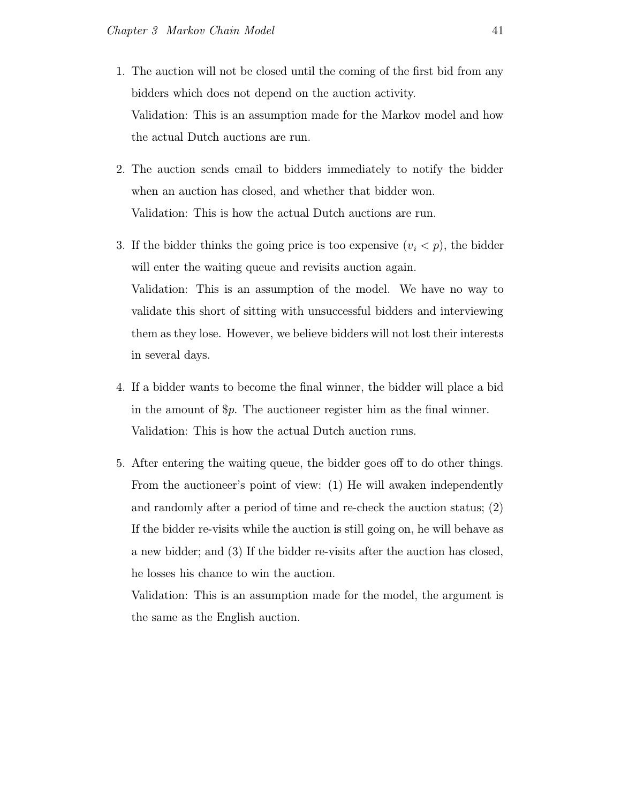- 1. The auction will not be closed until the coming of the first bid from any bidders which does not depend on the auction activity. Validation: This is an assumption made for the Markov model and how the actual Dutch auctions are run.
- 2. The auction sends email to bidders immediately to notify the bidder when an auction has closed, and whether that bidder won. Validation: This is how the actual Dutch auctions are run.
- 3. If the bidder thinks the going price is too expensive  $(v_i < p)$ , the bidder will enter the waiting queue and revisits auction again. Validation: This is an assumption of the model. We have no way to validate this short of sitting with unsuccessful bidders and interviewing them as they lose. However, we believe bidders will not lost their interests in several days.
- 4. If a bidder wants to become the final winner, the bidder will place a bid in the amount of \$p. The auctioneer register him as the final winner. Validation: This is how the actual Dutch auction runs.
- 5. After entering the waiting queue, the bidder goes off to do other things. From the auctioneer's point of view: (1) He will awaken independently and randomly after a period of time and re-check the auction status; (2) If the bidder re-visits while the auction is still going on, he will behave as a new bidder; and (3) If the bidder re-visits after the auction has closed, he losses his chance to win the auction.

Validation: This is an assumption made for the model, the argument is the same as the English auction.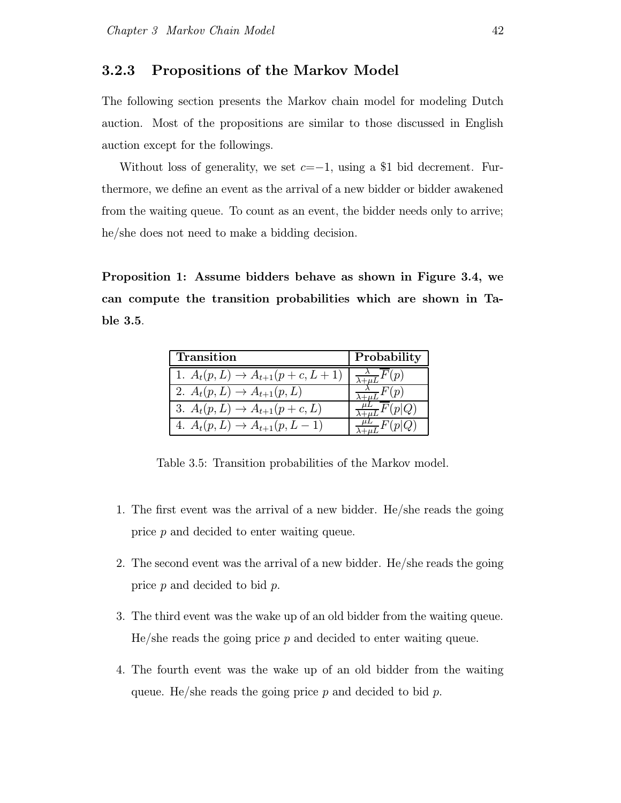#### 3.2.3 Propositions of the Markov Model

The following section presents the Markov chain model for modeling Dutch auction. Most of the propositions are similar to those discussed in English auction except for the followings.

Without loss of generality, we set  $c=-1$ , using a \$1 bid decrement. Furthermore, we define an event as the arrival of a new bidder or bidder awakened from the waiting queue. To count as an event, the bidder needs only to arrive; he/she does not need to make a bidding decision.

Proposition 1: Assume bidders behave as shown in Figure 3.4, we can compute the transition probabilities which are shown in Table 3.5.

| Transition                               | Probability                            |
|------------------------------------------|----------------------------------------|
| 1. $A_t(p, L) \to A_{t+1}(p + c, L + 1)$ | $\frac{\lambda}{\lambda + \mu L} F(p)$ |
| 2. $A_t(p, L) \to A_{t+1}(p, L)$         | $\frac{\lambda}{\lambda} F(p)$         |
| 3. $A_t(p, L) \to A_{t+1}(p + c, L)$     | $\frac{\mu}{\sqrt{2\pi}}F(p Q)$        |
| 4. $A_t(p, L) \to A_{t+1}(p, L-1)$       | $\frac{\mu}{\sqrt{2}}F(p Q)$           |

Table 3.5: Transition probabilities of the Markov model.

- 1. The first event was the arrival of a new bidder. He/she reads the going price p and decided to enter waiting queue.
- 2. The second event was the arrival of a new bidder. He/she reads the going price p and decided to bid p.
- 3. The third event was the wake up of an old bidder from the waiting queue.  $He/she$  reads the going price  $p$  and decided to enter waiting queue.
- 4. The fourth event was the wake up of an old bidder from the waiting queue. He/she reads the going price  $p$  and decided to bid  $p$ .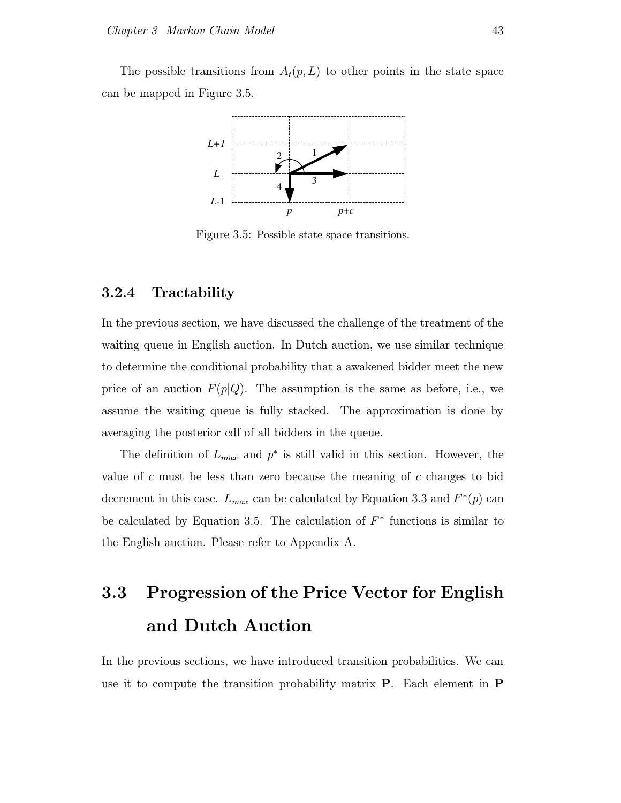The possible transitions from  $A_t(p, L)$  to other points in the state space can be mapped in Figure 3.5.



Figure 3.5: Possible state space transitions.

## 3.2.4 Tractability

In the previous section, we have discussed the challenge of the treatment of the waiting queue in English auction. In Dutch auction, we use similar technique to determine the conditional probability that a awakened bidder meet the new price of an auction  $F(p|Q)$ . The assumption is the same as before, i.e., we assume the waiting queue is fully stacked. The approximation is done by averaging the posterior cdf of all bidders in the queue.

The definition of  $L_{max}$  and  $p^*$  is still valid in this section. However, the value of c must be less than zero because the meaning of c changes to bid decrement in this case.  $L_{max}$  can be calculated by Equation 3.3 and  $F^*(p)$  can be calculated by Equation 3.5. The calculation of  $F^*$  functions is similar to the English auction. Please refer to Appendix A.

# 3.3 Progression of the Price Vector for English and Dutch Auction

In the previous sections, we have introduced transition probabilities. We can use it to compute the transition probability matrix P. Each element in P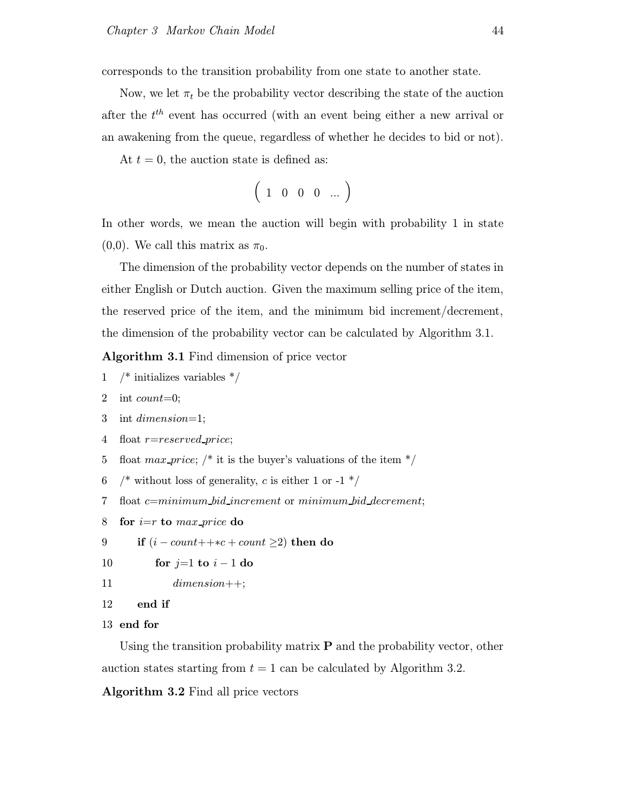corresponds to the transition probability from one state to another state.

Now, we let  $\pi_t$  be the probability vector describing the state of the auction after the  $t<sup>th</sup>$  event has occurred (with an event being either a new arrival or an awakening from the queue, regardless of whether he decides to bid or not).

At  $t = 0$ , the auction state is defined as:

$$
\left(\begin{array}{cccc}1&0&0&0&\dots\end{array}\right)
$$

In other words, we mean the auction will begin with probability 1 in state  $(0,0)$ . We call this matrix as  $\pi_0$ .

The dimension of the probability vector depends on the number of states in either English or Dutch auction. Given the maximum selling price of the item, the reserved price of the item, and the minimum bid increment/decrement, the dimension of the probability vector can be calculated by Algorithm 3.1.

Algorithm 3.1 Find dimension of price vector

- 1 /\* initializes variables \*/
- 2 int *count*=0;
- 3 int dimension=1;
- 4 float *r*=reserved\_price;
- 5 float max-price;  $\frac{1}{3}$  it is the buyer's valuations of the item  $\frac{k}{3}$
- 6 /\* without loss of generality, c is either 1 or -1  $*/$
- 7 float c=minimum bid increment or minimum bid decrement;
- 8 for  $i=r$  to max price do
- 9 if  $(i count++\kappa + count \geq 2)$  then do
- 10 for  $j=1$  to  $i-1$  do
- 11 dimension++;
- 12 end if
- 13 end for

Using the transition probability matrix  $P$  and the probability vector, other auction states starting from  $t = 1$  can be calculated by Algorithm 3.2.

Algorithm 3.2 Find all price vectors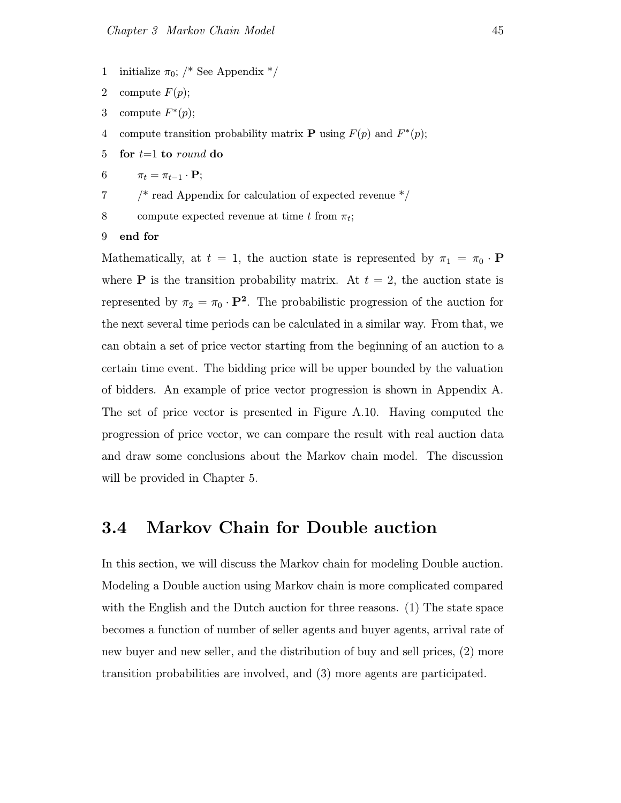- 1 initialize  $\pi_0$ ; /\* See Appendix \*/
- 2 compute  $F(p)$ ;
- 3 compute  $F^*(p)$ ;
- 4 compute transition probability matrix **P** using  $F(p)$  and  $F^*(p)$ ;
- 5 for  $t=1$  to round do
- 6  $\pi_t = \pi_{t-1} \cdot \mathbf{P};$
- 7 /\* read Appendix for calculation of expected revenue \*/
- 8 compute expected revenue at time t from  $\pi_t$ ;
- 9 end for

Mathematically, at  $t = 1$ , the auction state is represented by  $\pi_1 = \pi_0 \cdot \mathbf{P}$ where **P** is the transition probability matrix. At  $t = 2$ , the auction state is represented by  $\pi_2 = \pi_0 \cdot \mathbf{P}^2$ . The probabilistic progression of the auction for the next several time periods can be calculated in a similar way. From that, we can obtain a set of price vector starting from the beginning of an auction to a certain time event. The bidding price will be upper bounded by the valuation of bidders. An example of price vector progression is shown in Appendix A. The set of price vector is presented in Figure A.10. Having computed the progression of price vector, we can compare the result with real auction data and draw some conclusions about the Markov chain model. The discussion will be provided in Chapter 5.

# 3.4 Markov Chain for Double auction

In this section, we will discuss the Markov chain for modeling Double auction. Modeling a Double auction using Markov chain is more complicated compared with the English and the Dutch auction for three reasons. (1) The state space becomes a function of number of seller agents and buyer agents, arrival rate of new buyer and new seller, and the distribution of buy and sell prices, (2) more transition probabilities are involved, and (3) more agents are participated.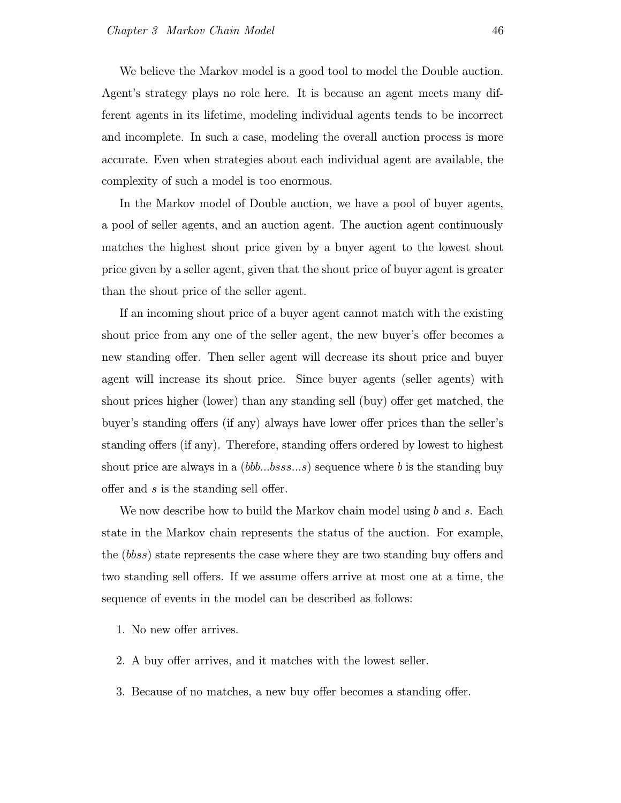We believe the Markov model is a good tool to model the Double auction. Agent's strategy plays no role here. It is because an agent meets many different agents in its lifetime, modeling individual agents tends to be incorrect and incomplete. In such a case, modeling the overall auction process is more accurate. Even when strategies about each individual agent are available, the complexity of such a model is too enormous.

In the Markov model of Double auction, we have a pool of buyer agents, a pool of seller agents, and an auction agent. The auction agent continuously matches the highest shout price given by a buyer agent to the lowest shout price given by a seller agent, given that the shout price of buyer agent is greater than the shout price of the seller agent.

If an incoming shout price of a buyer agent cannot match with the existing shout price from any one of the seller agent, the new buyer's offer becomes a new standing offer. Then seller agent will decrease its shout price and buyer agent will increase its shout price. Since buyer agents (seller agents) with shout prices higher (lower) than any standing sell (buy) offer get matched, the buyer's standing offers (if any) always have lower offer prices than the seller's standing offers (if any). Therefore, standing offers ordered by lowest to highest shout price are always in a  $(bbb...bss...s)$  sequence where b is the standing buy offer and s is the standing sell offer.

We now describe how to build the Markov chain model using b and s. Each state in the Markov chain represents the status of the auction. For example, the (bbss) state represents the case where they are two standing buy offers and two standing sell offers. If we assume offers arrive at most one at a time, the sequence of events in the model can be described as follows:

- 1. No new offer arrives.
- 2. A buy offer arrives, and it matches with the lowest seller.
- 3. Because of no matches, a new buy offer becomes a standing offer.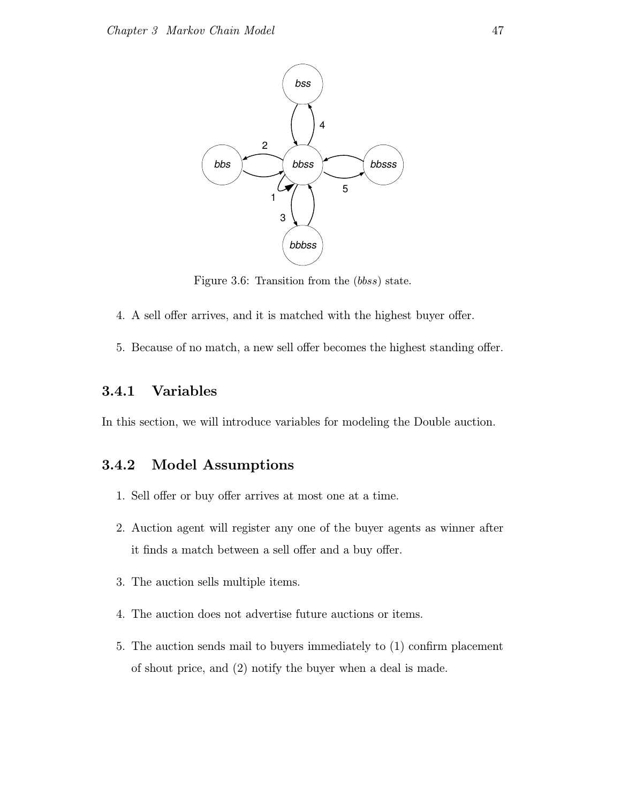

Figure 3.6: Transition from the (bbss) state.

- 4. A sell offer arrives, and it is matched with the highest buyer offer.
- 5. Because of no match, a new sell offer becomes the highest standing offer.

## 3.4.1 Variables

In this section, we will introduce variables for modeling the Double auction.

## 3.4.2 Model Assumptions

- 1. Sell offer or buy offer arrives at most one at a time.
- 2. Auction agent will register any one of the buyer agents as winner after it finds a match between a sell offer and a buy offer.
- 3. The auction sells multiple items.
- 4. The auction does not advertise future auctions or items.
- 5. The auction sends mail to buyers immediately to (1) confirm placement of shout price, and (2) notify the buyer when a deal is made.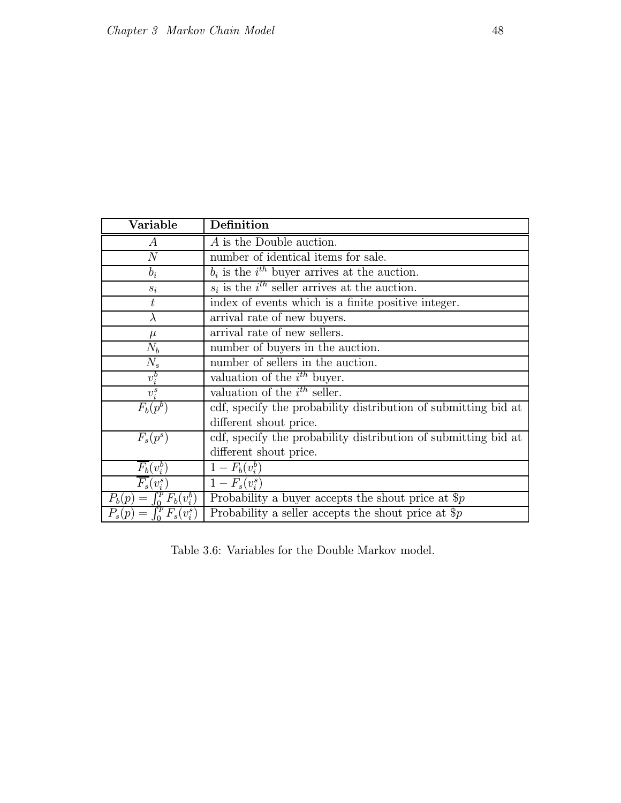| Variable                              | Definition                                                     |  |
|---------------------------------------|----------------------------------------------------------------|--|
| $\overline{A}$                        | A is the Double auction.                                       |  |
| $\overline{N}$                        | number of identical items for sale.                            |  |
| $b_i$                                 | $b_i$ is the $i^{th}$ buyer arrives at the auction.            |  |
| $s_i$                                 | $s_i$ is the $i^{th}$ seller arrives at the auction.           |  |
| t                                     | index of events which is a finite positive integer.            |  |
| $\lambda$                             | arrival rate of new buyers.                                    |  |
| $\mu$                                 | arrival rate of new sellers.                                   |  |
| $N_b$                                 | number of buyers in the auction.                               |  |
| $N_s$                                 | number of sellers in the auction.                              |  |
| $v_i^b$                               | valuation of the $i^{th}$ buyer.                               |  |
| $v_i^s$                               | valuation of the $i^{th}$ seller.                              |  |
| $F_b(p^b)$                            | cdf, specify the probability distribution of submitting bid at |  |
|                                       | different shout price.                                         |  |
| $F_s(p^s)$                            | cdf, specify the probability distribution of submitting bid at |  |
|                                       | different shout price.                                         |  |
| $\overline{F_b}(v_i^b)$               | $1 - F_b(v_i^b)$                                               |  |
| $F_s(v_i^s)$                          | $1 - F_s(v_i^s)$                                               |  |
| $\int_{0}^{p} F_b(v_i^b)$<br>$P_b(p)$ | Probability a buyer accepts the shout price at $\text{\$}p$    |  |
| $F_s(v_i^s)$<br>$P_s(p)$              | Probability a seller accepts the shout price at $\hat{p}$      |  |

Table 3.6: Variables for the Double Markov model.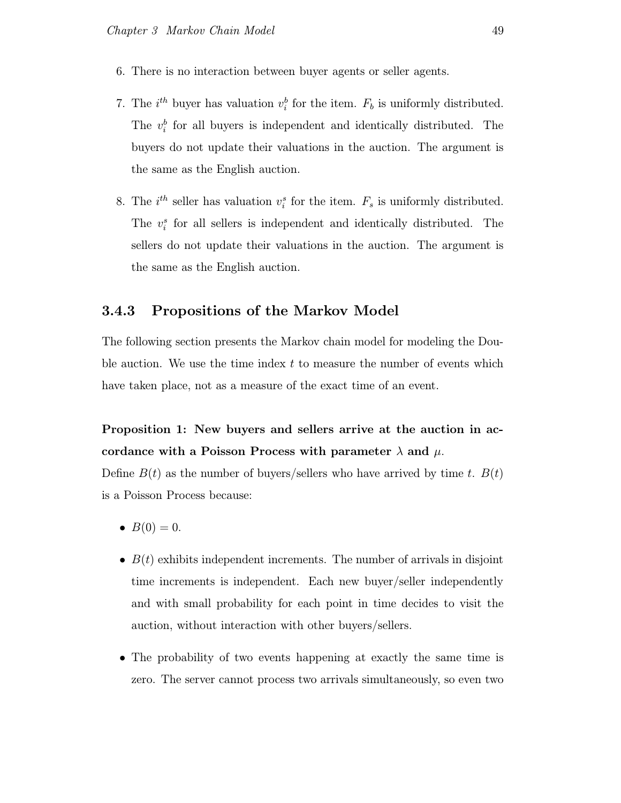- 6. There is no interaction between buyer agents or seller agents.
- 7. The  $i^{th}$  buyer has valuation  $v_i^b$  for the item.  $F_b$  is uniformly distributed. The  $v_i^b$  for all buyers is independent and identically distributed. The buyers do not update their valuations in the auction. The argument is the same as the English auction.
- 8. The  $i^{th}$  seller has valuation  $v_i^s$  for the item.  $F_s$  is uniformly distributed. The  $v_i^s$  for all sellers is independent and identically distributed. The sellers do not update their valuations in the auction. The argument is the same as the English auction.

### 3.4.3 Propositions of the Markov Model

The following section presents the Markov chain model for modeling the Double auction. We use the time index  $t$  to measure the number of events which have taken place, not as a measure of the exact time of an event.

Proposition 1: New buyers and sellers arrive at the auction in accordance with a Poisson Process with parameter  $\lambda$  and  $\mu$ .

Define  $B(t)$  as the number of buyers/sellers who have arrived by time t.  $B(t)$ is a Poisson Process because:

- $B(0) = 0$ .
- $B(t)$  exhibits independent increments. The number of arrivals in disjoint time increments is independent. Each new buyer/seller independently and with small probability for each point in time decides to visit the auction, without interaction with other buyers/sellers.
- The probability of two events happening at exactly the same time is zero. The server cannot process two arrivals simultaneously, so even two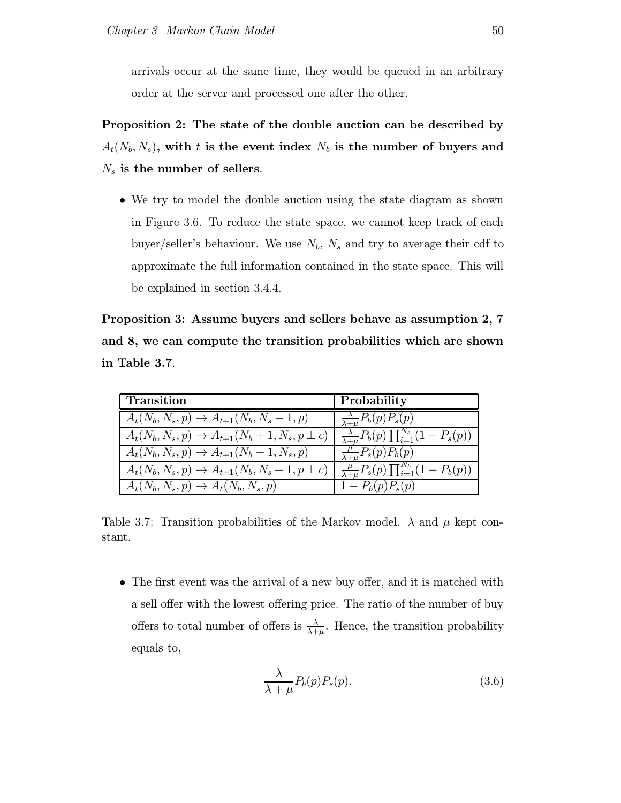arrivals occur at the same time, they would be queued in an arbitrary order at the server and processed one after the other.

Proposition 2: The state of the double auction can be described by  $A_t(N_b,N_s), \text{ with } t \text{ is the event index } N_b \text{ is the number of buyers and }$  $N<sub>s</sub>$  is the number of sellers.

• We try to model the double auction using the state diagram as shown in Figure 3.6. To reduce the state space, we cannot keep track of each buyer/seller's behaviour. We use  $N_b$ ,  $N_s$  and try to average their cdf to approximate the full information contained in the state space. This will be explained in section 3.4.4.

Proposition 3: Assume buyers and sellers behave as assumption 2, 7 and 8, we can compute the transition probabilities which are shown in Table 3.7.

| Transition                                            | Probability                                                    |
|-------------------------------------------------------|----------------------------------------------------------------|
| $A_t(N_b, N_s, p) \to A_{t+1}(N_b, N_s - 1, p)$       | $\frac{\lambda}{\lambda+\mu}P_b(p)P_s(p)$                      |
| $A_t(N_b, N_s, p) \to A_{t+1}(N_b + 1, N_s, p \pm c)$ | $\frac{\lambda}{\lambda+\mu}P_b(p)\prod_{i=1}^{N_s}(1-P_s(p))$ |
| $A_t(N_b, N_s, p) \to A_{t+1}(N_b - 1, N_s, p)$       | $\frac{\mu}{\lambda+\mu}P_s(p)P_b(p)$                          |
| $A_t(N_b, N_s, p) \to A_{t+1}(N_b, N_s + 1, p \pm c)$ | $\frac{\mu}{\lambda+\mu}P_s(p)\prod_{i=1}^{N_b}(1-P_b(p))$     |
| $A_t(N_b, N_s, p) \rightarrow A_t(N_b, N_s, p)$       | $1 - P_b(p) P_s(p)$                                            |

Table 3.7: Transition probabilities of the Markov model.  $\lambda$  and  $\mu$  kept constant.

• The first event was the arrival of a new buy offer, and it is matched with a sell offer with the lowest offering price. The ratio of the number of buy offers to total number of offers is  $\frac{\lambda}{\lambda+\mu}$ . Hence, the transition probability equals to,

$$
\frac{\lambda}{\lambda + \mu} P_b(p) P_s(p). \tag{3.6}
$$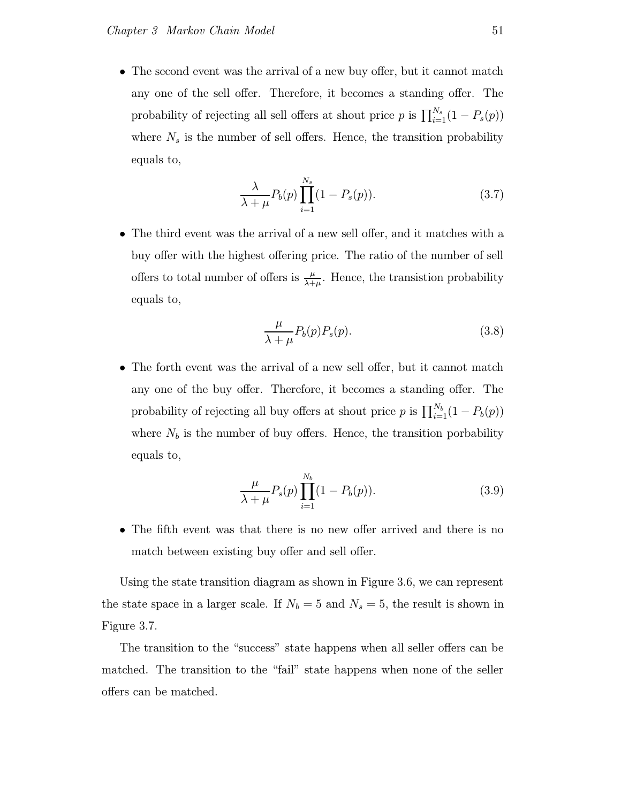• The second event was the arrival of a new buy offer, but it cannot match any one of the sell offer. Therefore, it becomes a standing offer. The probability of rejecting all sell offers at shout price p is  $\prod_{i=1}^{N_s} (1 - P_s(p))$ where  $N_s$  is the number of sell offers. Hence, the transition probability equals to,

$$
\frac{\lambda}{\lambda+\mu}P_b(p)\prod_{i=1}^{N_s}(1-P_s(p)).
$$
\n(3.7)

• The third event was the arrival of a new sell offer, and it matches with a buy offer with the highest offering price. The ratio of the number of sell offers to total number of offers is  $\frac{\mu}{\lambda+\mu}$ . Hence, the transistion probability equals to,

$$
\frac{\mu}{\lambda + \mu} P_b(p) P_s(p). \tag{3.8}
$$

• The forth event was the arrival of a new sell offer, but it cannot match any one of the buy offer. Therefore, it becomes a standing offer. The probability of rejecting all buy offers at shout price p is  $\prod_{i=1}^{N_b} (1 - P_b(p))$ where  $N_b$  is the number of buy offers. Hence, the transition porbability equals to,

$$
\frac{\mu}{\lambda + \mu} P_s(p) \prod_{i=1}^{N_b} (1 - P_b(p)).
$$
\n(3.9)

• The fifth event was that there is no new offer arrived and there is no match between existing buy offer and sell offer.

Using the state transition diagram as shown in Figure 3.6, we can represent the state space in a larger scale. If  $N_b = 5$  and  $N_s = 5$ , the result is shown in Figure 3.7.

The transition to the "success" state happens when all seller offers can be matched. The transition to the "fail" state happens when none of the seller offers can be matched.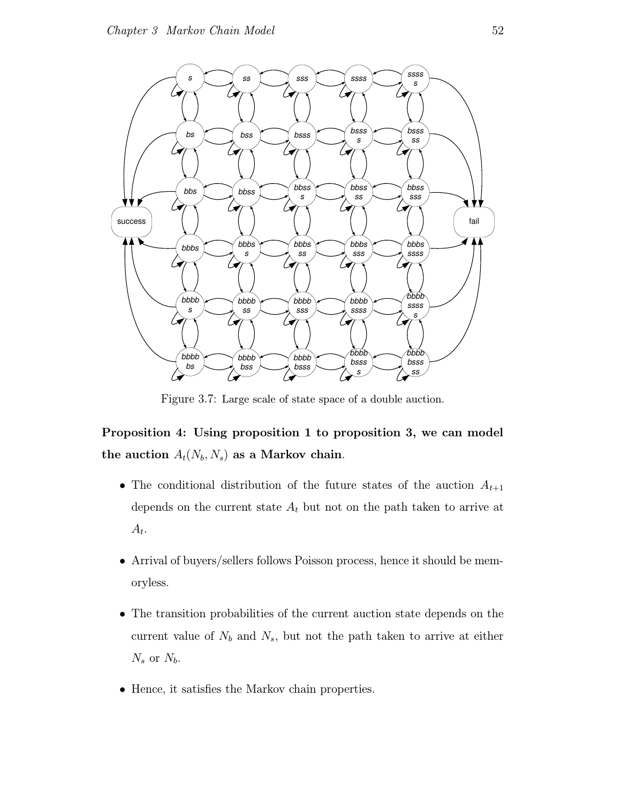

Figure 3.7: Large scale of state space of a double auction.

Proposition 4: Using proposition 1 to proposition 3, we can model the auction  $A_t(N_b, N_s)$  as a Markov chain.

- The conditional distribution of the future states of the auction  $A_{t+1}$ depends on the current state  $A_t$  but not on the path taken to arrive at  $A_t$ .
- Arrival of buyers/sellers follows Poisson process, hence it should be memoryless.
- The transition probabilities of the current auction state depends on the current value of  $N_b$  and  $N_s$ , but not the path taken to arrive at either  $N_s$  or  $N_b$ .
- Hence, it satisfies the Markov chain properties.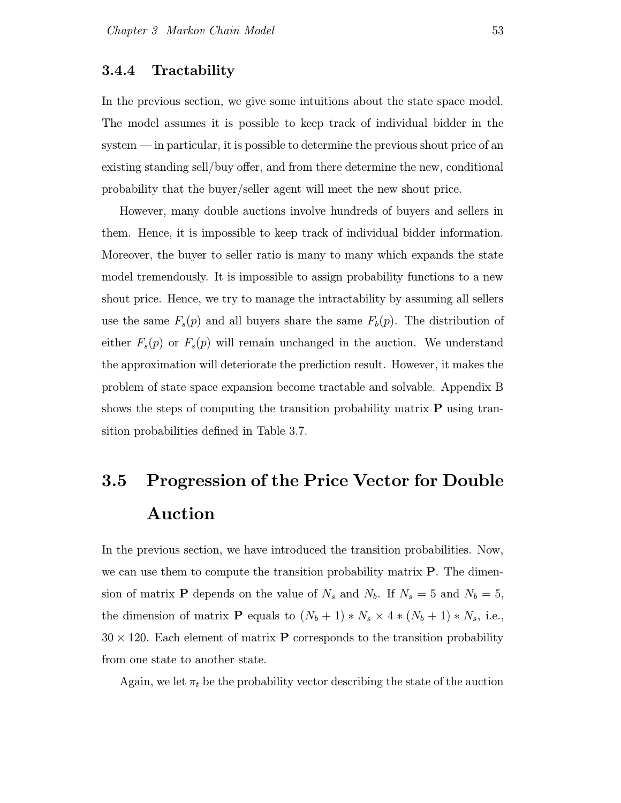### 3.4.4 Tractability

In the previous section, we give some intuitions about the state space model. The model assumes it is possible to keep track of individual bidder in the system — in particular, it is possible to determine the previous shout price of an existing standing sell/buy offer, and from there determine the new, conditional probability that the buyer/seller agent will meet the new shout price.

However, many double auctions involve hundreds of buyers and sellers in them. Hence, it is impossible to keep track of individual bidder information. Moreover, the buyer to seller ratio is many to many which expands the state model tremendously. It is impossible to assign probability functions to a new shout price. Hence, we try to manage the intractability by assuming all sellers use the same  $F_s(p)$  and all buyers share the same  $F_b(p)$ . The distribution of either  $F_s(p)$  or  $F_s(p)$  will remain unchanged in the auction. We understand the approximation will deteriorate the prediction result. However, it makes the problem of state space expansion become tractable and solvable. Appendix B shows the steps of computing the transition probability matrix  $P$  using transition probabilities defined in Table 3.7.

# 3.5 Progression of the Price Vector for Double Auction

In the previous section, we have introduced the transition probabilities. Now, we can use them to compute the transition probability matrix  $P$ . The dimension of matrix **P** depends on the value of  $N_s$  and  $N_b$ . If  $N_s = 5$  and  $N_b = 5$ , the dimension of matrix **P** equals to  $(N_b + 1) * N_s \times 4 * (N_b + 1) * N_s$ , i.e.,  $30 \times 120$ . Each element of matrix **P** corresponds to the transition probability from one state to another state.

Again, we let  $\pi_t$  be the probability vector describing the state of the auction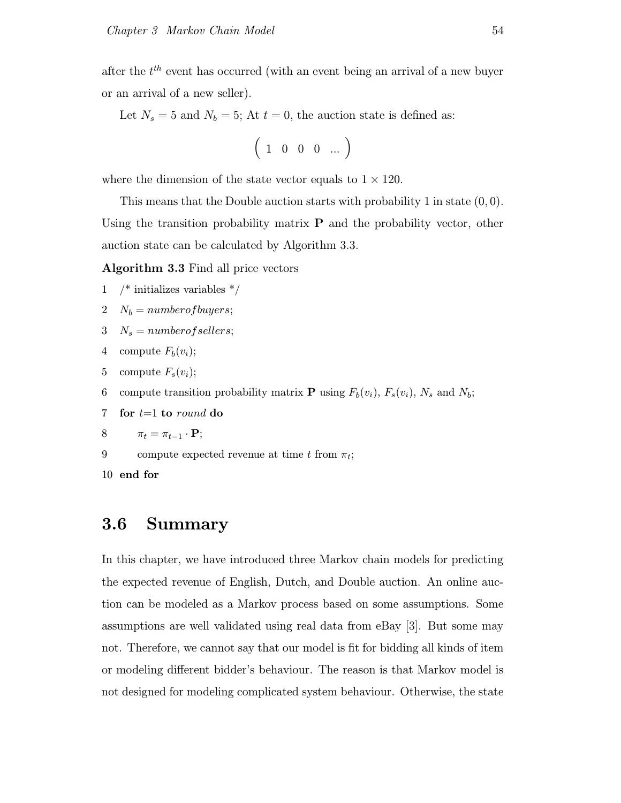after the  $t^{th}$  event has occurred (with an event being an arrival of a new buyer or an arrival of a new seller).

Let  $N_s = 5$  and  $N_b = 5$ ; At  $t = 0$ , the auction state is defined as:

$$
\left(\begin{array}{cccc}1&0&0&0&\dots\end{array}\right)
$$

where the dimension of the state vector equals to  $1 \times 120$ .

This means that the Double auction starts with probability 1 in state  $(0, 0)$ . Using the transition probability matrix  $P$  and the probability vector, other auction state can be calculated by Algorithm 3.3.

Algorithm 3.3 Find all price vectors

- 1 /\* initializes variables \*/
- 2  $N_b = number of buyers;$
- 3  $N_s = number of sellers;$
- 4 compute  $F_b(v_i)$ ;
- 5 compute  $F_s(v_i)$ ;
- 6 compute transition probability matrix **P** using  $F_b(v_i)$ ,  $F_s(v_i)$ ,  $N_s$  and  $N_b$ ;
- 7 for  $t=1$  to round do

$$
8 \qquad \pi_t = \pi_{t-1} \cdot \mathbf{P};
$$

9 compute expected revenue at time t from  $\pi_t$ ;

10 end for

# 3.6 Summary

In this chapter, we have introduced three Markov chain models for predicting the expected revenue of English, Dutch, and Double auction. An online auction can be modeled as a Markov process based on some assumptions. Some assumptions are well validated using real data from eBay [3]. But some may not. Therefore, we cannot say that our model is fit for bidding all kinds of item or modeling different bidder's behaviour. The reason is that Markov model is not designed for modeling complicated system behaviour. Otherwise, the state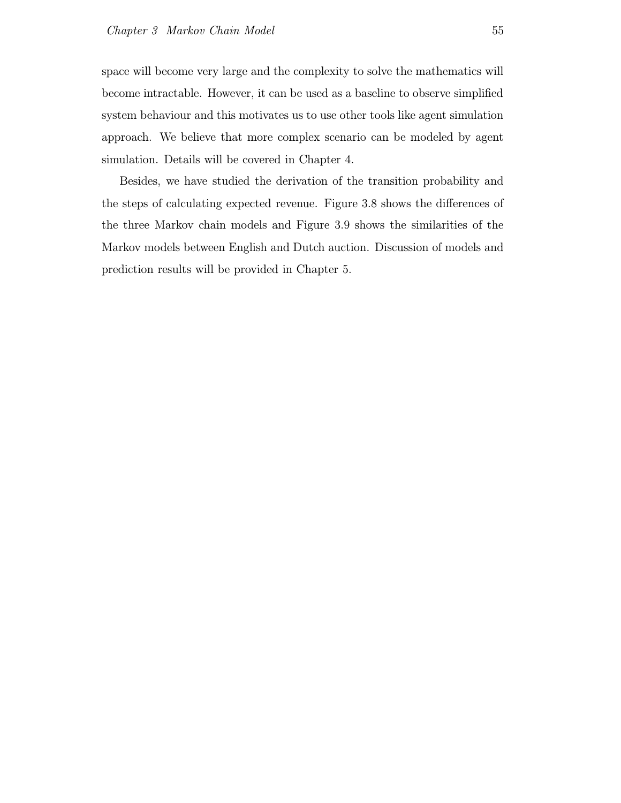space will become very large and the complexity to solve the mathematics will become intractable. However, it can be used as a baseline to observe simplified system behaviour and this motivates us to use other tools like agent simulation approach. We believe that more complex scenario can be modeled by agent simulation. Details will be covered in Chapter 4.

Besides, we have studied the derivation of the transition probability and the steps of calculating expected revenue. Figure 3.8 shows the differences of the three Markov chain models and Figure 3.9 shows the similarities of the Markov models between English and Dutch auction. Discussion of models and prediction results will be provided in Chapter 5.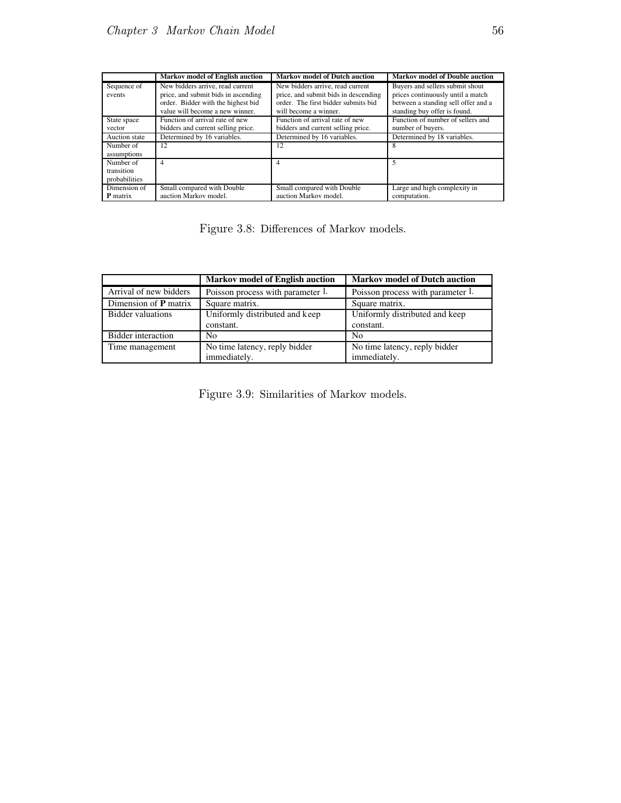|                                          | <b>Markov model of English auction</b>                                                                                                           | <b>Markov model of Dutch auction</b>                                                                                                     | <b>Markov model of Double auction</b>                                                                                                       |
|------------------------------------------|--------------------------------------------------------------------------------------------------------------------------------------------------|------------------------------------------------------------------------------------------------------------------------------------------|---------------------------------------------------------------------------------------------------------------------------------------------|
| Sequence of<br>events                    | New bidders arrive, read current<br>price, and submit bids in ascending<br>order. Bidder with the highest bid<br>value will become a new winner. | New bidders arrive, read current<br>price, and submit bids in descending<br>order. The first bidder submits bid<br>will become a winner. | Buyers and sellers submit shout<br>prices continuously until a match<br>between a standing sell offer and a<br>standing buy offer is found. |
| State space<br>vector                    | Function of arrival rate of new<br>bidders and current selling price.                                                                            | Function of arrival rate of new<br>bidders and current selling price.                                                                    | Function of number of sellers and<br>number of buyers.                                                                                      |
| Auction state                            | Determined by 16 variables.                                                                                                                      | Determined by 16 variables.                                                                                                              | Determined by 18 variables.                                                                                                                 |
| Number of<br>assumptions                 | 12                                                                                                                                               | 12                                                                                                                                       | 8                                                                                                                                           |
| Number of<br>transition<br>probabilities | 4                                                                                                                                                | 4                                                                                                                                        |                                                                                                                                             |
| Dimension of<br><b>P</b> matrix          | Small compared with Double<br>auction Markov model.                                                                                              | Small compared with Double<br>auction Markov model.                                                                                      | Large and high complexity in<br>computation.                                                                                                |

Figure 3.8: Differences of Markov models.

|                         | <b>Markov model of English auction</b> | <b>Markov model of Dutch auction</b> |
|-------------------------|----------------------------------------|--------------------------------------|
| Arrival of new bidders  | Poisson process with parameter 1.      | Poisson process with parameter 1.    |
| Dimension of $P$ matrix | Square matrix.                         | Square matrix.                       |
| Bidder valuations       | Uniformly distributed and keep         | Uniformly distributed and keep       |
|                         | constant.                              | constant.                            |
| Bidder interaction      | No                                     | N <sub>0</sub>                       |
| Time management         | No time latency, reply bidder          | No time latency, reply bidder        |
|                         | immediately.                           | immediately.                         |

Figure 3.9: Similarities of Markov models.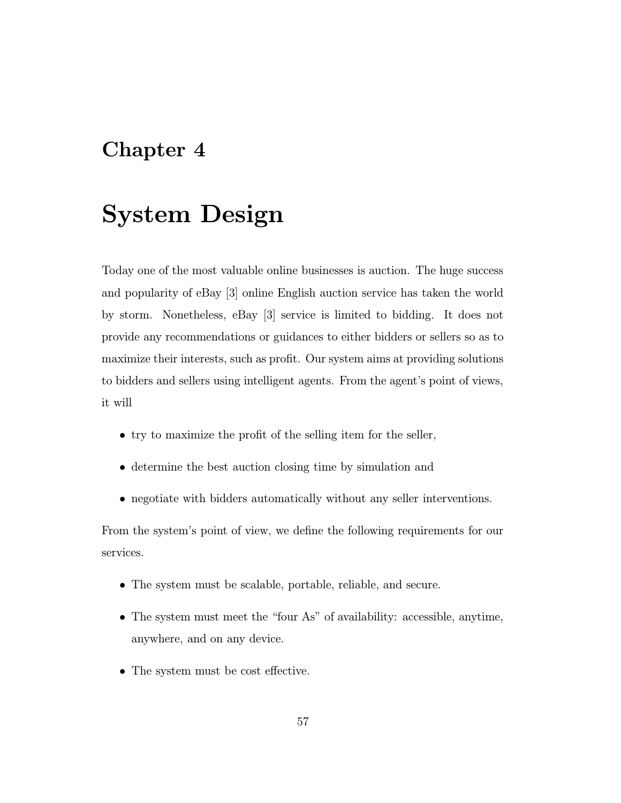# Chapter 4

# System Design

Today one of the most valuable online businesses is auction. The huge success and popularity of eBay [3] online English auction service has taken the world by storm. Nonetheless, eBay [3] service is limited to bidding. It does not provide any recommendations or guidances to either bidders or sellers so as to maximize their interests, such as profit. Our system aims at providing solutions to bidders and sellers using intelligent agents. From the agent's point of views, it will

- try to maximize the profit of the selling item for the seller,
- determine the best auction closing time by simulation and
- negotiate with bidders automatically without any seller interventions.

From the system's point of view, we define the following requirements for our services.

- The system must be scalable, portable, reliable, and secure.
- The system must meet the "four As" of availability: accessible, anytime, anywhere, and on any device.
- The system must be cost effective.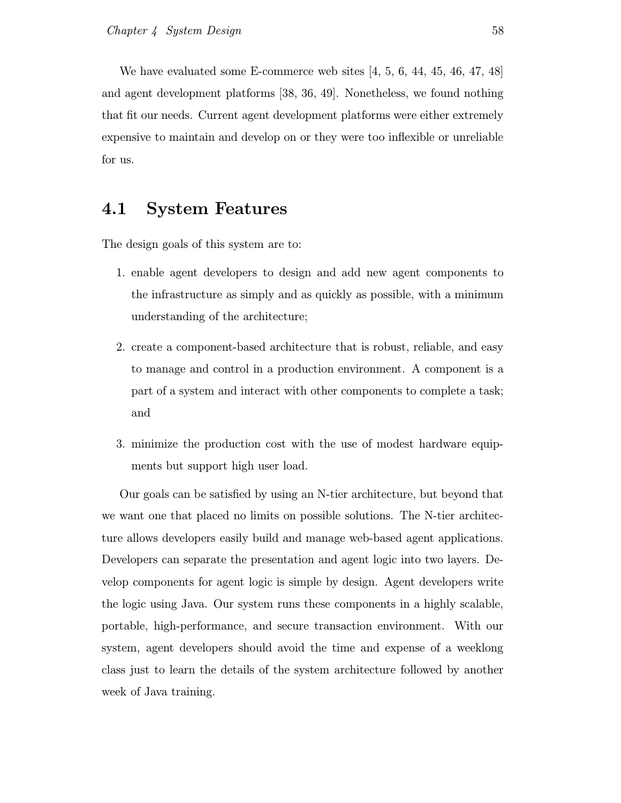We have evaluated some E-commerce web sites [4, 5, 6, 44, 45, 46, 47, 48] and agent development platforms [38, 36, 49]. Nonetheless, we found nothing that fit our needs. Current agent development platforms were either extremely expensive to maintain and develop on or they were too inflexible or unreliable for us.

# 4.1 System Features

The design goals of this system are to:

- 1. enable agent developers to design and add new agent components to the infrastructure as simply and as quickly as possible, with a minimum understanding of the architecture;
- 2. create a component-based architecture that is robust, reliable, and easy to manage and control in a production environment. A component is a part of a system and interact with other components to complete a task; and
- 3. minimize the production cost with the use of modest hardware equipments but support high user load.

Our goals can be satisfied by using an N-tier architecture, but beyond that we want one that placed no limits on possible solutions. The N-tier architecture allows developers easily build and manage web-based agent applications. Developers can separate the presentation and agent logic into two layers. Develop components for agent logic is simple by design. Agent developers write the logic using Java. Our system runs these components in a highly scalable, portable, high-performance, and secure transaction environment. With our system, agent developers should avoid the time and expense of a weeklong class just to learn the details of the system architecture followed by another week of Java training.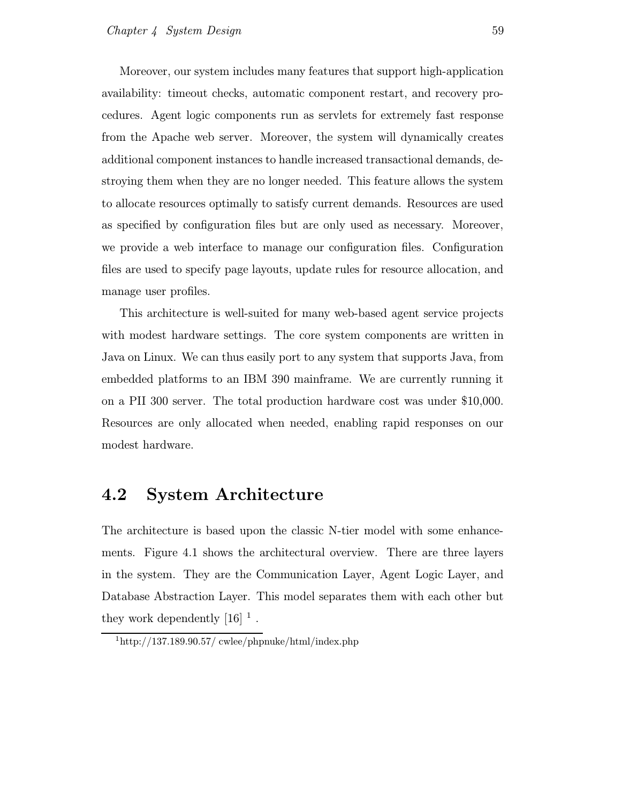Moreover, our system includes many features that support high-application availability: timeout checks, automatic component restart, and recovery procedures. Agent logic components run as servlets for extremely fast response from the Apache web server. Moreover, the system will dynamically creates additional component instances to handle increased transactional demands, destroying them when they are no longer needed. This feature allows the system to allocate resources optimally to satisfy current demands. Resources are used as specified by configuration files but are only used as necessary. Moreover, we provide a web interface to manage our configuration files. Configuration files are used to specify page layouts, update rules for resource allocation, and manage user profiles.

This architecture is well-suited for many web-based agent service projects with modest hardware settings. The core system components are written in Java on Linux. We can thus easily port to any system that supports Java, from embedded platforms to an IBM 390 mainframe. We are currently running it on a PII 300 server. The total production hardware cost was under \$10,000. Resources are only allocated when needed, enabling rapid responses on our modest hardware.

# 4.2 System Architecture

The architecture is based upon the classic N-tier model with some enhancements. Figure 4.1 shows the architectural overview. There are three layers in the system. They are the Communication Layer, Agent Logic Layer, and Database Abstraction Layer. This model separates them with each other but they work dependently  $[16]$ <sup>1</sup>.

 $1$ http://137.189.90.57/ cwlee/phpnuke/html/index.php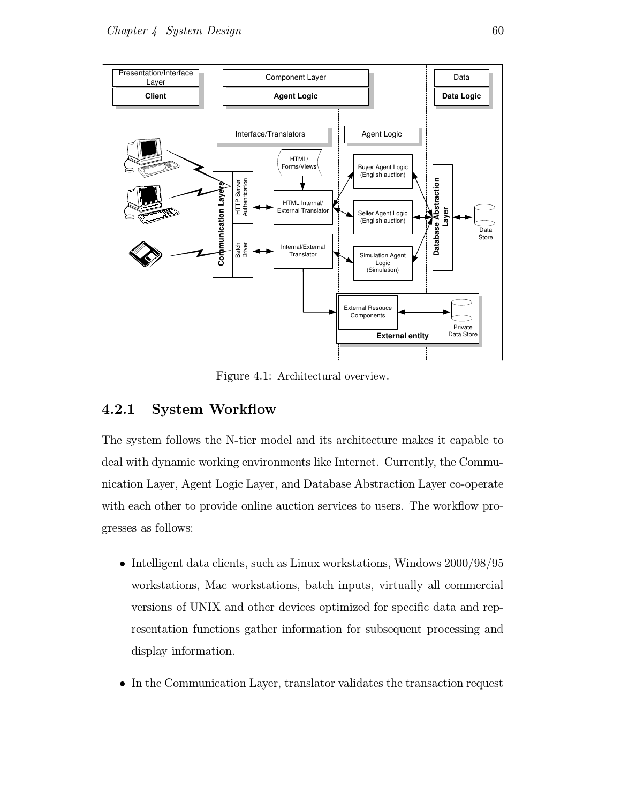

Figure 4.1: Architectural overview.

# 4.2.1 System Workflow

The system follows the N-tier model and its architecture makes it capable to deal with dynamic working environments like Internet. Currently, the Communication Layer, Agent Logic Layer, and Database Abstraction Layer co-operate with each other to provide online auction services to users. The workflow progresses as follows:

- Intelligent data clients, such as Linux workstations, Windows 2000/98/95 workstations, Mac workstations, batch inputs, virtually all commercial versions of UNIX and other devices optimized for specific data and representation functions gather information for subsequent processing and display information.
- In the Communication Layer, translator validates the transaction request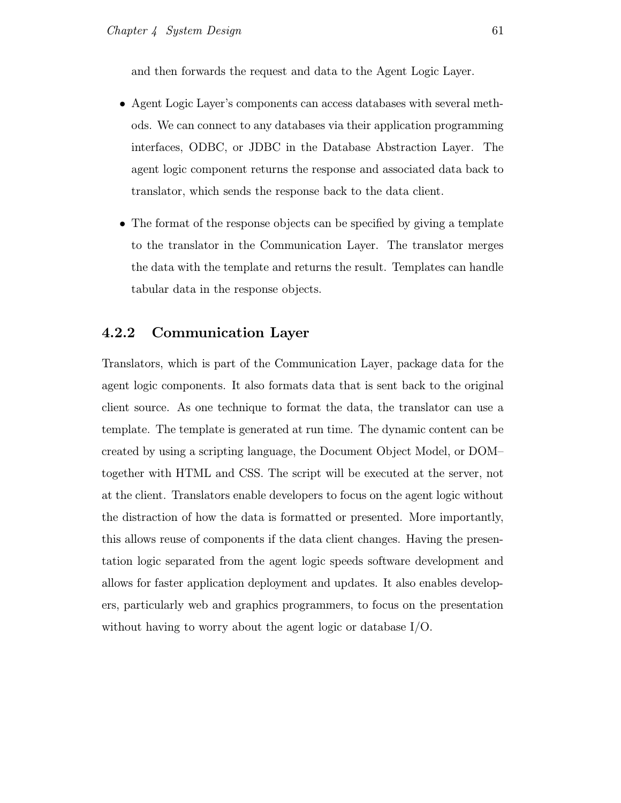and then forwards the request and data to the Agent Logic Layer.

- Agent Logic Layer's components can access databases with several methods. We can connect to any databases via their application programming interfaces, ODBC, or JDBC in the Database Abstraction Layer. The agent logic component returns the response and associated data back to translator, which sends the response back to the data client.
- The format of the response objects can be specified by giving a template to the translator in the Communication Layer. The translator merges the data with the template and returns the result. Templates can handle tabular data in the response objects.

## 4.2.2 Communication Layer

Translators, which is part of the Communication Layer, package data for the agent logic components. It also formats data that is sent back to the original client source. As one technique to format the data, the translator can use a template. The template is generated at run time. The dynamic content can be created by using a scripting language, the Document Object Model, or DOM– together with HTML and CSS. The script will be executed at the server, not at the client. Translators enable developers to focus on the agent logic without the distraction of how the data is formatted or presented. More importantly, this allows reuse of components if the data client changes. Having the presentation logic separated from the agent logic speeds software development and allows for faster application deployment and updates. It also enables developers, particularly web and graphics programmers, to focus on the presentation without having to worry about the agent logic or database I/O.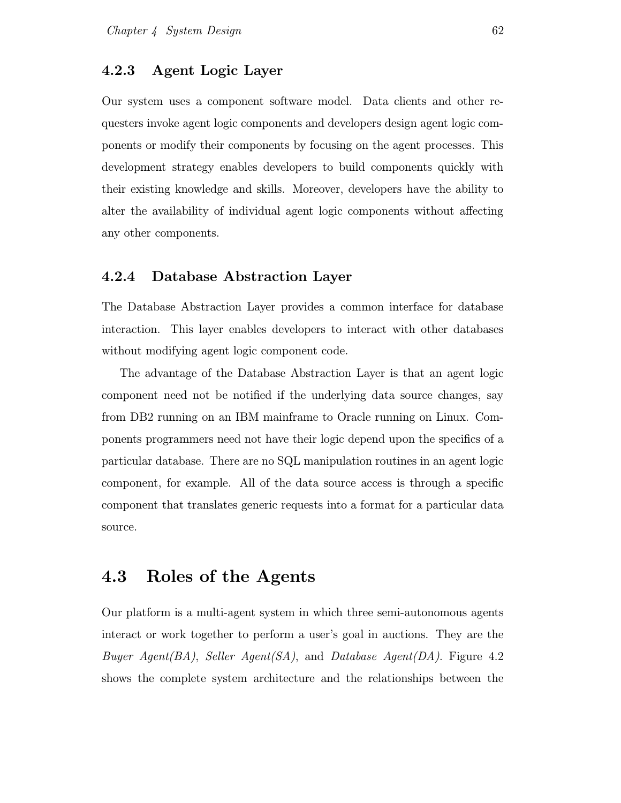### 4.2.3 Agent Logic Layer

Our system uses a component software model. Data clients and other requesters invoke agent logic components and developers design agent logic components or modify their components by focusing on the agent processes. This development strategy enables developers to build components quickly with their existing knowledge and skills. Moreover, developers have the ability to alter the availability of individual agent logic components without affecting any other components.

#### 4.2.4 Database Abstraction Layer

The Database Abstraction Layer provides a common interface for database interaction. This layer enables developers to interact with other databases without modifying agent logic component code.

The advantage of the Database Abstraction Layer is that an agent logic component need not be notified if the underlying data source changes, say from DB2 running on an IBM mainframe to Oracle running on Linux. Components programmers need not have their logic depend upon the specifics of a particular database. There are no SQL manipulation routines in an agent logic component, for example. All of the data source access is through a specific component that translates generic requests into a format for a particular data source.

### 4.3 Roles of the Agents

Our platform is a multi-agent system in which three semi-autonomous agents interact or work together to perform a user's goal in auctions. They are the Buyer Agent(BA), Seller Agent(SA), and Database Agent(DA). Figure 4.2 shows the complete system architecture and the relationships between the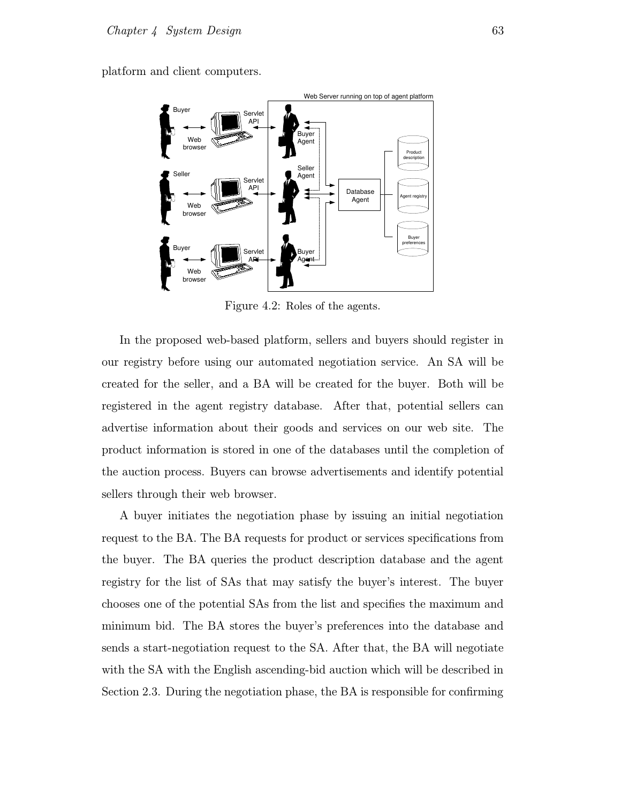platform and client computers.



Figure 4.2: Roles of the agents.

In the proposed web-based platform, sellers and buyers should register in our registry before using our automated negotiation service. An SA will be created for the seller, and a BA will be created for the buyer. Both will be registered in the agent registry database. After that, potential sellers can advertise information about their goods and services on our web site. The product information is stored in one of the databases until the completion of the auction process. Buyers can browse advertisements and identify potential sellers through their web browser.

A buyer initiates the negotiation phase by issuing an initial negotiation request to the BA. The BA requests for product or services specifications from the buyer. The BA queries the product description database and the agent registry for the list of SAs that may satisfy the buyer's interest. The buyer chooses one of the potential SAs from the list and specifies the maximum and minimum bid. The BA stores the buyer's preferences into the database and sends a start-negotiation request to the SA. After that, the BA will negotiate with the SA with the English ascending-bid auction which will be described in Section 2.3. During the negotiation phase, the BA is responsible for confirming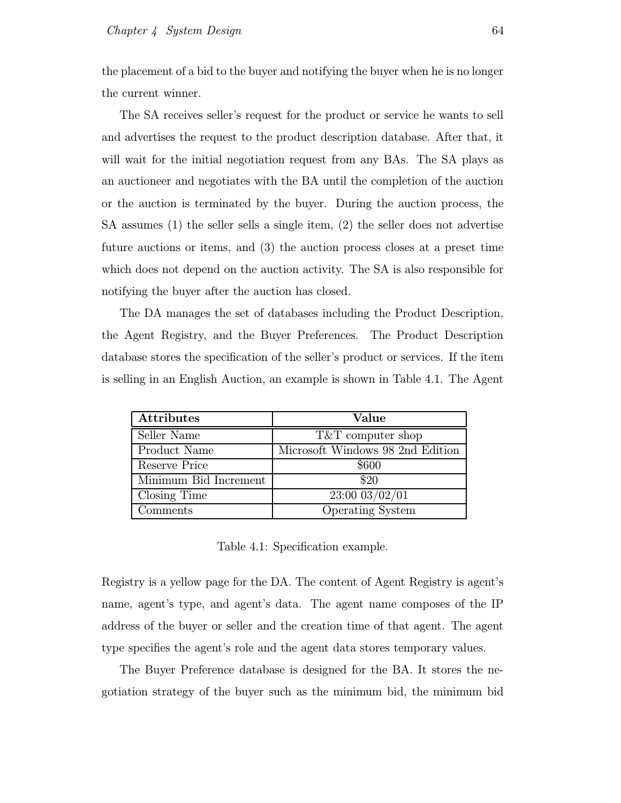the placement of a bid to the buyer and notifying the buyer when he is no longer the current winner.

The SA receives seller's request for the product or service he wants to sell and advertises the request to the product description database. After that, it will wait for the initial negotiation request from any BAs. The SA plays as an auctioneer and negotiates with the BA until the completion of the auction or the auction is terminated by the buyer. During the auction process, the SA assumes (1) the seller sells a single item, (2) the seller does not advertise future auctions or items, and (3) the auction process closes at a preset time which does not depend on the auction activity. The SA is also responsible for notifying the buyer after the auction has closed.

The DA manages the set of databases including the Product Description, the Agent Registry, and the Buyer Preferences. The Product Description database stores the specification of the seller's product or services. If the item is selling in an English Auction, an example is shown in Table 4.1. The Agent

| <b>Attributes</b>     | Value                            |
|-----------------------|----------------------------------|
| Seller Name           | T&T computer shop                |
| Product Name          | Microsoft Windows 98 2nd Edition |
| Reserve Price         | \$600                            |
| Minimum Bid Increment | \$20                             |
| Closing Time          | 23:00 03/02/01                   |
| Comments              | <b>Operating System</b>          |

Table 4.1: Specification example.

Registry is a yellow page for the DA. The content of Agent Registry is agent's name, agent's type, and agent's data. The agent name composes of the IP address of the buyer or seller and the creation time of that agent. The agent type specifies the agent's role and the agent data stores temporary values.

The Buyer Preference database is designed for the BA. It stores the negotiation strategy of the buyer such as the minimum bid, the minimum bid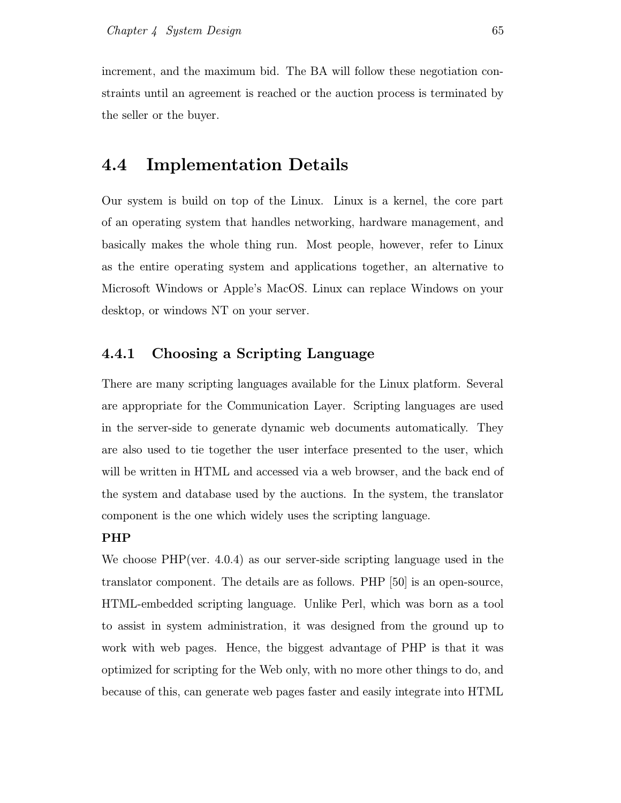increment, and the maximum bid. The BA will follow these negotiation constraints until an agreement is reached or the auction process is terminated by the seller or the buyer.

## 4.4 Implementation Details

Our system is build on top of the Linux. Linux is a kernel, the core part of an operating system that handles networking, hardware management, and basically makes the whole thing run. Most people, however, refer to Linux as the entire operating system and applications together, an alternative to Microsoft Windows or Apple's MacOS. Linux can replace Windows on your desktop, or windows NT on your server.

### 4.4.1 Choosing a Scripting Language

There are many scripting languages available for the Linux platform. Several are appropriate for the Communication Layer. Scripting languages are used in the server-side to generate dynamic web documents automatically. They are also used to tie together the user interface presented to the user, which will be written in HTML and accessed via a web browser, and the back end of the system and database used by the auctions. In the system, the translator component is the one which widely uses the scripting language.

#### PHP

We choose PHP(ver. 4.0.4) as our server-side scripting language used in the translator component. The details are as follows. PHP [50] is an open-source, HTML-embedded scripting language. Unlike Perl, which was born as a tool to assist in system administration, it was designed from the ground up to work with web pages. Hence, the biggest advantage of PHP is that it was optimized for scripting for the Web only, with no more other things to do, and because of this, can generate web pages faster and easily integrate into HTML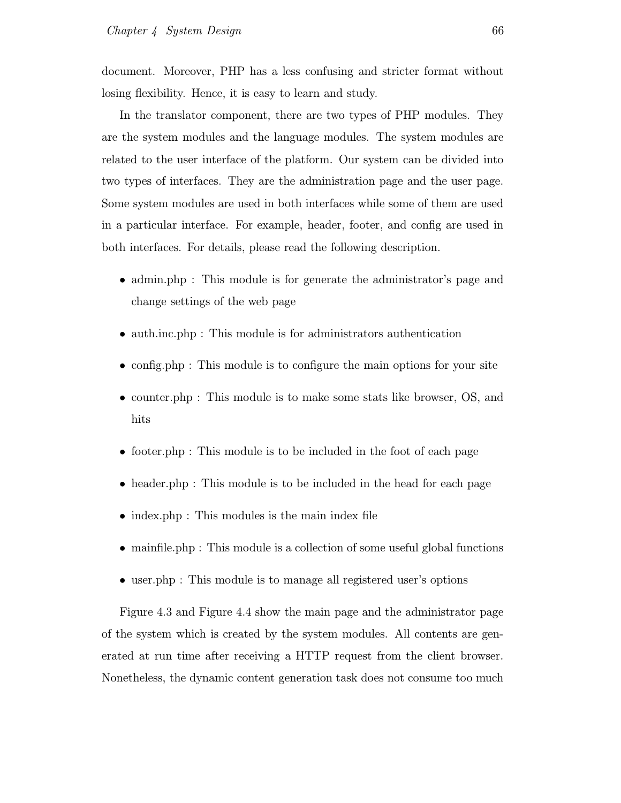document. Moreover, PHP has a less confusing and stricter format without losing flexibility. Hence, it is easy to learn and study.

In the translator component, there are two types of PHP modules. They are the system modules and the language modules. The system modules are related to the user interface of the platform. Our system can be divided into two types of interfaces. They are the administration page and the user page. Some system modules are used in both interfaces while some of them are used in a particular interface. For example, header, footer, and config are used in both interfaces. For details, please read the following description.

- admin.php : This module is for generate the administrator's page and change settings of the web page
- auth.inc.php : This module is for administrators authentication
- config.php : This module is to configure the main options for your site
- counter.php : This module is to make some stats like browser, OS, and hits
- footer.php : This module is to be included in the foot of each page
- header.php : This module is to be included in the head for each page
- index.php : This modules is the main index file
- mainfile.php : This module is a collection of some useful global functions
- user.php : This module is to manage all registered user's options

Figure 4.3 and Figure 4.4 show the main page and the administrator page of the system which is created by the system modules. All contents are generated at run time after receiving a HTTP request from the client browser. Nonetheless, the dynamic content generation task does not consume too much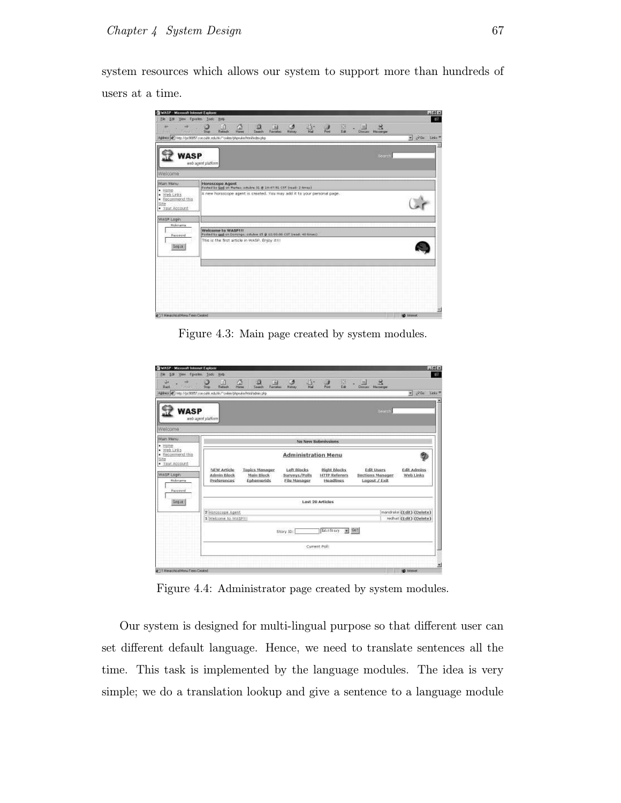system resources which allows our system to support more than hundreds of users at a time.

| MASP - Microsoft Internet Explorer<br>View Favorites Tools<br>File<br>Edit  | <b>Heb</b>                                                                                                                                                               | <b>Mid-X</b><br>$E^2$             |
|-----------------------------------------------------------------------------|--------------------------------------------------------------------------------------------------------------------------------------------------------------------------|-----------------------------------|
| <b>ITEL</b>                                                                 | 숎<br>음.<br>四种<br>ು<br><b>LA</b><br>$\frac{2}{\text{Rational}}$<br>$\frac{1}{2}$<br>$\frac{3}{n-1}$<br>$\frac{  \mathbf{u}  }{\sqrt{2}}$ Maximpa<br>Hiday<br>50<br>Search |                                   |
|                                                                             | Address @ Time //pc80057.coe.cubic.edublo/"owlee/phpruke/html/index.php                                                                                                  | $= -\sqrt{6a}$ inks <sup>19</sup> |
| <b>WASP</b>                                                                 | Bearch.<br>web agent platform                                                                                                                                            |                                   |
| Welcome                                                                     |                                                                                                                                                                          |                                   |
| Main Moriu                                                                  | <b>Horoscope Agent</b>                                                                                                                                                   |                                   |
| $\bullet$ Hame<br>· Web Links<br>· Recommend this<br>Site<br>· Your Account | Rockettle Ged on Martes, octobre 31 @ 14:47.51 CST (reed: 2 times)<br>A new horascope agent is created. You may add it to your personal page.                            |                                   |
| WASP Login                                                                  |                                                                                                                                                                          |                                   |
| <b>Rickmanne</b><br><b>Dassvord</b>                                         | <b>Welcome to WASPHI</b><br>Potted by god on Domingo, adulte 15 @ 12100100 CST tread. 40 Smitc)                                                                          |                                   |
| Login                                                                       | This is the first article in WASP. Enjoy It !!!                                                                                                                          |                                   |
|                                                                             |                                                                                                                                                                          |                                   |
|                                                                             |                                                                                                                                                                          |                                   |
|                                                                             |                                                                                                                                                                          |                                   |
|                                                                             |                                                                                                                                                                          |                                   |
|                                                                             |                                                                                                                                                                          | 뀗                                 |
| #11 History No. of Mercu Times Canadad                                      |                                                                                                                                                                          | <b>BO</b> heaven                  |

Figure 4.3: Main page created by system modules.

| Qu.<br><b>Buck</b><br>$-111$                                              | 요<br>E3<br>國<br>э<br>崩<br>Return<br>Search<br>Fercates<br>Stop<br>Address (@) first Mpc50057.com cubic edublic/"cubin-/phpruke-fritatiladain php. | 쑵.<br>Ø<br><b>History</b>                           | 圀<br>$\frac{1}{n_{\rm rel}}$<br>Edit                     | BG<br>呂<br><b>Dimmi Maninger</b>                                 | $\sqrt{2}$<br>Links <sup>19</sup> |  |  |  |
|---------------------------------------------------------------------------|---------------------------------------------------------------------------------------------------------------------------------------------------|-----------------------------------------------------|----------------------------------------------------------|------------------------------------------------------------------|-----------------------------------|--|--|--|
|                                                                           |                                                                                                                                                   |                                                     |                                                          |                                                                  | 큨                                 |  |  |  |
| <b>WASP</b>                                                               | web agent platform                                                                                                                                |                                                     |                                                          | Bearch.                                                          |                                   |  |  |  |
| Welcome                                                                   |                                                                                                                                                   |                                                     |                                                          |                                                                  |                                   |  |  |  |
| Main Menu                                                                 |                                                                                                                                                   | No New Submissions                                  |                                                          |                                                                  |                                   |  |  |  |
| $-$ Hame<br>Web Links<br>۰<br>· Recommend this<br>Isite<br>· Your Account | <b>Administration Menu</b>                                                                                                                        |                                                     |                                                          |                                                                  |                                   |  |  |  |
| WASP Login<br><b>Bickmanne</b><br>Password                                | <b>Topics Manager</b><br>NEW Article<br>Admin-Block<br>Main Block<br>Proferences<br>Ephemerids                                                    | Left Blocks<br>Surveys/Polls<br><b>Elle Manager</b> | <b>Right Blocks</b><br><b>HTTP Referers</b><br>Headlings | 35250-<br><b>Edit Users</b><br>Sections Meneger<br>Logout / Exit | <b>Edit Admins</b><br>Web Links   |  |  |  |
| Lonia.                                                                    |                                                                                                                                                   | <b>Last 20 Articles</b>                             |                                                          |                                                                  |                                   |  |  |  |
|                                                                           | mandrake (Edit) (Delate)<br>2 Horoscope Agent<br>rechat (Edit) (Delete)<br>1 Melcome to WASPILL                                                   |                                                     |                                                          |                                                                  |                                   |  |  |  |
|                                                                           | EditStory<br>$-1$ Co <sup>1</sup><br>Story ID:                                                                                                    |                                                     |                                                          |                                                                  |                                   |  |  |  |
|                                                                           |                                                                                                                                                   | Current Poll:                                       |                                                          |                                                                  |                                   |  |  |  |
|                                                                           |                                                                                                                                                   |                                                     |                                                          |                                                                  |                                   |  |  |  |
| #11 HearchcolNexuTreesCased                                               |                                                                                                                                                   |                                                     |                                                          |                                                                  | <b>BO</b> hiterver                |  |  |  |

Figure 4.4: Administrator page created by system modules.

Our system is designed for multi-lingual purpose so that different user can set different default language. Hence, we need to translate sentences all the time. This task is implemented by the language modules. The idea is very simple; we do a translation lookup and give a sentence to a language module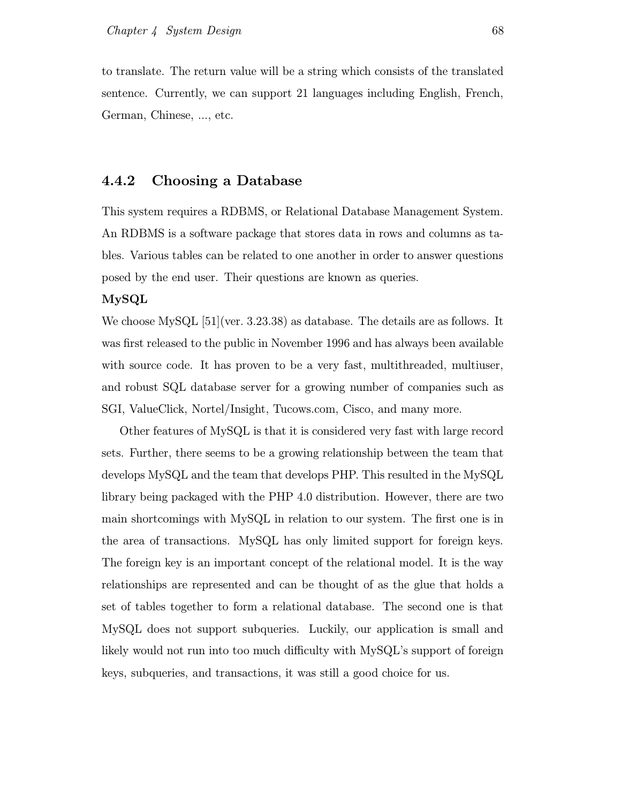to translate. The return value will be a string which consists of the translated sentence. Currently, we can support 21 languages including English, French, German, Chinese, ..., etc.

#### 4.4.2 Choosing a Database

This system requires a RDBMS, or Relational Database Management System. An RDBMS is a software package that stores data in rows and columns as tables. Various tables can be related to one another in order to answer questions posed by the end user. Their questions are known as queries.

#### MySQL

We choose MySQL [51](ver. 3.23.38) as database. The details are as follows. It was first released to the public in November 1996 and has always been available with source code. It has proven to be a very fast, multithreaded, multiuser, and robust SQL database server for a growing number of companies such as SGI, ValueClick, Nortel/Insight, Tucows.com, Cisco, and many more.

Other features of MySQL is that it is considered very fast with large record sets. Further, there seems to be a growing relationship between the team that develops MySQL and the team that develops PHP. This resulted in the MySQL library being packaged with the PHP 4.0 distribution. However, there are two main shortcomings with MySQL in relation to our system. The first one is in the area of transactions. MySQL has only limited support for foreign keys. The foreign key is an important concept of the relational model. It is the way relationships are represented and can be thought of as the glue that holds a set of tables together to form a relational database. The second one is that MySQL does not support subqueries. Luckily, our application is small and likely would not run into too much difficulty with MySQL's support of foreign keys, subqueries, and transactions, it was still a good choice for us.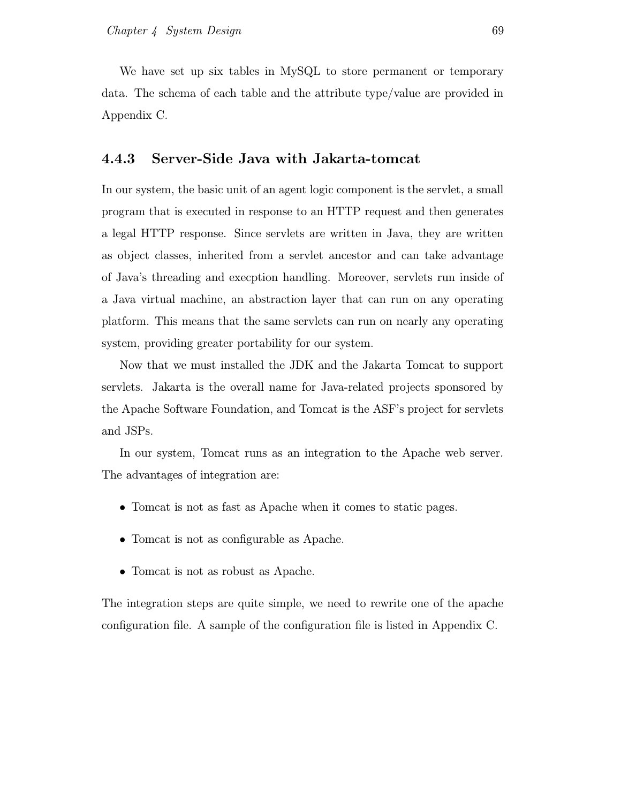We have set up six tables in MySQL to store permanent or temporary data. The schema of each table and the attribute type/value are provided in Appendix C.

#### 4.4.3 Server-Side Java with Jakarta-tomcat

In our system, the basic unit of an agent logic component is the servlet, a small program that is executed in response to an HTTP request and then generates a legal HTTP response. Since servlets are written in Java, they are written as object classes, inherited from a servlet ancestor and can take advantage of Java's threading and execption handling. Moreover, servlets run inside of a Java virtual machine, an abstraction layer that can run on any operating platform. This means that the same servlets can run on nearly any operating system, providing greater portability for our system.

Now that we must installed the JDK and the Jakarta Tomcat to support servlets. Jakarta is the overall name for Java-related projects sponsored by the Apache Software Foundation, and Tomcat is the ASF's project for servlets and JSPs.

In our system, Tomcat runs as an integration to the Apache web server. The advantages of integration are:

- Tomcat is not as fast as Apache when it comes to static pages.
- Tomcat is not as configurable as Apache.
- Tomcat is not as robust as Apache.

The integration steps are quite simple, we need to rewrite one of the apache configuration file. A sample of the configuration file is listed in Appendix C.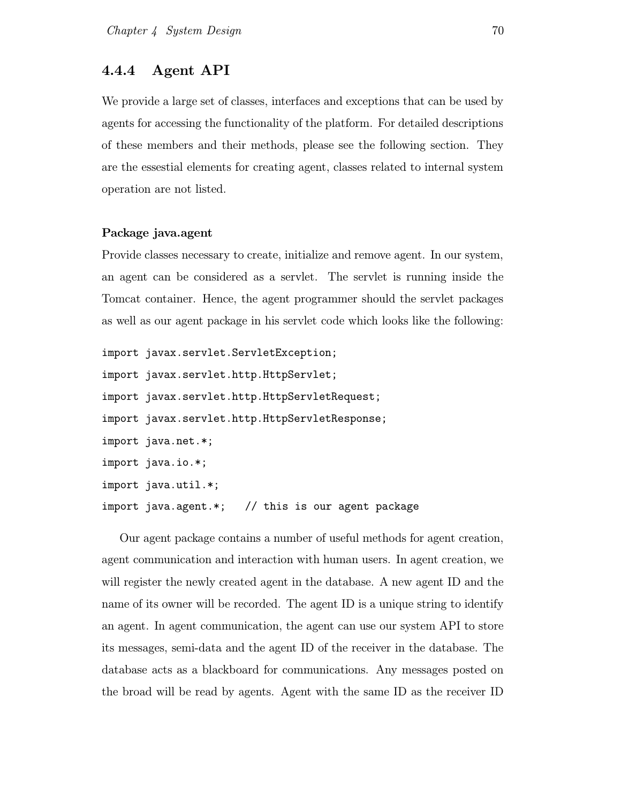#### 4.4.4 Agent API

We provide a large set of classes, interfaces and exceptions that can be used by agents for accessing the functionality of the platform. For detailed descriptions of these members and their methods, please see the following section. They are the essestial elements for creating agent, classes related to internal system operation are not listed.

#### Package java.agent

Provide classes necessary to create, initialize and remove agent. In our system, an agent can be considered as a servlet. The servlet is running inside the Tomcat container. Hence, the agent programmer should the servlet packages as well as our agent package in his servlet code which looks like the following:

```
import javax.servlet.ServletException;
import javax.servlet.http.HttpServlet;
import javax.servlet.http.HttpServletRequest;
import javax.servlet.http.HttpServletResponse;
import java.net.*;
import java.io.*;
import java.util.*;
import java.agent.*; // this is our agent package
```
Our agent package contains a number of useful methods for agent creation, agent communication and interaction with human users. In agent creation, we will register the newly created agent in the database. A new agent ID and the name of its owner will be recorded. The agent ID is a unique string to identify an agent. In agent communication, the agent can use our system API to store its messages, semi-data and the agent ID of the receiver in the database. The database acts as a blackboard for communications. Any messages posted on the broad will be read by agents. Agent with the same ID as the receiver ID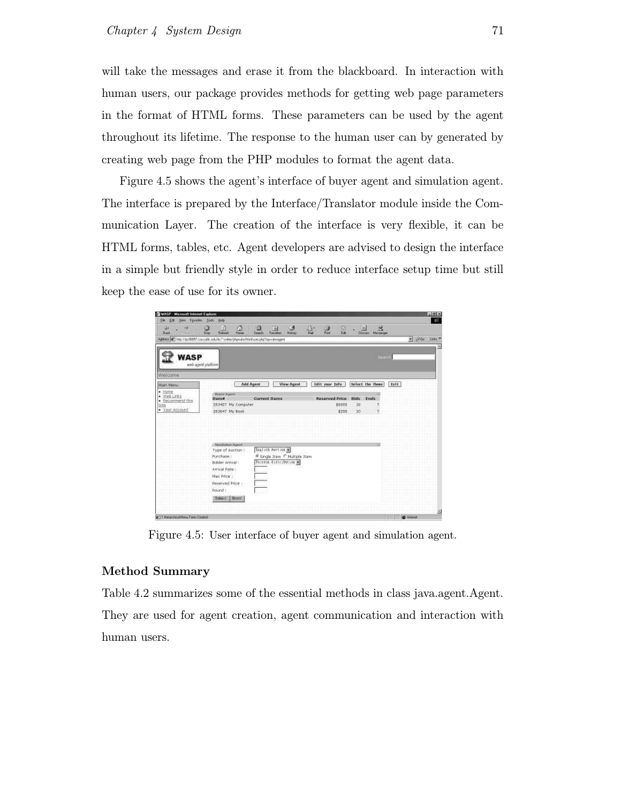will take the messages and erase it from the blackboard. In interaction with human users, our package provides methods for getting web page parameters in the format of HTML forms. These parameters can be used by the agent throughout its lifetime. The response to the human user can by generated by creating web page from the PHP modules to format the agent data.

Figure 4.5 shows the agent's interface of buyer agent and simulation agent. The interface is prepared by the Interface/Translator module inside the Communication Layer. The creation of the interface is very flexible, it can be HTML forms, tables, etc. Agent developers are advised to design the interface in a simple but friendly style in order to reduce interface setup time but still keep the ease of use for its owner.

| WASP - Microsoft Internet Eaglesed<br>Ele Edi View Figurites Tools    | Heb.                                                                                  |                                                                                                                     |                                          |                                                                                                                                                                                                                                                                                                                                                                                                                                                       | <b>Mid-X</b><br>$-127$      |
|-----------------------------------------------------------------------|---------------------------------------------------------------------------------------|---------------------------------------------------------------------------------------------------------------------|------------------------------------------|-------------------------------------------------------------------------------------------------------------------------------------------------------------------------------------------------------------------------------------------------------------------------------------------------------------------------------------------------------------------------------------------------------------------------------------------------------|-----------------------------|
| Qu<br>$B$ and                                                         | $\frac{\alpha}{1-\alpha}$<br>Ø<br>$\frac{2}{\text{Rahad}}$<br>550                     | $\overline{\lim\limits_{\substack{\longleftarrow \\ \longleftarrow}} }$<br>۵<br>$\frac{Q}{\sinh}$<br><b>History</b> | 음.<br>四种<br>$\frac{3}{n-1}$              | $\begin{array}{c c}\n\underline{\mathbf{H}} & \mathbf{g} \\ \hline\n\mathbf{M} & \mathbf{M} \\ \hline\n\mathbf{M} & \mathbf{M} \\ \hline\n\mathbf{M} & \mathbf{M} \\ \hline\n\mathbf{M} & \mathbf{M} \\ \hline\n\mathbf{M} & \mathbf{M} \\ \hline\n\mathbf{M} & \mathbf{M} \\ \hline\n\mathbf{M} & \mathbf{M} \\ \hline\n\mathbf{M} & \mathbf{M} \\ \hline\n\mathbf{M} & \mathbf{M} \\ \hline\n\mathbf{M} & \mathbf{M} \\ \hline\n\mathbf{M} & \math$ |                             |
|                                                                       | Address (@) http://pc80057.coe.cubk.edu.hlc/"owlee/phpruke/html/uses.php?op-viewagers |                                                                                                                     |                                          |                                                                                                                                                                                                                                                                                                                                                                                                                                                       | $-206$<br>Leks <sup>W</sup> |
| WASP                                                                  | web agent platform                                                                    |                                                                                                                     |                                          | Bearch.                                                                                                                                                                                                                                                                                                                                                                                                                                               |                             |
| Welcome                                                               |                                                                                       |                                                                                                                     |                                          |                                                                                                                                                                                                                                                                                                                                                                                                                                                       |                             |
| Main Meriu                                                            |                                                                                       | <b>Add Agent</b><br>View Agent                                                                                      | Edit your Info                           | Select the Thene                                                                                                                                                                                                                                                                                                                                                                                                                                      | Exit                        |
| $-$ Hame<br>· Web Links<br>· Eecommend this<br>Site<br>· Your Account | Bayer fepert<br>Remar<br>203427 My Computer<br>263647 My Book                         | <b>Current Items</b>                                                                                                | Reserved Price - Bids<br>\$0000<br>\$200 | Ends<br>18<br>10<br>7                                                                                                                                                                                                                                                                                                                                                                                                                                 |                             |
|                                                                       | <b>Stendalist Agent</b><br>Type of Auction:<br>Purchase:<br>Bidder Arnyal :           | English Auction<br>F Single Item C Multiple Item<br>Poisson distribution                                            |                                          |                                                                                                                                                                                                                                                                                                                                                                                                                                                       |                             |
|                                                                       | Arrival Rate:<br>Max Price 1<br>Reserved Price :<br>Round :<br>Summit Reset           |                                                                                                                     |                                          |                                                                                                                                                                                                                                                                                                                                                                                                                                                       |                             |
| #11 History No. of Mexic Times Canadad                                |                                                                                       |                                                                                                                     |                                          |                                                                                                                                                                                                                                                                                                                                                                                                                                                       | <b>BO</b> heaven            |

Figure 4.5: User interface of buyer agent and simulation agent.

#### Method Summary

Table 4.2 summarizes some of the essential methods in class java.agent.Agent. They are used for agent creation, agent communication and interaction with human users.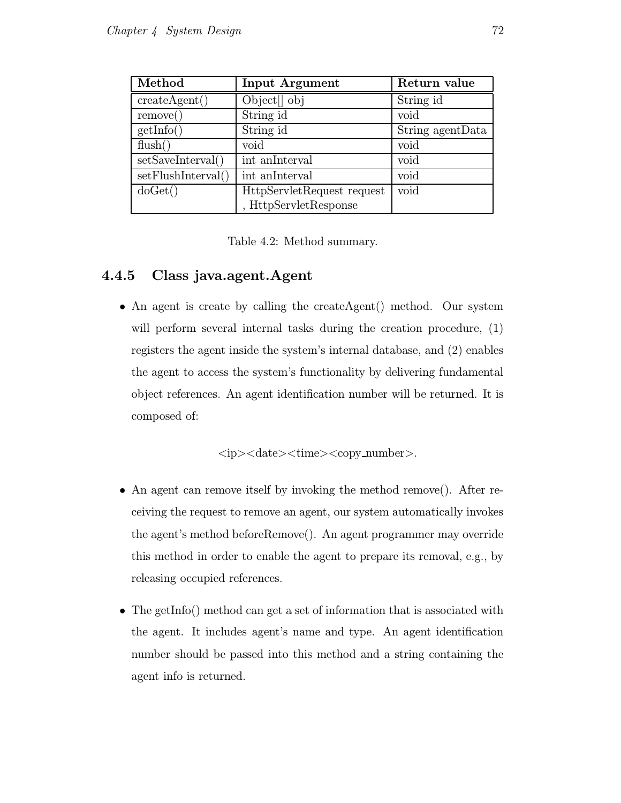| Method             | <b>Input Argument</b>      | Return value     |
|--------------------|----------------------------|------------------|
| createAgent()      | Object <sup>[]</sup> obj   | String id        |
| remove()           | String id                  | void             |
| getInfo()          | String id                  | String agentData |
| flush()            | void                       | void             |
| setSaveInterval()  | int an<br>Interval         | void             |
| setFlushInterval() | int an<br>Interval         | void             |
| doGet()            | HttpServletRequest request | void             |
|                    | <b>HttpServletResponse</b> |                  |

Table 4.2: Method summary.

### 4.4.5 Class java.agent.Agent

• An agent is create by calling the createAgent() method. Our system will perform several internal tasks during the creation procedure,  $(1)$ registers the agent inside the system's internal database, and (2) enables the agent to access the system's functionality by delivering fundamental object references. An agent identification number will be returned. It is composed of:

 $\langle ip \rangle$   $\langle date \rangle$   $\langle time \rangle$   $\langle copy_number \rangle$ .

- An agent can remove itself by invoking the method remove(). After receiving the request to remove an agent, our system automatically invokes the agent's method beforeRemove(). An agent programmer may override this method in order to enable the agent to prepare its removal, e.g., by releasing occupied references.
- The getInfo() method can get a set of information that is associated with the agent. It includes agent's name and type. An agent identification number should be passed into this method and a string containing the agent info is returned.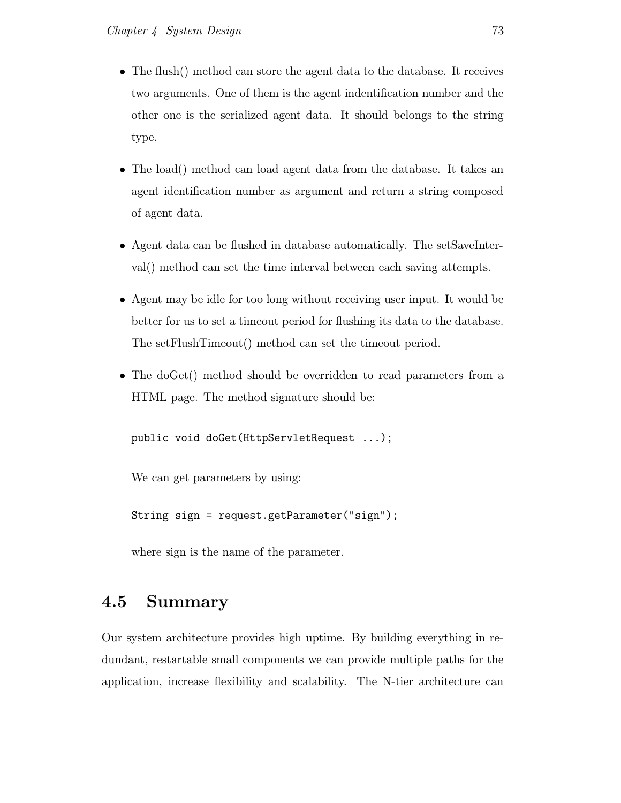- The flush() method can store the agent data to the database. It receives two arguments. One of them is the agent indentification number and the other one is the serialized agent data. It should belongs to the string type.
- The load() method can load agent data from the database. It takes an agent identification number as argument and return a string composed of agent data.
- Agent data can be flushed in database automatically. The setSaveInterval() method can set the time interval between each saving attempts.
- Agent may be idle for too long without receiving user input. It would be better for us to set a timeout period for flushing its data to the database. The setFlushTimeout() method can set the timeout period.
- The doGet() method should be overridden to read parameters from a HTML page. The method signature should be:

public void doGet(HttpServletRequest ...);

We can get parameters by using:

String sign = request.getParameter("sign");

where sign is the name of the parameter.

## 4.5 Summary

Our system architecture provides high uptime. By building everything in redundant, restartable small components we can provide multiple paths for the application, increase flexibility and scalability. The N-tier architecture can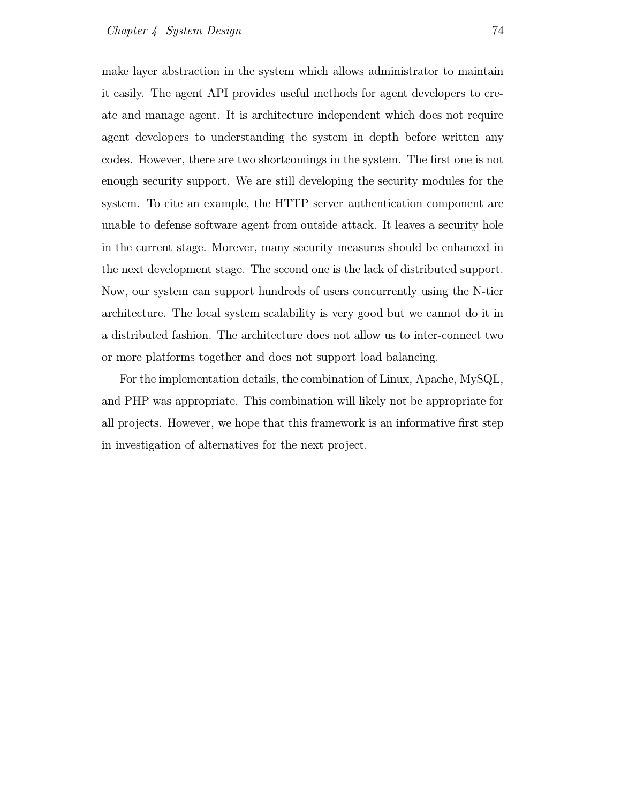make layer abstraction in the system which allows administrator to maintain it easily. The agent API provides useful methods for agent developers to create and manage agent. It is architecture independent which does not require agent developers to understanding the system in depth before written any codes. However, there are two shortcomings in the system. The first one is not enough security support. We are still developing the security modules for the system. To cite an example, the HTTP server authentication component are unable to defense software agent from outside attack. It leaves a security hole in the current stage. Morever, many security measures should be enhanced in the next development stage. The second one is the lack of distributed support. Now, our system can support hundreds of users concurrently using the N-tier architecture. The local system scalability is very good but we cannot do it in a distributed fashion. The architecture does not allow us to inter-connect two or more platforms together and does not support load balancing.

For the implementation details, the combination of Linux, Apache, MySQL, and PHP was appropriate. This combination will likely not be appropriate for all projects. However, we hope that this framework is an informative first step in investigation of alternatives for the next project.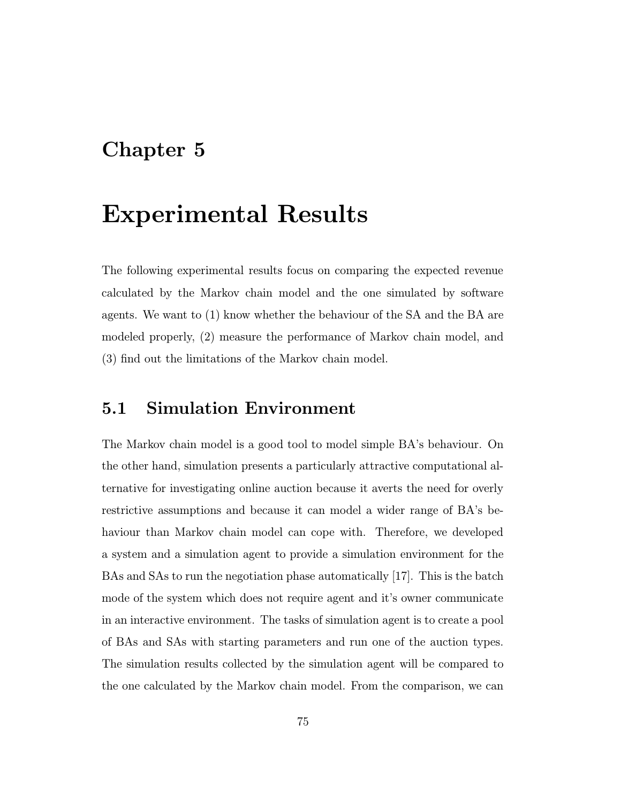## Chapter 5

## Experimental Results

The following experimental results focus on comparing the expected revenue calculated by the Markov chain model and the one simulated by software agents. We want to (1) know whether the behaviour of the SA and the BA are modeled properly, (2) measure the performance of Markov chain model, and (3) find out the limitations of the Markov chain model.

## 5.1 Simulation Environment

The Markov chain model is a good tool to model simple BA's behaviour. On the other hand, simulation presents a particularly attractive computational alternative for investigating online auction because it averts the need for overly restrictive assumptions and because it can model a wider range of BA's behaviour than Markov chain model can cope with. Therefore, we developed a system and a simulation agent to provide a simulation environment for the BAs and SAs to run the negotiation phase automatically [17]. This is the batch mode of the system which does not require agent and it's owner communicate in an interactive environment. The tasks of simulation agent is to create a pool of BAs and SAs with starting parameters and run one of the auction types. The simulation results collected by the simulation agent will be compared to the one calculated by the Markov chain model. From the comparison, we can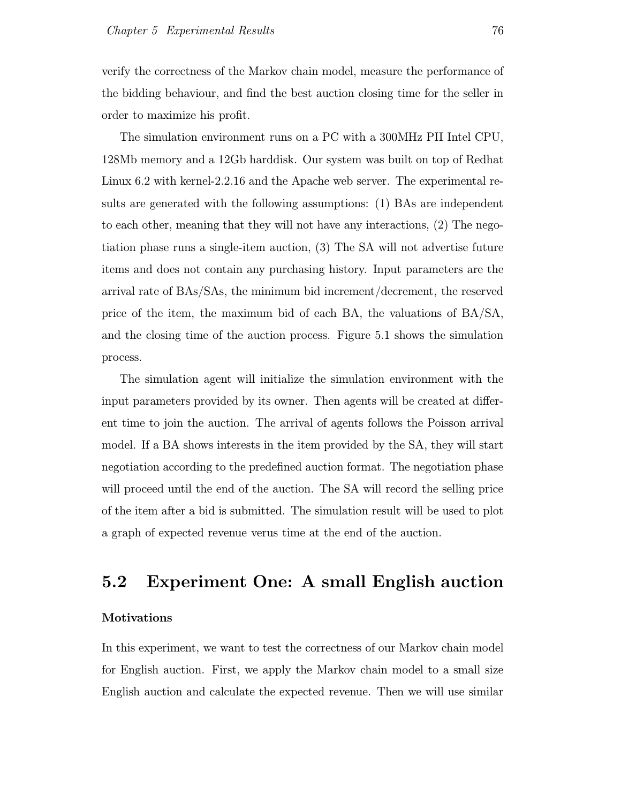verify the correctness of the Markov chain model, measure the performance of the bidding behaviour, and find the best auction closing time for the seller in order to maximize his profit.

The simulation environment runs on a PC with a 300MHz PII Intel CPU, 128Mb memory and a 12Gb harddisk. Our system was built on top of Redhat Linux 6.2 with kernel-2.2.16 and the Apache web server. The experimental results are generated with the following assumptions: (1) BAs are independent to each other, meaning that they will not have any interactions, (2) The negotiation phase runs a single-item auction, (3) The SA will not advertise future items and does not contain any purchasing history. Input parameters are the arrival rate of BAs/SAs, the minimum bid increment/decrement, the reserved price of the item, the maximum bid of each BA, the valuations of  $BA/SA$ , and the closing time of the auction process. Figure 5.1 shows the simulation process.

The simulation agent will initialize the simulation environment with the input parameters provided by its owner. Then agents will be created at different time to join the auction. The arrival of agents follows the Poisson arrival model. If a BA shows interests in the item provided by the SA, they will start negotiation according to the predefined auction format. The negotiation phase will proceed until the end of the auction. The SA will record the selling price of the item after a bid is submitted. The simulation result will be used to plot a graph of expected revenue verus time at the end of the auction.

### 5.2 Experiment One: A small English auction

#### Motivations

In this experiment, we want to test the correctness of our Markov chain model for English auction. First, we apply the Markov chain model to a small size English auction and calculate the expected revenue. Then we will use similar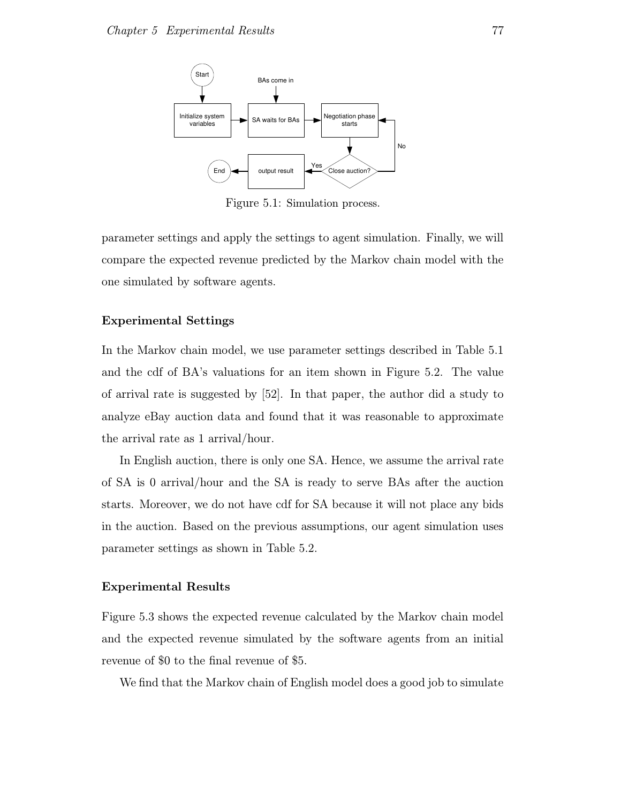

Figure 5.1: Simulation process.

parameter settings and apply the settings to agent simulation. Finally, we will compare the expected revenue predicted by the Markov chain model with the one simulated by software agents.

#### Experimental Settings

In the Markov chain model, we use parameter settings described in Table 5.1 and the cdf of BA's valuations for an item shown in Figure 5.2. The value of arrival rate is suggested by [52]. In that paper, the author did a study to analyze eBay auction data and found that it was reasonable to approximate the arrival rate as 1 arrival/hour.

In English auction, there is only one SA. Hence, we assume the arrival rate of SA is 0 arrival/hour and the SA is ready to serve BAs after the auction starts. Moreover, we do not have cdf for SA because it will not place any bids in the auction. Based on the previous assumptions, our agent simulation uses parameter settings as shown in Table 5.2.

#### Experimental Results

Figure 5.3 shows the expected revenue calculated by the Markov chain model and the expected revenue simulated by the software agents from an initial revenue of \$0 to the final revenue of \$5.

We find that the Markov chain of English model does a good job to simulate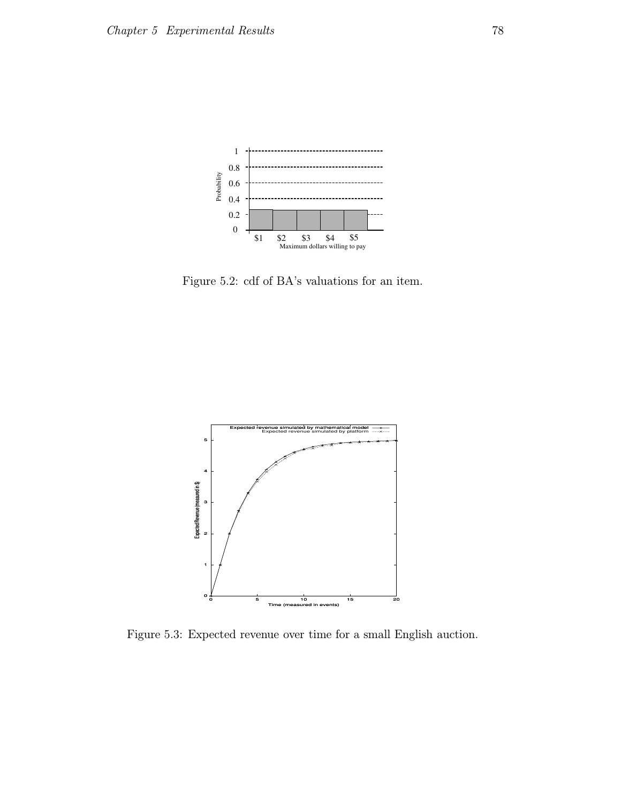

Figure 5.2: cdf of BA's valuations for an item.



Figure 5.3: Expected revenue over time for a small English auction.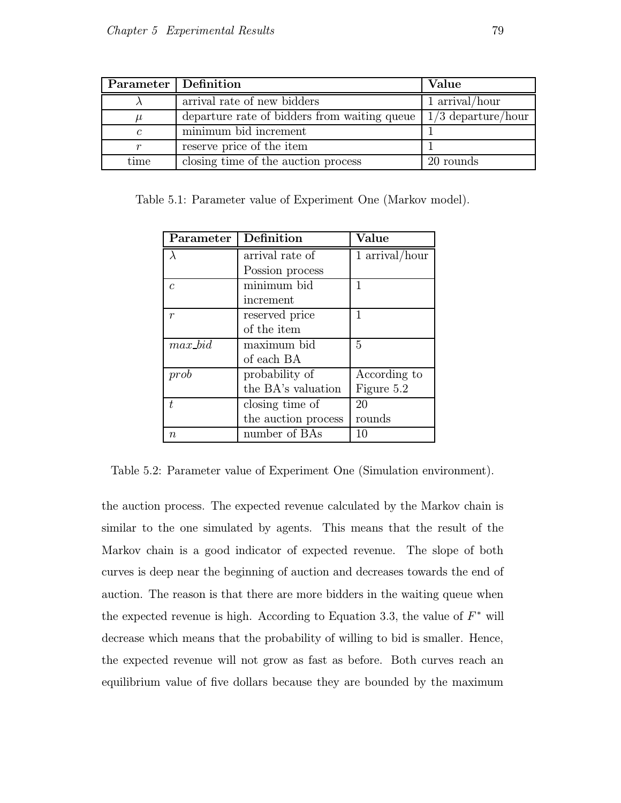| Parameter   Definition |                                              | Value                |
|------------------------|----------------------------------------------|----------------------|
|                        | arrival rate of new bidders                  | 1 arrival/hour       |
| $\mu$                  | departure rate of bidders from waiting queue | $1/3$ departure/hour |
| $\mathcal{C}_{0}$      | minimum bid increment                        |                      |
| $\,r$                  | reserve price of the item                    |                      |
| time                   | closing time of the auction process          | 20 rounds            |

Table 5.1: Parameter value of Experiment One (Markov model).

| Parameter        | Definition                      | Value          |
|------------------|---------------------------------|----------------|
|                  | arrival rate of                 | 1 arrival/hour |
|                  | Possion process                 |                |
| $\mathcal{C}$    | $\overline{\text{minimum}}$ bid | 1              |
|                  | increment                       |                |
| $\boldsymbol{r}$ | reserved price                  | 1              |
|                  | of the item                     |                |
| $max\_bid$       | maximum bid                     | 5              |
|                  | of each BA                      |                |
| prob             | probability of                  | According to   |
|                  | the BA's valuation              | Figure 5.2     |
| t.               | closing time of                 | 20             |
|                  | the auction process             | rounds         |
| $\it{n}$         | number of BAs                   | 10             |

Table 5.2: Parameter value of Experiment One (Simulation environment).

the auction process. The expected revenue calculated by the Markov chain is similar to the one simulated by agents. This means that the result of the Markov chain is a good indicator of expected revenue. The slope of both curves is deep near the beginning of auction and decreases towards the end of auction. The reason is that there are more bidders in the waiting queue when the expected revenue is high. According to Equation 3.3, the value of  $F^*$  will decrease which means that the probability of willing to bid is smaller. Hence, the expected revenue will not grow as fast as before. Both curves reach an equilibrium value of five dollars because they are bounded by the maximum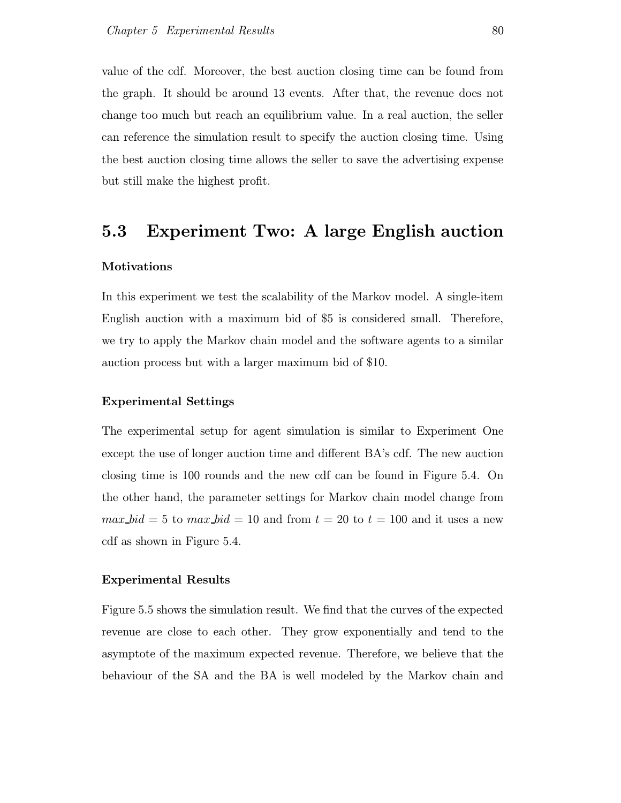value of the cdf. Moreover, the best auction closing time can be found from the graph. It should be around 13 events. After that, the revenue does not change too much but reach an equilibrium value. In a real auction, the seller can reference the simulation result to specify the auction closing time. Using the best auction closing time allows the seller to save the advertising expense but still make the highest profit.

### 5.3 Experiment Two: A large English auction

#### Motivations

In this experiment we test the scalability of the Markov model. A single-item English auction with a maximum bid of \$5 is considered small. Therefore, we try to apply the Markov chain model and the software agents to a similar auction process but with a larger maximum bid of \$10.

#### Experimental Settings

The experimental setup for agent simulation is similar to Experiment One except the use of longer auction time and different BA's cdf. The new auction closing time is 100 rounds and the new cdf can be found in Figure 5.4. On the other hand, the parameter settings for Markov chain model change from  $max\_bid = 5$  to  $max\_bid = 10$  and from  $t = 20$  to  $t = 100$  and it uses a new cdf as shown in Figure 5.4.

#### Experimental Results

Figure 5.5 shows the simulation result. We find that the curves of the expected revenue are close to each other. They grow exponentially and tend to the asymptote of the maximum expected revenue. Therefore, we believe that the behaviour of the SA and the BA is well modeled by the Markov chain and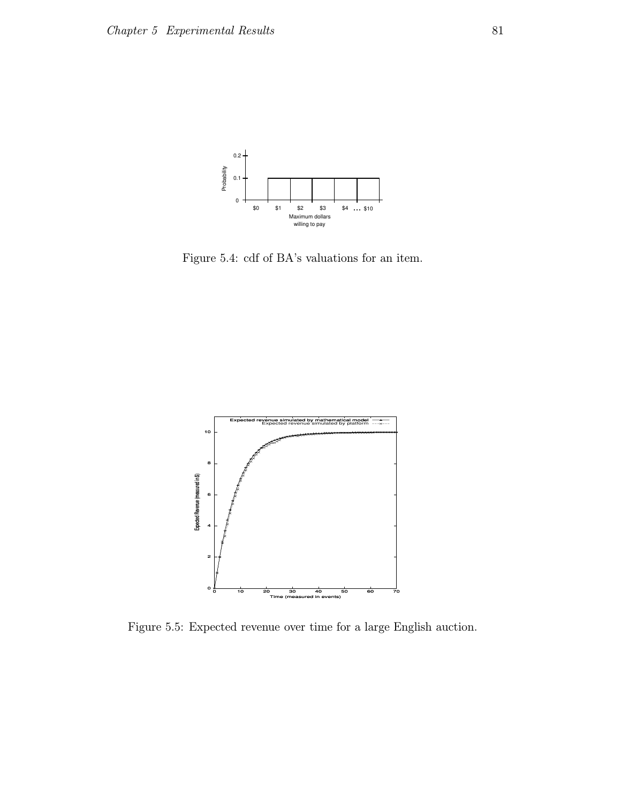

Figure 5.4: cdf of BA's valuations for an item.



Figure 5.5: Expected revenue over time for a large English auction.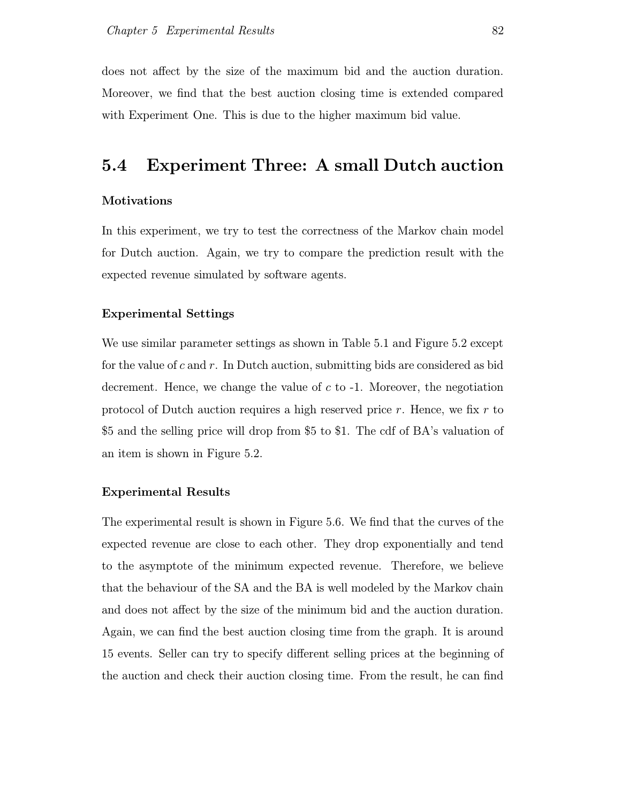does not affect by the size of the maximum bid and the auction duration. Moreover, we find that the best auction closing time is extended compared with Experiment One. This is due to the higher maximum bid value.

## 5.4 Experiment Three: A small Dutch auction

#### Motivations

In this experiment, we try to test the correctness of the Markov chain model for Dutch auction. Again, we try to compare the prediction result with the expected revenue simulated by software agents.

#### Experimental Settings

We use similar parameter settings as shown in Table 5.1 and Figure 5.2 except for the value of  $c$  and  $r$ . In Dutch auction, submitting bids are considered as bid decrement. Hence, we change the value of  $c$  to  $-1$ . Moreover, the negotiation protocol of Dutch auction requires a high reserved price r. Hence, we fix r to \$5 and the selling price will drop from \$5 to \$1. The cdf of BA's valuation of an item is shown in Figure 5.2.

#### Experimental Results

The experimental result is shown in Figure 5.6. We find that the curves of the expected revenue are close to each other. They drop exponentially and tend to the asymptote of the minimum expected revenue. Therefore, we believe that the behaviour of the SA and the BA is well modeled by the Markov chain and does not affect by the size of the minimum bid and the auction duration. Again, we can find the best auction closing time from the graph. It is around 15 events. Seller can try to specify different selling prices at the beginning of the auction and check their auction closing time. From the result, he can find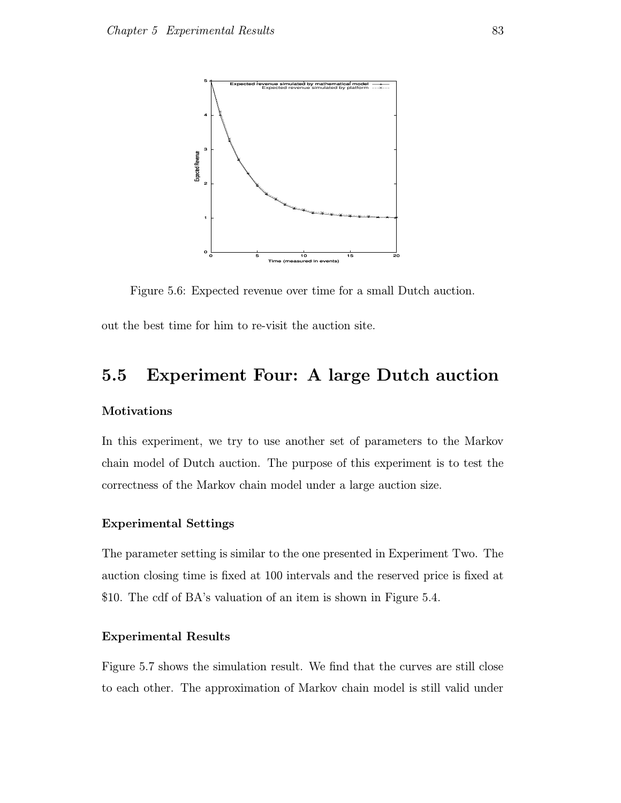

Figure 5.6: Expected revenue over time for a small Dutch auction.

out the best time for him to re-visit the auction site.

## 5.5 Experiment Four: A large Dutch auction

#### Motivations

In this experiment, we try to use another set of parameters to the Markov chain model of Dutch auction. The purpose of this experiment is to test the correctness of the Markov chain model under a large auction size.

#### Experimental Settings

The parameter setting is similar to the one presented in Experiment Two. The auction closing time is fixed at 100 intervals and the reserved price is fixed at \$10. The cdf of BA's valuation of an item is shown in Figure 5.4.

#### Experimental Results

Figure 5.7 shows the simulation result. We find that the curves are still close to each other. The approximation of Markov chain model is still valid under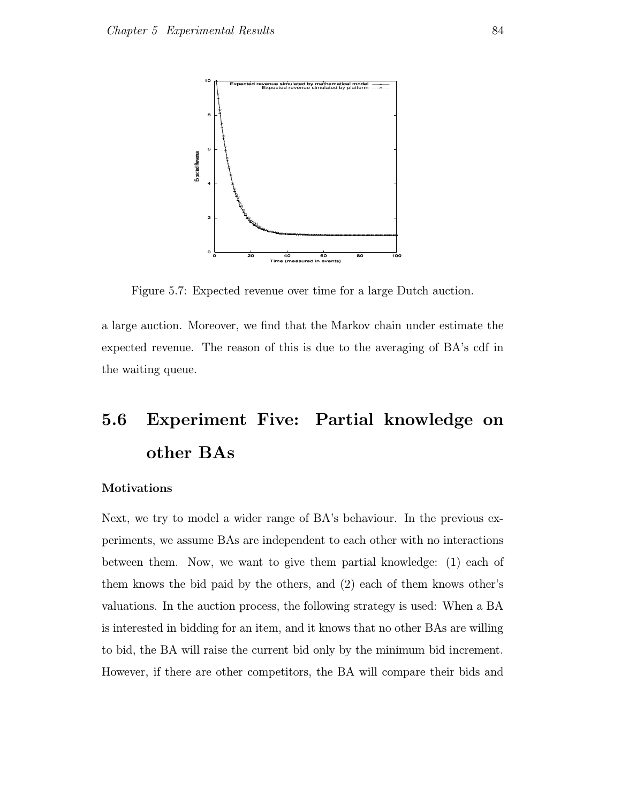

Figure 5.7: Expected revenue over time for a large Dutch auction.

a large auction. Moreover, we find that the Markov chain under estimate the expected revenue. The reason of this is due to the averaging of BA's cdf in the waiting queue.

## 5.6 Experiment Five: Partial knowledge on other BAs

#### Motivations

Next, we try to model a wider range of BA's behaviour. In the previous experiments, we assume BAs are independent to each other with no interactions between them. Now, we want to give them partial knowledge: (1) each of them knows the bid paid by the others, and (2) each of them knows other's valuations. In the auction process, the following strategy is used: When a BA is interested in bidding for an item, and it knows that no other BAs are willing to bid, the BA will raise the current bid only by the minimum bid increment. However, if there are other competitors, the BA will compare their bids and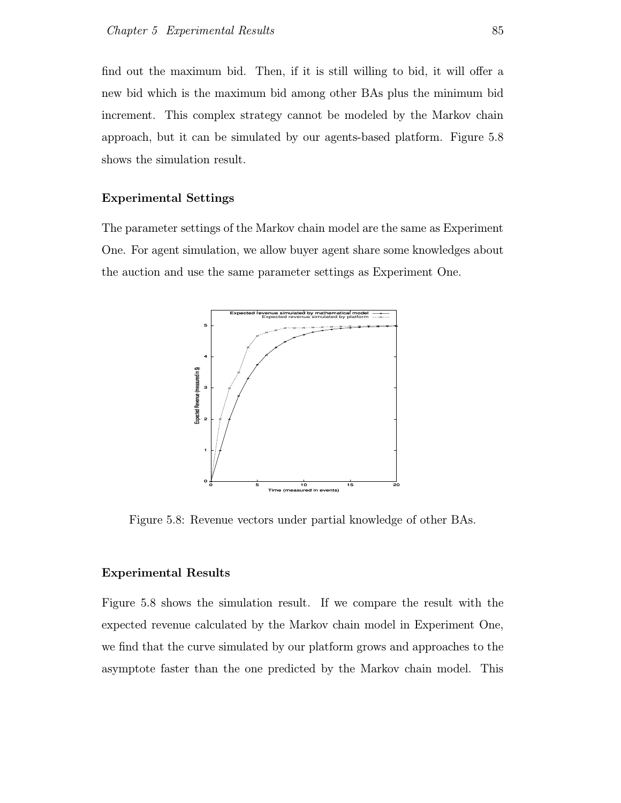find out the maximum bid. Then, if it is still willing to bid, it will offer a new bid which is the maximum bid among other BAs plus the minimum bid increment. This complex strategy cannot be modeled by the Markov chain approach, but it can be simulated by our agents-based platform. Figure 5.8 shows the simulation result.

#### Experimental Settings

The parameter settings of the Markov chain model are the same as Experiment One. For agent simulation, we allow buyer agent share some knowledges about the auction and use the same parameter settings as Experiment One.



Figure 5.8: Revenue vectors under partial knowledge of other BAs.

#### Experimental Results

Figure 5.8 shows the simulation result. If we compare the result with the expected revenue calculated by the Markov chain model in Experiment One, we find that the curve simulated by our platform grows and approaches to the asymptote faster than the one predicted by the Markov chain model. This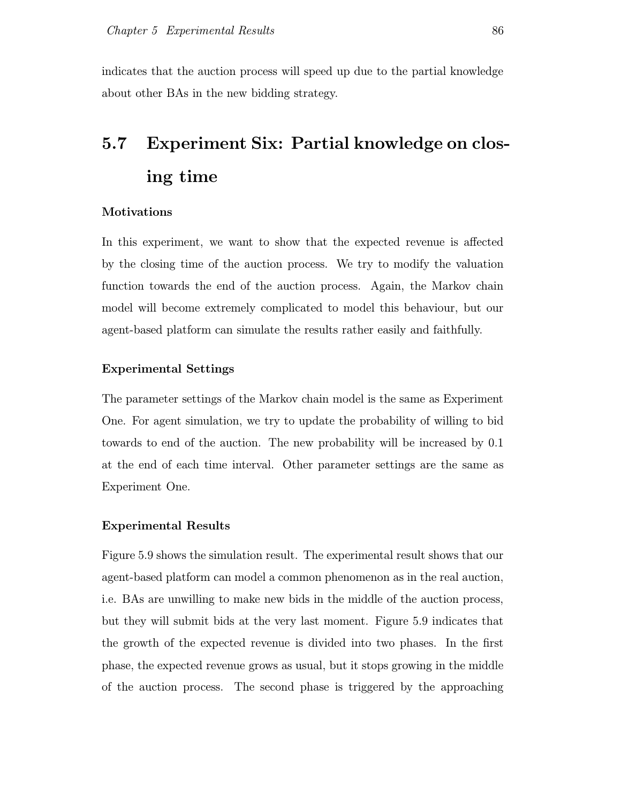indicates that the auction process will speed up due to the partial knowledge about other BAs in the new bidding strategy.

## 5.7 Experiment Six: Partial knowledge on closing time

#### **Motivations**

In this experiment, we want to show that the expected revenue is affected by the closing time of the auction process. We try to modify the valuation function towards the end of the auction process. Again, the Markov chain model will become extremely complicated to model this behaviour, but our agent-based platform can simulate the results rather easily and faithfully.

#### Experimental Settings

The parameter settings of the Markov chain model is the same as Experiment One. For agent simulation, we try to update the probability of willing to bid towards to end of the auction. The new probability will be increased by 0.1 at the end of each time interval. Other parameter settings are the same as Experiment One.

#### Experimental Results

Figure 5.9 shows the simulation result. The experimental result shows that our agent-based platform can model a common phenomenon as in the real auction, i.e. BAs are unwilling to make new bids in the middle of the auction process, but they will submit bids at the very last moment. Figure 5.9 indicates that the growth of the expected revenue is divided into two phases. In the first phase, the expected revenue grows as usual, but it stops growing in the middle of the auction process. The second phase is triggered by the approaching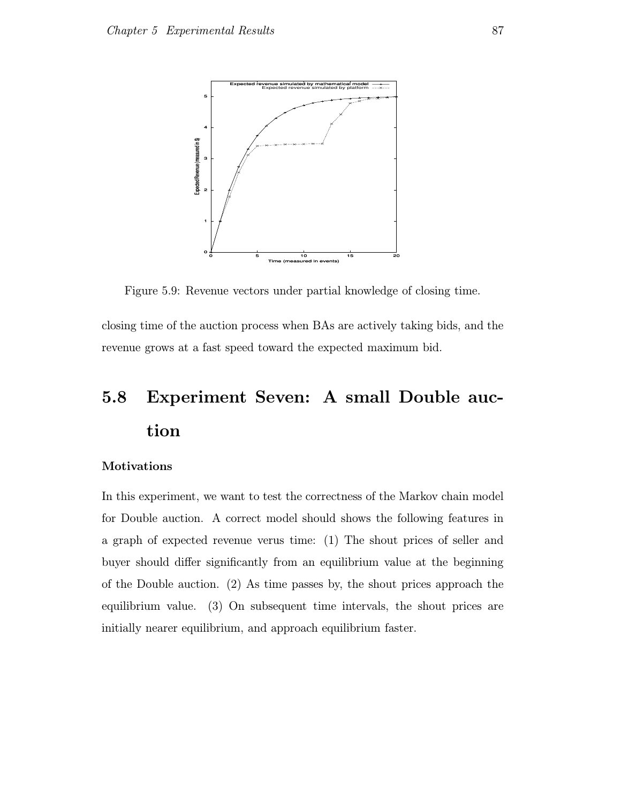

Figure 5.9: Revenue vectors under partial knowledge of closing time.

closing time of the auction process when BAs are actively taking bids, and the revenue grows at a fast speed toward the expected maximum bid.

## 5.8 Experiment Seven: A small Double auction

#### Motivations

In this experiment, we want to test the correctness of the Markov chain model for Double auction. A correct model should shows the following features in a graph of expected revenue verus time: (1) The shout prices of seller and buyer should differ significantly from an equilibrium value at the beginning of the Double auction. (2) As time passes by, the shout prices approach the equilibrium value. (3) On subsequent time intervals, the shout prices are initially nearer equilibrium, and approach equilibrium faster.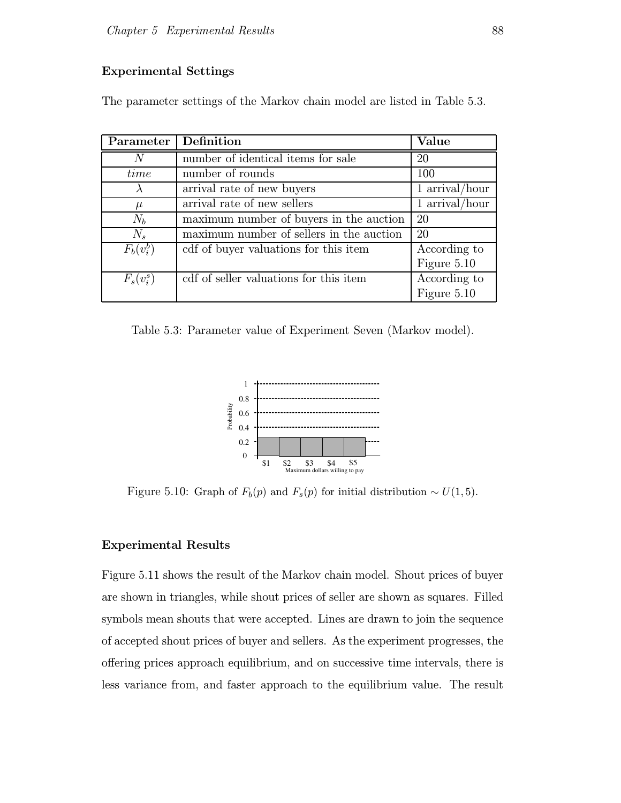#### Experimental Settings

The parameter settings of the Markov chain model are listed in Table 5.3.

| Parameter    | Definition                               | Value          |
|--------------|------------------------------------------|----------------|
| N            | number of identical items for sale       | 20             |
| time         | number of rounds                         | 100            |
| $\lambda$    | arrival rate of new buyers               | 1 arrival/hour |
| $\mu$        | arrival rate of new sellers              | 1 arrival/hour |
| $N_b$        | maximum number of buyers in the auction  | 20             |
| $N_{\rm s}$  | maximum number of sellers in the auction | 20             |
| $F_b(v_i^b)$ | cdf of buyer valuations for this item    | According to   |
|              |                                          | Figure 5.10    |
| $F_s(v_i^s)$ | cdf of seller valuations for this item   | According to   |
|              |                                          | Figure 5.10    |

Table 5.3: Parameter value of Experiment Seven (Markov model).



Figure 5.10: Graph of  $F_b(p)$  and  $F_s(p)$  for initial distribution ~  $U(1,5)$ .

#### Experimental Results

Figure 5.11 shows the result of the Markov chain model. Shout prices of buyer are shown in triangles, while shout prices of seller are shown as squares. Filled symbols mean shouts that were accepted. Lines are drawn to join the sequence of accepted shout prices of buyer and sellers. As the experiment progresses, the offering prices approach equilibrium, and on successive time intervals, there is less variance from, and faster approach to the equilibrium value. The result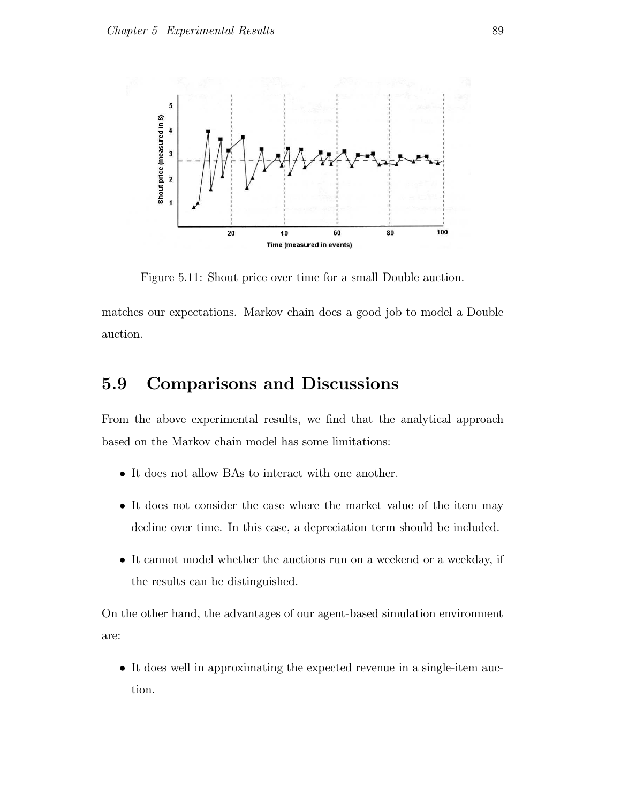

Figure 5.11: Shout price over time for a small Double auction.

matches our expectations. Markov chain does a good job to model a Double auction.

## 5.9 Comparisons and Discussions

From the above experimental results, we find that the analytical approach based on the Markov chain model has some limitations:

- It does not allow BAs to interact with one another.
- It does not consider the case where the market value of the item may decline over time. In this case, a depreciation term should be included.
- It cannot model whether the auctions run on a weekend or a weekday, if the results can be distinguished.

On the other hand, the advantages of our agent-based simulation environment are:

• It does well in approximating the expected revenue in a single-item auction.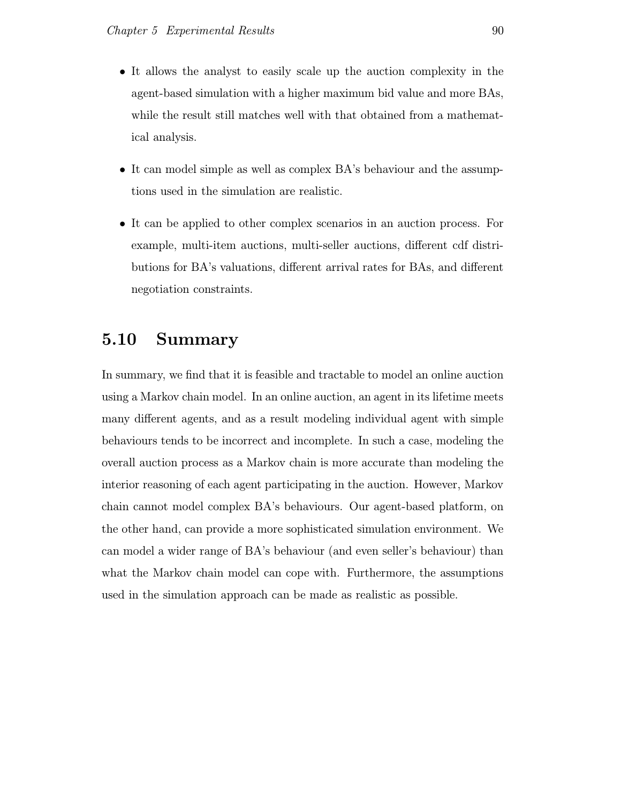- It allows the analyst to easily scale up the auction complexity in the agent-based simulation with a higher maximum bid value and more BAs, while the result still matches well with that obtained from a mathematical analysis.
- It can model simple as well as complex BA's behaviour and the assumptions used in the simulation are realistic.
- It can be applied to other complex scenarios in an auction process. For example, multi-item auctions, multi-seller auctions, different cdf distributions for BA's valuations, different arrival rates for BAs, and different negotiation constraints.

## 5.10 Summary

In summary, we find that it is feasible and tractable to model an online auction using a Markov chain model. In an online auction, an agent in its lifetime meets many different agents, and as a result modeling individual agent with simple behaviours tends to be incorrect and incomplete. In such a case, modeling the overall auction process as a Markov chain is more accurate than modeling the interior reasoning of each agent participating in the auction. However, Markov chain cannot model complex BA's behaviours. Our agent-based platform, on the other hand, can provide a more sophisticated simulation environment. We can model a wider range of BA's behaviour (and even seller's behaviour) than what the Markov chain model can cope with. Furthermore, the assumptions used in the simulation approach can be made as realistic as possible.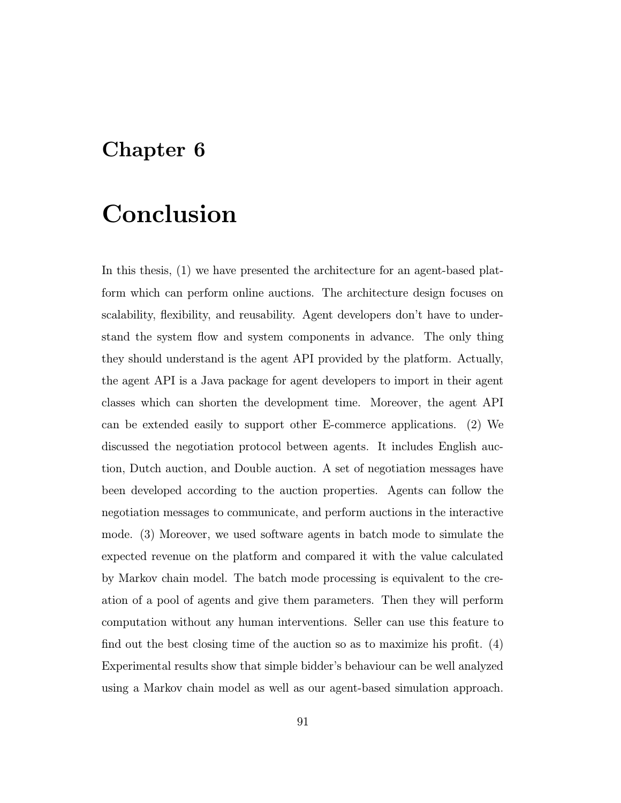## Chapter 6

## Conclusion

In this thesis, (1) we have presented the architecture for an agent-based platform which can perform online auctions. The architecture design focuses on scalability, flexibility, and reusability. Agent developers don't have to understand the system flow and system components in advance. The only thing they should understand is the agent API provided by the platform. Actually, the agent API is a Java package for agent developers to import in their agent classes which can shorten the development time. Moreover, the agent API can be extended easily to support other E-commerce applications. (2) We discussed the negotiation protocol between agents. It includes English auction, Dutch auction, and Double auction. A set of negotiation messages have been developed according to the auction properties. Agents can follow the negotiation messages to communicate, and perform auctions in the interactive mode. (3) Moreover, we used software agents in batch mode to simulate the expected revenue on the platform and compared it with the value calculated by Markov chain model. The batch mode processing is equivalent to the creation of a pool of agents and give them parameters. Then they will perform computation without any human interventions. Seller can use this feature to find out the best closing time of the auction so as to maximize his profit. (4) Experimental results show that simple bidder's behaviour can be well analyzed using a Markov chain model as well as our agent-based simulation approach.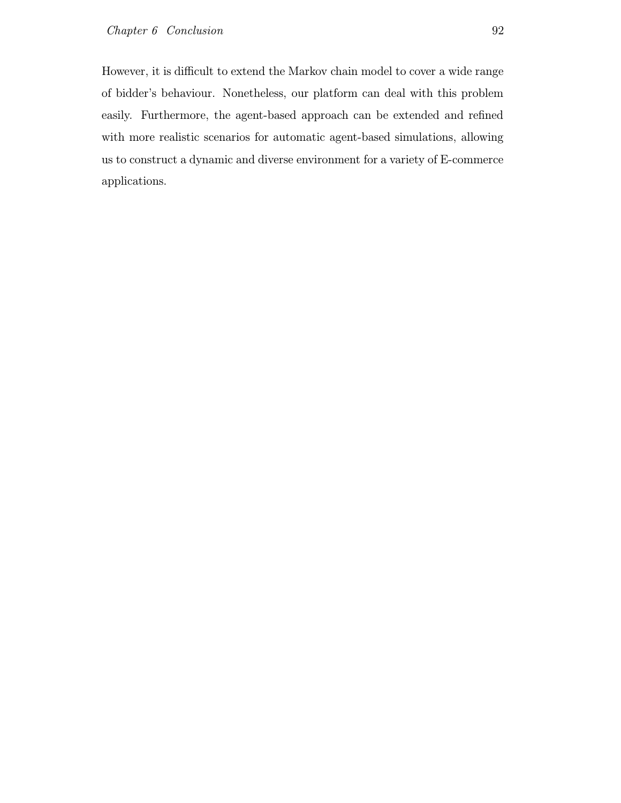However, it is difficult to extend the Markov chain model to cover a wide range of bidder's behaviour. Nonetheless, our platform can deal with this problem easily. Furthermore, the agent-based approach can be extended and refined with more realistic scenarios for automatic agent-based simulations, allowing us to construct a dynamic and diverse environment for a variety of E-commerce applications.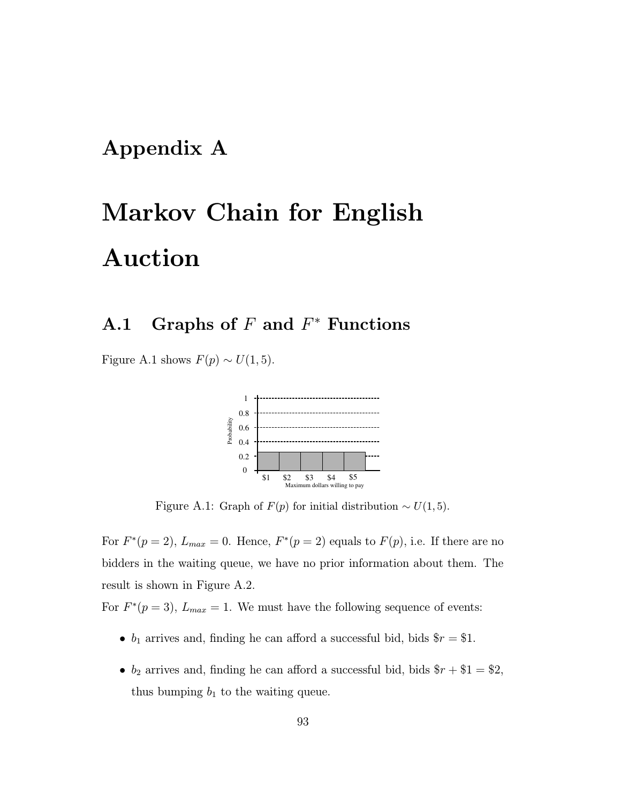## Appendix A

# Markov Chain for English Auction

## $A.1$  Graphs of F and  $F^*$  Functions

Figure A.1 shows  $F(p) \sim U(1, 5)$ .



Figure A.1: Graph of  $F(p)$  for initial distribution ~  $U(1,5)$ .

For  $F^*(p=2)$ ,  $L_{max} = 0$ . Hence,  $F^*(p=2)$  equals to  $F(p)$ , i.e. If there are no bidders in the waiting queue, we have no prior information about them. The result is shown in Figure A.2.

For  $F^*(p=3)$ ,  $L_{max} = 1$ . We must have the following sequence of events:

- $b_1$  arrives and, finding he can afford a successful bid, bids  $r = $1$ .
- $b_2$  arrives and, finding he can afford a successful bid, bids  $r + 1 = 2$ , thus bumping  $b_1$  to the waiting queue.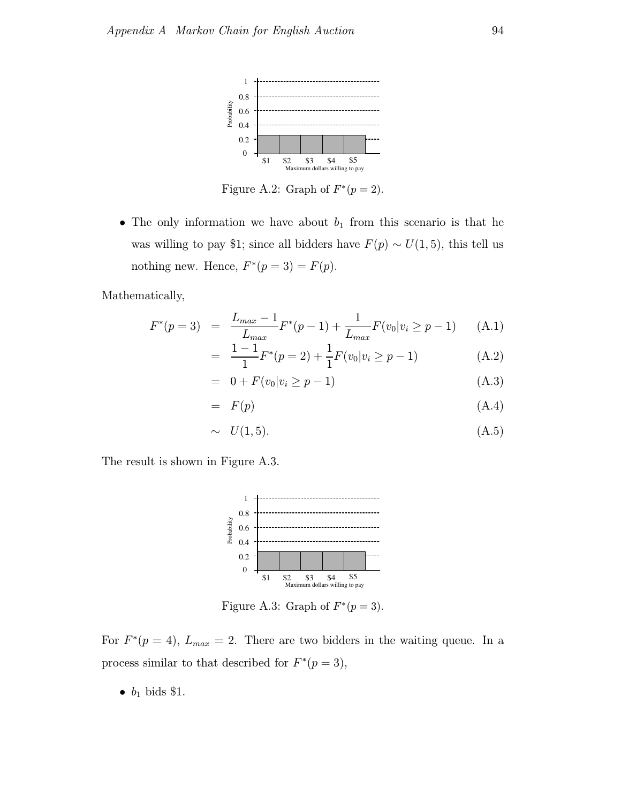

Figure A.2: Graph of  $F^*(p=2)$ .

• The only information we have about  $b_1$  from this scenario is that he was willing to pay \$1; since all bidders have  $F(p) \sim U(1, 5)$ , this tell us nothing new. Hence,  $F^*(p=3) = F(p)$ .

Mathematically,

$$
F^*(p=3) = \frac{L_{max} - 1}{L_{max}} F^*(p-1) + \frac{1}{L_{max}} F(v_0|v_i \ge p-1)
$$
 (A.1)

$$
= \frac{1-1}{1}F^*(p=2) + \frac{1}{1}F(v_0|v_i \ge p-1)
$$
 (A.2)

$$
= 0 + F(v_0|v_i \ge p - 1) \tag{A.3}
$$

$$
= F(p) \tag{A.4}
$$

$$
\sim U(1,5). \tag{A.5}
$$

The result is shown in Figure A.3.



Figure A.3: Graph of  $F^*(p=3)$ .

For  $F^*(p=4)$ ,  $L_{max} = 2$ . There are two bidders in the waiting queue. In a process similar to that described for  $F^*(p=3)$ ,

•  $b_1$  bids \$1.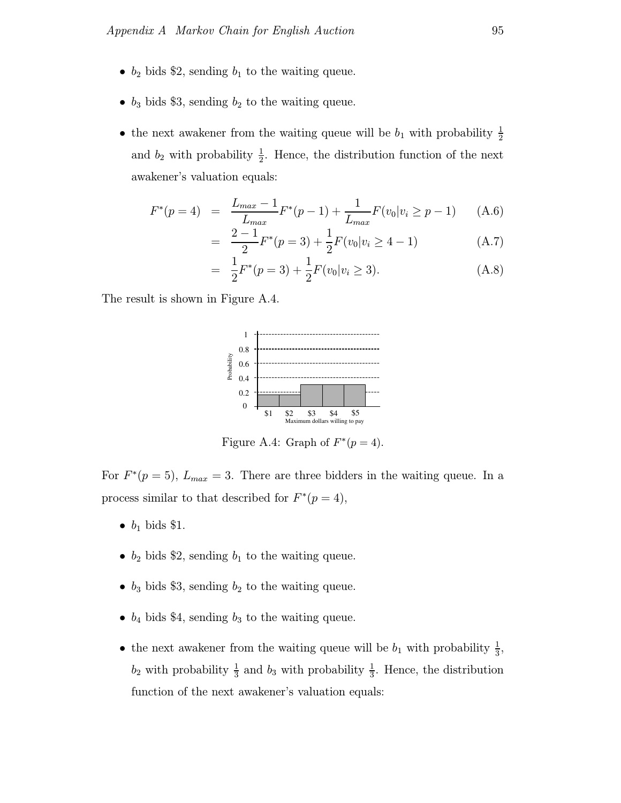- $b_2$  bids \$2, sending  $b_1$  to the waiting queue.
- $b_3$  bids \$3, sending  $b_2$  to the waiting queue.
- the next awakener from the waiting queue will be  $b_1$  with probability  $\frac{1}{2}$ 2 and  $b_2$  with probability  $\frac{1}{2}$  $\frac{1}{2}$ . Hence, the distribution function of the next awakener's valuation equals:

$$
F^*(p=4) = \frac{L_{max} - 1}{L_{max}} F^*(p-1) + \frac{1}{L_{max}} F(v_0|v_i \ge p-1)
$$
 (A.6)

$$
= \frac{2-1}{2}F^*(p=3) + \frac{1}{2}F(v_0|v_i \ge 4-1)
$$
 (A.7)

$$
= \frac{1}{2}F^*(p=3) + \frac{1}{2}F(v_0|v_i \ge 3). \tag{A.8}
$$

The result is shown in Figure A.4.



Figure A.4: Graph of  $F^*(p=4)$ .

For  $F^*(p=5)$ ,  $L_{max} = 3$ . There are three bidders in the waiting queue. In a process similar to that described for  $F^*(p=4)$ ,

- $\bullet$   $b_1$  bids \$1.
- $b_2$  bids \$2, sending  $b_1$  to the waiting queue.
- $b_3$  bids \$3, sending  $b_2$  to the waiting queue.
- $b_4$  bids \$4, sending  $b_3$  to the waiting queue.
- the next awakener from the waiting queue will be  $b_1$  with probability  $\frac{1}{3}$  $\frac{1}{3}$  $b_2$  with probability  $\frac{1}{3}$  $\frac{1}{3}$  and  $b_3$  with probability  $\frac{1}{3}$  $\frac{1}{3}$ . Hence, the distribution function of the next awakener's valuation equals: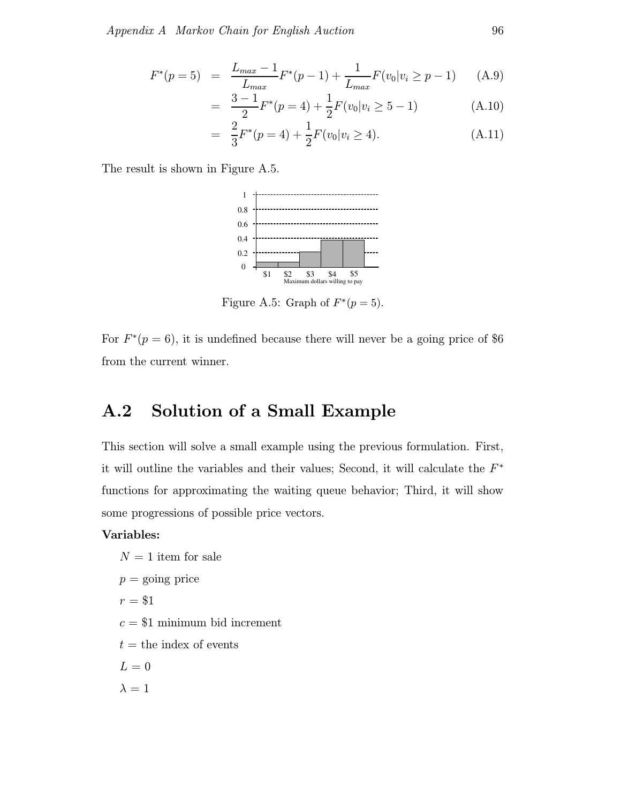$$
F^*(p=5) = \frac{L_{max} - 1}{L_{max}} F^*(p-1) + \frac{1}{L_{max}} F(v_0|v_i \ge p-1)
$$
 (A.9)

$$
= \frac{3-1}{2}F^*(p=4) + \frac{1}{2}F(v_0|v_i \ge 5-1)
$$
 (A.10)

$$
= \frac{2}{3}F^*(p=4) + \frac{1}{2}F(v_0|v_i \ge 4). \tag{A.11}
$$

The result is shown in Figure A.5.



Figure A.5: Graph of  $F^*(p=5)$ .

For  $F^*(p=6)$ , it is undefined because there will never be a going price of \$6 from the current winner.

## A.2 Solution of a Small Example

This section will solve a small example using the previous formulation. First, it will outline the variables and their values; Second, it will calculate the  $F^*$ functions for approximating the waiting queue behavior; Third, it will show some progressions of possible price vectors.

#### Variables:

 $N = 1$  item for sale  $p =$  going price  $r = $1$  $c = $1$  minimum bid increment  $t =$  the index of events  $L = 0$  $\lambda = 1$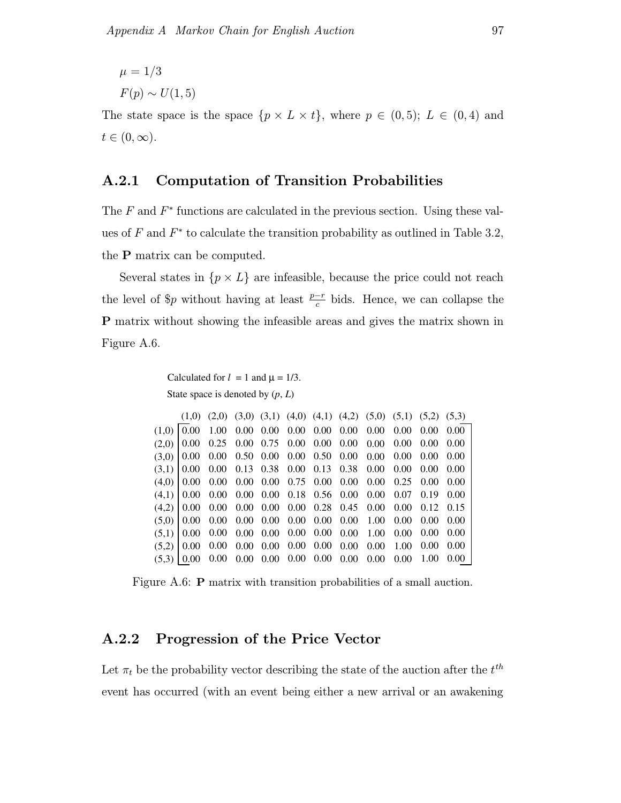$$
\mu = 1/3
$$
  

$$
F(p) \sim U(1,
$$

 $(5)$ 

The state space is the space  $\{p \times L \times t\}$ , where  $p \in (0,5); L \in (0,4)$  and  $t\in (0,\infty).$ 

### A.2.1 Computation of Transition Probabilities

The  $F$  and  $F^*$  functions are calculated in the previous section. Using these values of  $F$  and  $F^*$  to calculate the transition probability as outlined in Table 3.2, the P matrix can be computed.

Several states in  $\{p \times L\}$  are infeasible, because the price could not reach the level of \$p without having at least  $\frac{p-r}{c}$  bids. Hence, we can collapse the P matrix without showing the infeasible areas and gives the matrix shown in Figure A.6.

```
Calculated for l = 1 and \mu = 1/3.
State space is denoted by (
p
, 
L
)
```

|              |  |  |  |                                                                  |                |      | $(1,0)$ $(2,0)$ $(3,0)$ $(3,1)$ $(4,0)$ $(4,1)$ $(4,2)$ $(5,0)$ $(5,1)$ $(5,2)$ $(5,3)$ |
|--------------|--|--|--|------------------------------------------------------------------|----------------|------|-----------------------------------------------------------------------------------------|
|              |  |  |  |                                                                  |                |      |                                                                                         |
|              |  |  |  |                                                                  |                |      |                                                                                         |
|              |  |  |  |                                                                  |                |      |                                                                                         |
|              |  |  |  | $(3,1)$ 0.00 0.00 0.13 0.38 0.00 0.13 0.38 0.00 0.00 0.00 0.00   |                |      |                                                                                         |
|              |  |  |  |                                                                  |                |      |                                                                                         |
|              |  |  |  | $(4,1)$   0.00 0.00 0.00 0.00 0.18 0.56 0.00 0.00 0.07 0.19 0.00 |                |      |                                                                                         |
|              |  |  |  | $(4,2)$ 0.00 0.00 0.00 0.00 0.00 0.28 0.45 0.00 0.00 0.12 0.15   |                |      |                                                                                         |
|              |  |  |  | $(5,0)$ 0.00 0.00 0.00 0.00 0.00 0.00 0.00 1.00 0.00 0.00 0.00   |                |      |                                                                                         |
|              |  |  |  | $(5,1)$ 0.00 0.00 0.00 0.00 0.00 0.00 0.00 1.00 0.00 0.00 0.00   |                |      |                                                                                         |
|              |  |  |  |                                                                  | 1.00 0.00 0.00 |      |                                                                                         |
| $(5,3)$ 0.00 |  |  |  | $0.00$ $0.00$ $0.00$ $0.00$ $0.00$ $0.00$ $0.00$ $0.00$ $0.00$   |                | 1.00 | 0.001                                                                                   |

Figure A.6: P matrix with transition probabilities of a small auction.

#### A.2.2 Progression of the Price Vector

Let  $\pi_t$  be the probability vector describing the state of the auction after the  $t^{th}$ event has occurred (with an event being either a new arrival or an awakening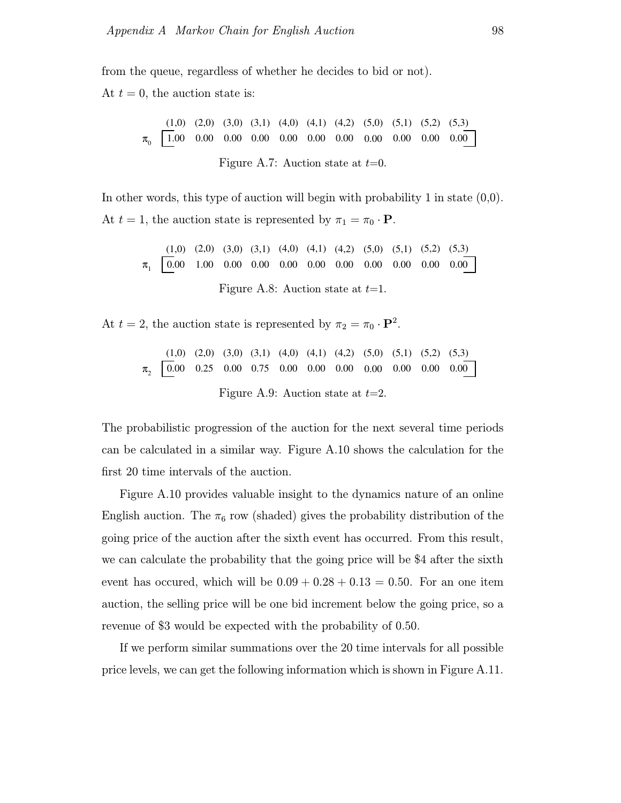from the queue, regardless of whether he decides to bid or not).

At  $t = 0$ , the auction state is:

$$
\pi_0 \quad \boxed{1.00 \quad 0.00 \quad 0.00 \quad 0.00 \quad 0.00 \quad 0.00 \quad 0.00 \quad 0.00 \quad 0.00 \quad 0.00 \quad 0.00 \quad 0.00 \quad 0.00 \quad 0.00 \quad 0.00 \quad 0.00 \quad 0.00 \quad 0.00 \quad 0.00 \quad 0.00 \quad 0.00 \quad 0.00 \quad 0.00 \quad 0.00 \quad 0.00 \quad 0.00 \quad 0.00 \quad 0.00 \quad 0.00 \quad 0.00 \quad 0.00 \quad 0.00 \quad 0.00 \quad 0.00 \quad 0.00 \quad 0.00 \quad 0.00 \quad 0.00 \quad 0.00 \quad 0.00 \quad 0.00 \quad 0.00 \quad 0.00 \quad 0.00 \quad 0.00 \quad 0.00 \quad 0.00 \quad 0.00 \quad 0.00 \quad 0.00 \quad 0.00 \quad 0.00 \quad 0.00 \quad 0.00 \quad 0.00 \quad 0.00 \quad 0.00 \quad 0.00 \quad 0.00 \quad 0.00 \quad 0.00 \quad 0.00 \quad 0.00 \quad 0.00 \quad 0.00 \quad 0.00 \quad 0.00 \quad 0.00 \quad 0.00 \quad 0.00 \quad 0.00 \quad 0.00 \quad 0.00 \quad 0.00 \quad 0.00 \quad 0.00 \quad 0.00 \quad 0.00 \quad 0.00 \quad 0.00 \quad 0.00 \quad 0.00 \quad 0.00 \quad 0.00 \quad 0.00 \quad 0.00 \quad 0.00 \quad 0.00 \quad 0.00 \quad 0.00 \quad 0.00 \quad 0.00 \quad 0.00 \quad 0.00 \quad 0.00 \quad 0.00 \quad 0.00 \quad 0.00 \quad 0.00 \quad 0.00 \quad 0.00 \quad 0.00 \quad 0.00 \quad 0.00 \quad 0.00 \quad 0.00 \quad 0.00 \quad 0.
$$

In other words, this type of auction will begin with probability 1 in state (0,0). At  $t = 1$ , the auction state is represented by  $\pi_1 = \pi_0 \cdot \mathbf{P}$ .

$$
\pi_1 \quad \boxed{0.00 \quad 1.00 \quad 0.00 \quad 0.00 \quad 0.00 \quad 0.00 \quad 0.00 \quad 0.00 \quad 0.00 \quad 0.00 \quad 0.00 \quad 0.00 \quad 0.00 \quad 0.00 \quad 0.00 \quad 0.00 \quad 0.00 \quad 0.00 \quad 0.00 \quad 0.00 \quad 0.00 \quad 0.00 \quad 0.00 \quad 0.00 \quad 0.00 \quad 0.00 \quad 0.00 \quad 0.00 \quad 0.00 \quad 0.00 \quad 0.00 \quad 0.00 \quad 0.00 \quad 0.00 \quad 0.00 \quad 0.00 \quad 0.00 \quad 0.00 \quad 0.00 \quad 0.00 \quad 0.00 \quad 0.00 \quad 0.00 \quad 0.00 \quad 0.00 \quad 0.00 \quad 0.00 \quad 0.00 \quad 0.00 \quad 0.00 \quad 0.00 \quad 0.00 \quad 0.00 \quad 0.00 \quad 0.00 \quad 0.00 \quad 0.00 \quad 0.00 \quad 0.00 \quad 0.00 \quad 0.00 \quad 0.00 \quad 0.00 \quad 0.00 \quad 0.00 \quad 0.00 \quad 0.00 \quad 0.00 \quad 0.00 \quad 0.00 \quad 0.00 \quad 0.00 \quad 0.00 \quad 0.00 \quad 0.00 \quad 0.00 \quad 0.00 \quad 0.00 \quad 0.00 \quad 0.00 \quad 0.00 \quad 0.00 \quad 0.00 \quad 0.00 \quad 0.00 \quad 0.00 \quad 0.00 \quad 0.00 \quad 0.00 \quad 0.00 \quad 0.00 \quad 0.00 \quad 0.00 \quad 0.00 \quad 0.00 \quad 0.00 \quad 0.00 \quad 0.00 \quad 0.00 \quad 0.00 \quad 0.00 \quad 0.00 \quad 0.00 \quad 0.00 \quad 0.00 \quad 0.00 \quad 0.00 \quad 0.
$$

At  $t = 2$ , the auction state is represented by  $\pi_2 = \pi_0 \cdot \mathbf{P}^2$ .

$$
\pi_2 \quad \begin{array}{ccccccccc} (1,0) & (2,0) & (3,0) & (3,1) & (4,0) & (4,1) & (4,2) & (5,0) & (5,1) & (5,2) & (5,3) \\ \hline 0.00 & 0.25 & 0.00 & 0.75 & 0.00 & 0.00 & 0.00 & 0.00 & 0.00 & 0.00 & 0.00 \\ \end{array}
$$
 Figure A.9: Auction state at  $t=2$ .

The probabilistic progression of the auction for the next several time periods can be calculated in a similar way. Figure A.10 shows the calculation for the first 20 time intervals of the auction.

Figure A.10 provides valuable insight to the dynamics nature of an online English auction. The  $\pi_6$  row (shaded) gives the probability distribution of the going price of the auction after the sixth event has occurred. From this result, we can calculate the probability that the going price will be \$4 after the sixth event has occured, which will be  $0.09 + 0.28 + 0.13 = 0.50$ . For an one item auction, the selling price will be one bid increment below the going price, so a revenue of \$3 would be expected with the probability of 0.50.

If we perform similar summations over the 20 time intervals for all possible price levels, we can get the following information which is shown in Figure A.11.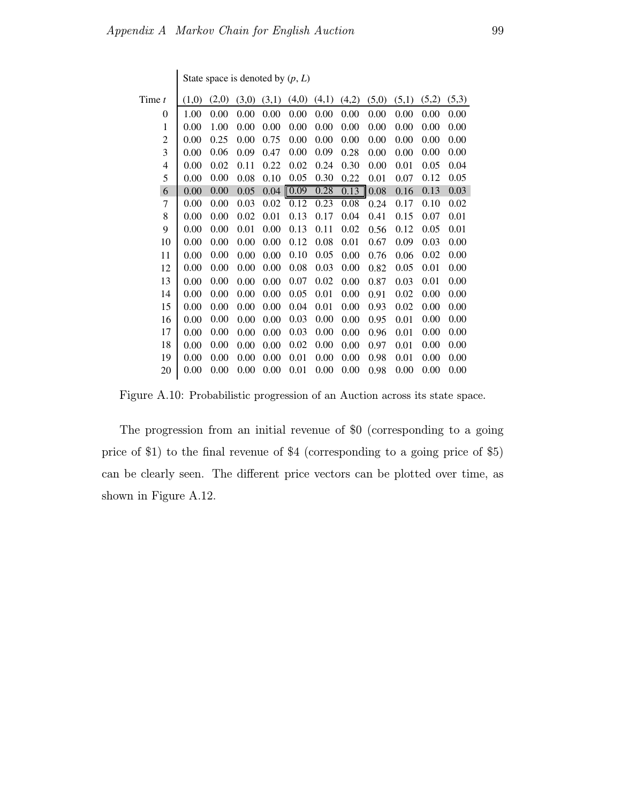| (1,0) | (2,0) | (3,0) | (3,1) | (4,0) | (4,1)         | (4,2) | (5,0) | (5,1) | (5,2) | (5,3) |
|-------|-------|-------|-------|-------|---------------|-------|-------|-------|-------|-------|
| 1.00  | 0.00  | 0.00  | 0.00  | 0.00  | 0.00          | 0.00  | 0.00  | 0.00  | 0.00  | 0.00  |
| 0.00  | 1.00  | 0.00  | 0.00  | 0.00  | 0.00          | 0.00  | 0.00  | 0.00  | 0.00  | 0.00  |
| 0.00  | 0.25  | 0.00  | 0.75  | 0.00  | 0.00          | 0.00  | 0.00  | 0.00  | 0.00  | 0.00  |
| 0.00  | 0.06  | 0.09  | 0.47  | 0.00  | 0.09          | 0.28  | 0.00  | 0.00  | 0.00  | 0.00  |
| 0.00  | 0.02  | 0.11  | 0.22  | 0.02  | 0.24          | 0.30  | 0.00  | 0.01  | 0.05  | 0.04  |
| 0.00  | 0.00  | 0.08  | 0.10  | 0.05  | 0.30          | 0.22  | 0.01  | 0.07  | 0.12  | 0.05  |
| 0.00  | 0.00  | 0.05  | 0.04  |       | 0.28          | 0.13  | 0.08  | 0.16  | 0.13  | 0.03  |
| 0.00  | 0.00  | 0.03  | 0.02  | 0.12  | 0.23          | 0.08  | 0.24  | 0.17  | 0.10  | 0.02  |
| 0.00  | 0.00  | 0.02  | 0.01  | 0.13  | 0.17          | 0.04  | 0.41  | 0.15  | 0.07  | 0.01  |
| 0.00  | 0.00  | 0.01  | 0.00  | 0.13  | 0.11          | 0.02  | 0.56  | 0.12  | 0.05  | 0.01  |
| 0.00  | 0.00  | 0.00  | 0.00  | 0.12  | 0.08          | 0.01  | 0.67  | 0.09  | 0.03  | 0.00  |
| 0.00  | 0.00  | 0.00  | 0.00  | 0.10  | 0.05          | 0.00  | 0.76  | 0.06  | 0.02  | 0.00  |
| 0.00  | 0.00  | 0.00  | 0.00  | 0.08  | 0.03          | 0.00  | 0.82  | 0.05  | 0.01  | 0.00  |
| 0.00  | 0.00  | 0.00  | 0.00  | 0.07  | 0.02          | 0.00  | 0.87  | 0.03  | 0.01  | 0.00  |
| 0.00  | 0.00  | 0.00  | 0.00  | 0.05  | 0.01          | 0.00  | 0.91  | 0.02  | 0.00  | 0.00  |
| 0.00  | 0.00  | 0.00  | 0.00  | 0.04  | 0.01          | 0.00  | 0.93  | 0.02  | 0.00  | 0.00  |
| 0.00  | 0.00  | 0.00  | 0.00  | 0.03  | 0.00          | 0.00  | 0.95  | 0.01  | 0.00  | 0.00  |
| 0.00  | 0.00  | 0.00  | 0.00  | 0.03  | 0.00          | 0.00  | 0.96  | 0.01  | 0.00  | 0.00  |
| 0.00  | 0.00  | 0.00  | 0.00  | 0.02  | 0.00          | 0.00  | 0.97  | 0.01  | 0.00  | 0.00  |
| 0.00  | 0.00  | 0.00  | 0.00  | 0.01  | 0.00          | 0.00  | 0.98  | 0.01  | 0.00  | 0.00  |
| 0.00  | 0.00  | 0.00  | 0.00  | 0.01  | 0.00          | 0.00  | 0.98  | 0.00  | 0.00  | 0.00  |
|       |       |       |       |       | $\sqrt{0.09}$ |       |       |       |       |       |

Figure A.10: Probabilistic progression of an Auction across its state space.

The progression from an initial revenue of \$0 (corresponding to a going price of \$1) to the final revenue of \$4 (corresponding to a going price of \$5) can be clearly seen. The different price vectors can be plotted over time, as shown in Figure A.12.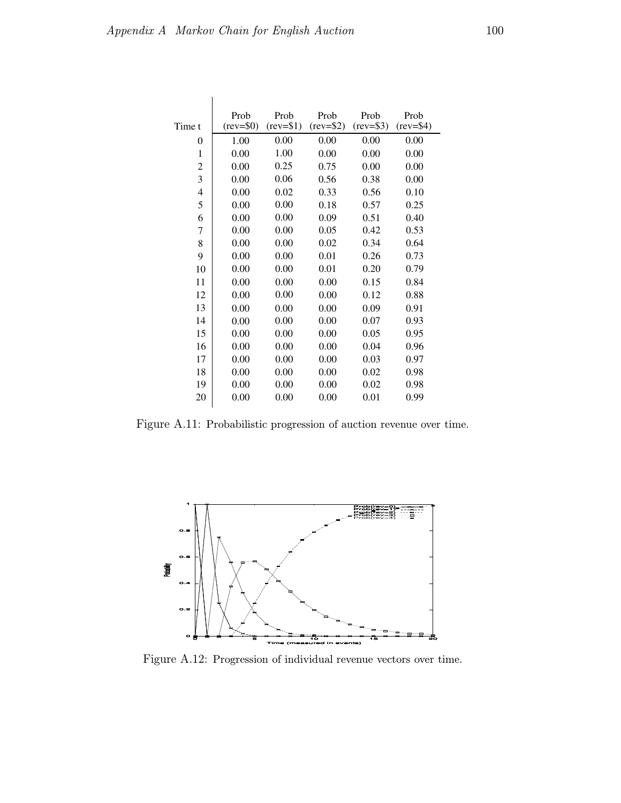|                | Prob        | Prob        | Prob       | Prob         | Prob        |
|----------------|-------------|-------------|------------|--------------|-------------|
| Time t         | $(rev=\$0)$ | $(rev=\$1)$ | $(rev=$2)$ | $(rev=$ \$3) | $(rev=\$4)$ |
| $\theta$       | 1.00        | 0.00        | 0.00       | 0.00         | 0.00        |
| 1              | 0.00        | 1.00        | 0.00       | 0.00         | 0.00        |
| $\overline{c}$ | 0.00        | 0.25        | 0.75       | 0.00         | 0.00        |
| 3              | 0.00        | 0.06        | 0.56       | 0.38         | 0.00        |
| $\overline{4}$ | 0.00        | 0.02        | 0.33       | 0.56         | 0.10        |
| 5              | 0.00        | 0.00        | 0.18       | 0.57         | 0.25        |
| 6              | 0.00        | 0.00        | 0.09       | 0.51         | 0.40        |
| 7              | 0.00        | 0.00        | 0.05       | 0.42         | 0.53        |
| 8              | 0.00        | 0.00        | 0.02       | 0.34         | 0.64        |
| 9              | 0.00        | 0.00        | 0.01       | 0.26         | 0.73        |
| 10             | 0.00        | 0.00        | 0.01       | 0.20         | 0.79        |
| 11             | 0.00        | 0.00        | 0.00       | 0.15         | 0.84        |
| 12             | 0.00        | 0.00        | 0.00       | 0.12         | 0.88        |
| 13             | 0.00        | 0.00        | 0.00       | 0.09         | 0.91        |
| 14             | 0.00        | 0.00        | 0.00       | 0.07         | 0.93        |
| 15             | 0.00        | 0.00        | 0.00       | 0.05         | 0.95        |
| 16             | 0.00        | 0.00        | 0.00       | 0.04         | 0.96        |
| 17             | 0.00        | 0.00        | 0.00       | 0.03         | 0.97        |
| 18             | 0.00        | 0.00        | 0.00       | 0.02         | 0.98        |
| 19             | 0.00        | 0.00        | 0.00       | 0.02         | 0.98        |
| 20             | 0.00        | 0.00        | 0.00       | 0.01         | 0.99        |

Figure A.11: Probabilistic progression of auction revenue over time.



Figure A.12: Progression of individual revenue vectors over time.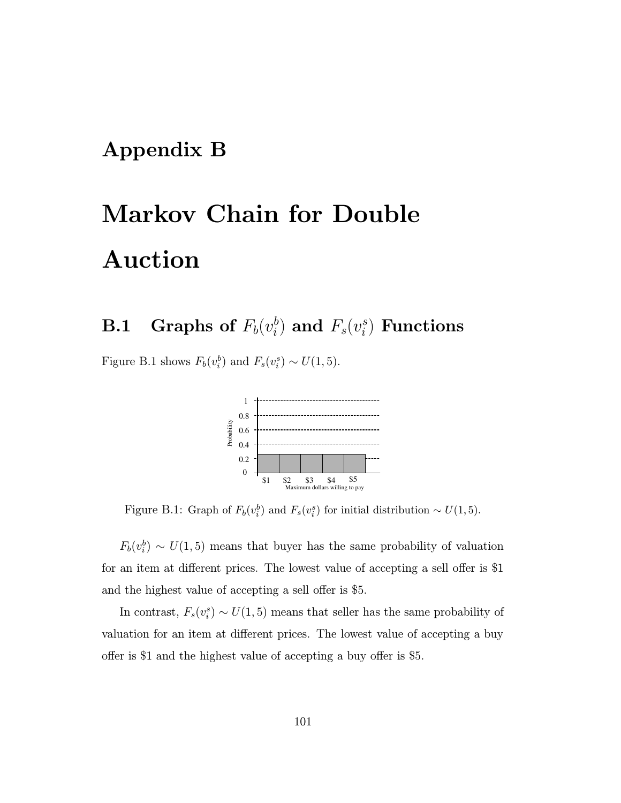### Appendix B

# Markov Chain for Double Auction

#### $\mathbf{B.1} \quad$  Graphs of  $F_b(v_i^b)$  $\binom{b}{i}$  and  $F_s(v^s_i)$  $_{i}^{\mathit{s}})$  Functions

Figure B.1 shows  $F_b(v_i^b)$  and  $F_s(v_i^s) \sim U(1, 5)$ .



Figure B.1: Graph of  $F_b(v_i^b)$  and  $F_s(v_i^s)$  for initial distribution ~  $U(1,5)$ .

 $F_b(v_i^b) \sim U(1, 5)$  means that buyer has the same probability of valuation for an item at different prices. The lowest value of accepting a sell offer is \$1 and the highest value of accepting a sell offer is \$5.

In contrast,  $F_s(v_i^s) \sim U(1, 5)$  means that seller has the same probability of valuation for an item at different prices. The lowest value of accepting a buy offer is \$1 and the highest value of accepting a buy offer is \$5.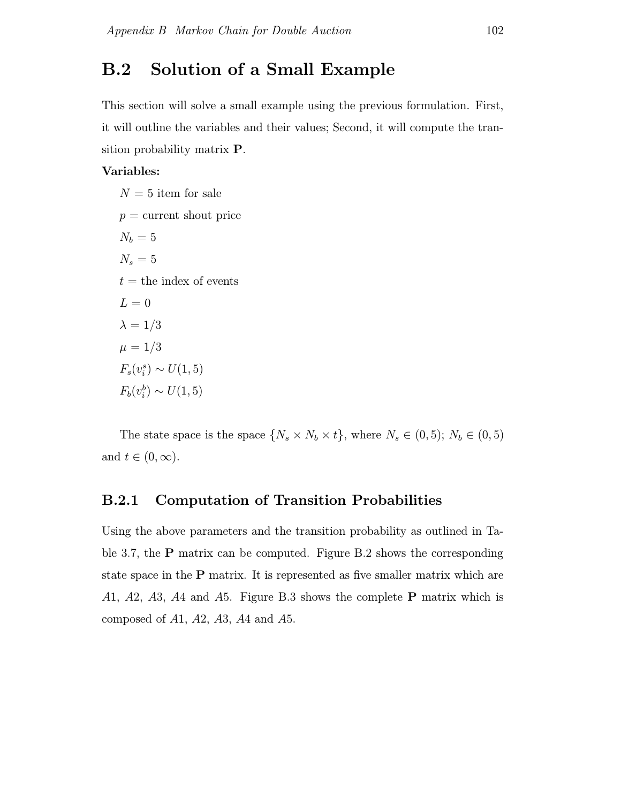### B.2 Solution of a Small Example

This section will solve a small example using the previous formulation. First, it will outline the variables and their values; Second, it will compute the transition probability matrix P.

#### Variables:

 $N = 5$  item for sale  $p =$  current shout price  $N_b = 5$  $N_s=5$  $t =$  the index of events  $L = 0$  $\lambda = 1/3$  $\mu = 1/3$  $F_s(v_i^s) \sim U(1, 5)$  $F_b(v_i^b) \sim U(1, 5)$ 

The state space is the space  $\{N_s \times N_b \times t\}$ , where  $N_s \in (0, 5)$ ;  $N_b \in (0, 5)$ and  $t \in (0, \infty)$ .

#### B.2.1 Computation of Transition Probabilities

Using the above parameters and the transition probability as outlined in Table 3.7, the P matrix can be computed. Figure B.2 shows the corresponding state space in the P matrix. It is represented as five smaller matrix which are A1, A2, A3, A4 and A5. Figure B.3 shows the complete **P** matrix which is composed of  $A1$ ,  $A2$ ,  $A3$ ,  $A4$  and  $A5$ .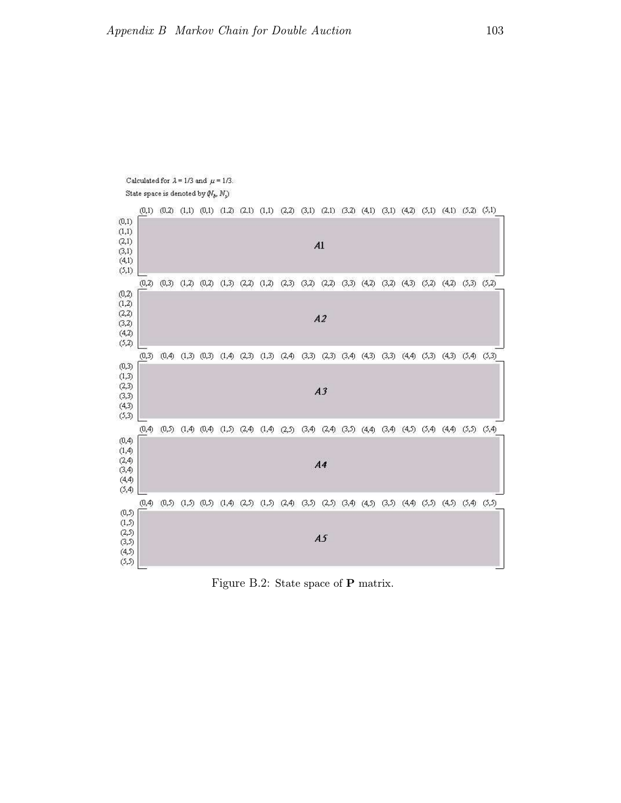

Figure B.2: State space of P matrix.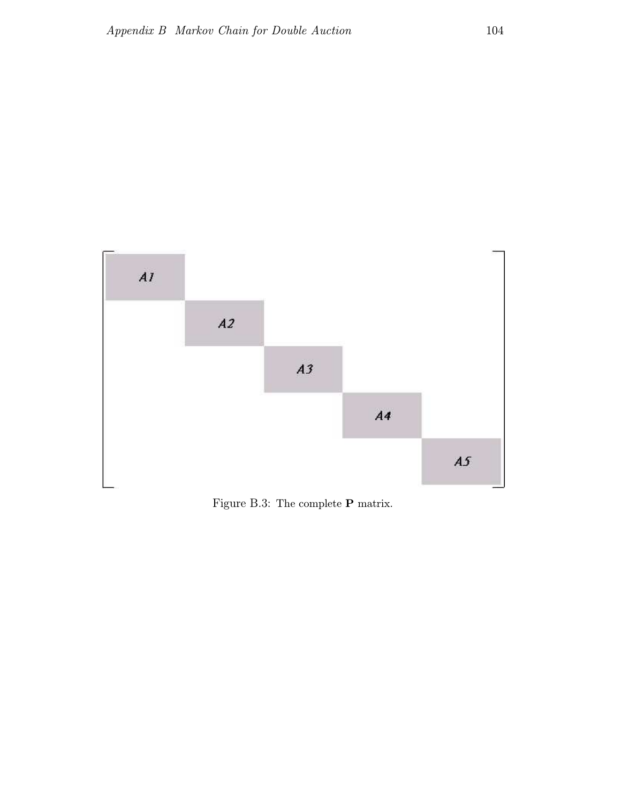

Figure B.3: The complete P matrix.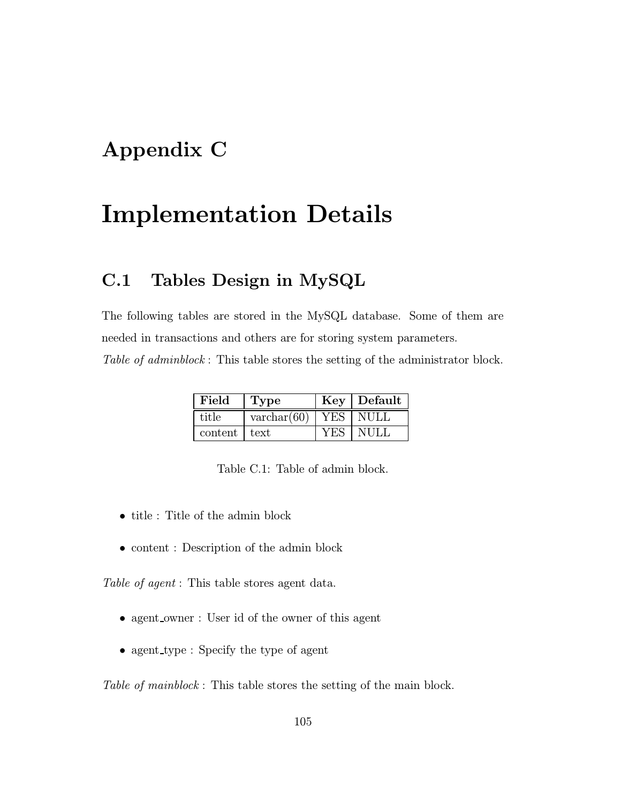### Appendix C

## Implementation Details

### C.1 Tables Design in MySQL

The following tables are stored in the MySQL database. Some of them are needed in transactions and others are for storing system parameters.

Table of adminblock: This table stores the setting of the administrator block.

| Field        | 'Type                |     | $Key$ Default    |
|--------------|----------------------|-----|------------------|
| title        | $\text{varchar}(60)$ |     | <b>TYES NULL</b> |
| content text |                      | YES | - NULI           |

- title : Title of the admin block
- content : Description of the admin block

Table of agent : This table stores agent data.

- agent\_owner : User id of the owner of this agent
- agent type : Specify the type of agent

Table of mainblock: This table stores the setting of the main block.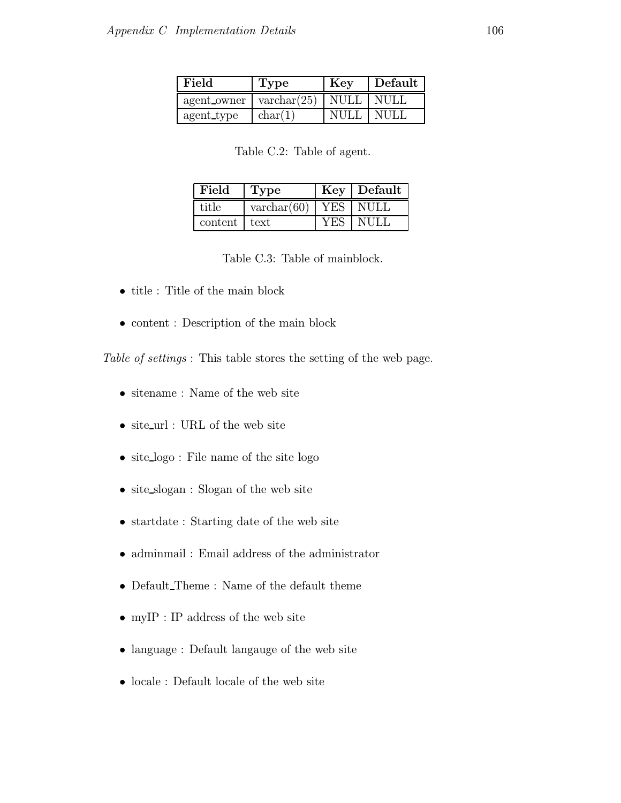| Field                              | Type    | Key                | Default |
|------------------------------------|---------|--------------------|---------|
| agent owner   $\text{varchar}(25)$ |         | NULL NULL          |         |
| agent type                         | char(1) | <b>NULL   NULL</b> |         |

Table C.2: Table of agent.

| Field          | 'Type                |                  | Key Default |
|----------------|----------------------|------------------|-------------|
| title          | $\text{varchar}(60)$ | $YE\overline{S}$ | NULL        |
| content   text |                      |                  | NULL        |

Table C.3: Table of mainblock.

- title : Title of the main block
- content : Description of the main block

Table of settings: This table stores the setting of the web page.

- sitename : Name of the web site
- site url : URL of the web site
- site\_logo : File name of the site logo
- site\_slogan : Slogan of the web site
- startdate : Starting date of the web site
- adminmail : Email address of the administrator
- Default Theme : Name of the default theme
- $\bullet\,$  my<br>IP : IP address of the web site
- language : Default language of the web site
- locale : Default locale of the web site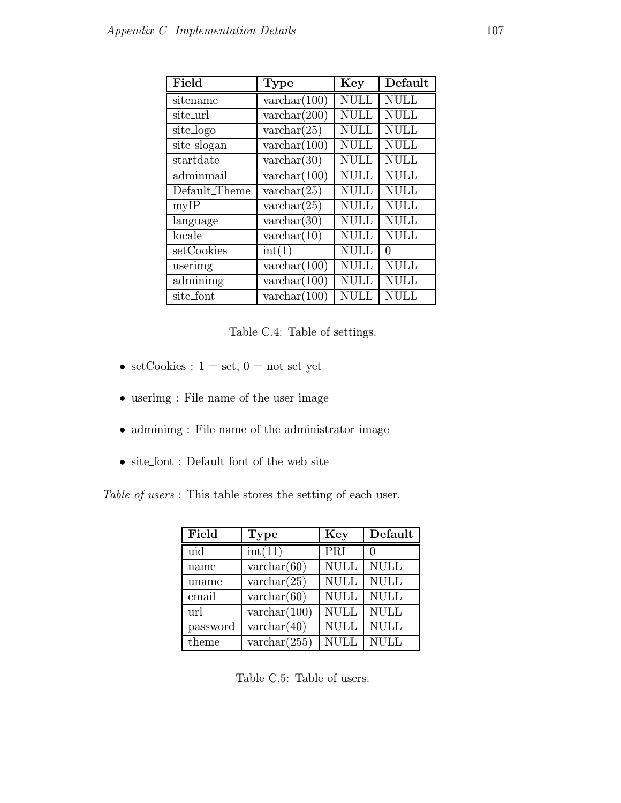| Field         | Type                  | Key         | Default     |
|---------------|-----------------------|-------------|-------------|
| sitename      | $\text{varchar}(100)$ | <b>NULL</b> | <b>NULL</b> |
| site_url      | $\text{varchar}(200)$ | <b>NULL</b> | <b>NULL</b> |
| site_logo     | $\text{varchar}(25)$  | <b>NULL</b> | <b>NULL</b> |
| site_slogan   | $\text{varchar}(100)$ | <b>NULL</b> | <b>NULL</b> |
| startdate     | $\text{varchar}(30)$  | <b>NULL</b> | <b>NULL</b> |
| adminmail     | $\text{varchar}(100)$ | <b>NULL</b> | <b>NULL</b> |
| Default_Theme | $\text{varchar}(25)$  | <b>NULL</b> | <b>NULL</b> |
| myIP          | $\text{varchar}(25)$  | <b>NULL</b> | <b>NULL</b> |
| language      | $\text{varchar}(30)$  | <b>NULL</b> | <b>NULL</b> |
| locale        | $\text{varchar}(10)$  | NULL        | <b>NULL</b> |
| setCookies    | int(1)                | <b>NULL</b> | $\Omega$    |
| userimg       | $\text{varchar}(100)$ | <b>NULL</b> | <b>NULL</b> |
| adminimg      | $\text{varchar}(100)$ | <b>NULL</b> | <b>NULL</b> |
| site_font     | $\text{varchar}(100)$ | NULL        | <b>NULL</b> |

Table C.4: Table of settings.

- $\bullet\,$  set<br>Cookies :  $1$  = set,  $0$  = not set yet
- userimg : File name of the user image
- adminimg : File name of the administrator image
- site font : Default font of the web site

Table of users : This table stores the setting of each user.

| Field    | <b>Type</b>           | Key              | Default     |
|----------|-----------------------|------------------|-------------|
| uid      | int(11)               | $\overline{PRI}$ |             |
| name     | $\text{varchar}(60)$  | <b>NULL</b>      | <b>NULL</b> |
| uname    | $\text{varchar}(25)$  | <b>NULL</b>      | <b>NULL</b> |
| email    | $\text{varchar}(60)$  | <b>NULL</b>      | <b>NULL</b> |
| url      | $\text{varchar}(100)$ | <b>NULL</b>      | <b>NULL</b> |
| password | $\text{varchar}(40)$  | <b>NULL</b>      | <b>NULL</b> |
| theme    | varchar $(255)$       | <b>NULL</b>      | <b>NULL</b> |

Table C.5: Table of users.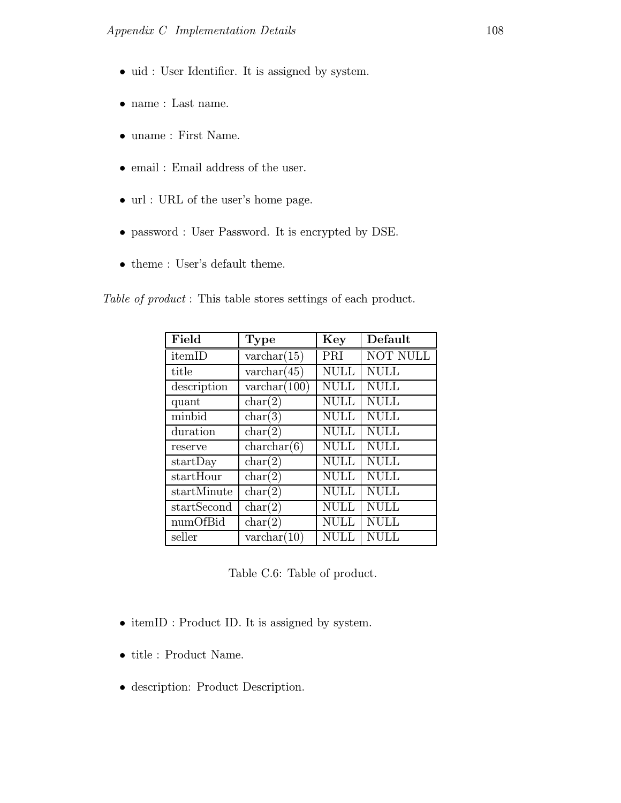- uid : User Identifier. It is assigned by system.
- name : Last name.
- uname : First Name.
- email : Email address of the user.
- url : URL of the user's home page.
- password : User Password. It is encrypted by DSE.
- theme : User's default theme.

Table of product : This table stores settings of each product.

| Field       | <b>Type</b>           | Key         | Default         |
|-------------|-----------------------|-------------|-----------------|
| itemID      | $\text{varchar}(15)$  | PRI         | <b>NOT NULL</b> |
| title       | $\text{varchar}(45)$  | <b>NULL</b> | <b>NULL</b>     |
| description | $\text{varchar}(100)$ | <b>NULL</b> | <b>NULL</b>     |
| quant       | char(2)               | <b>NULL</b> | <b>NULL</b>     |
| minbid      | char(3)               | <b>NULL</b> | <b>NULL</b>     |
| duration    | char(2)               | <b>NULL</b> | <b>NULL</b>     |
| reserve     | char(b)               | <b>NULL</b> | <b>NULL</b>     |
| startDay    | char(2)               | <b>NULL</b> | <b>NULL</b>     |
| startHour   | char(2)               | <b>NULL</b> | <b>NULL</b>     |
| startMinute | char(2)               | <b>NULL</b> | <b>NULL</b>     |
| startSecond | char(2)               | <b>NULL</b> | <b>NULL</b>     |
| numOfBid    | char(2)               | <b>NULL</b> | <b>NULL</b>     |
| seller      | $\text{varchar}(10)$  | <b>NULL</b> | NULL            |

Table C.6: Table of product.

- itemID : Product ID. It is assigned by system.
- title : Product Name.
- description: Product Description.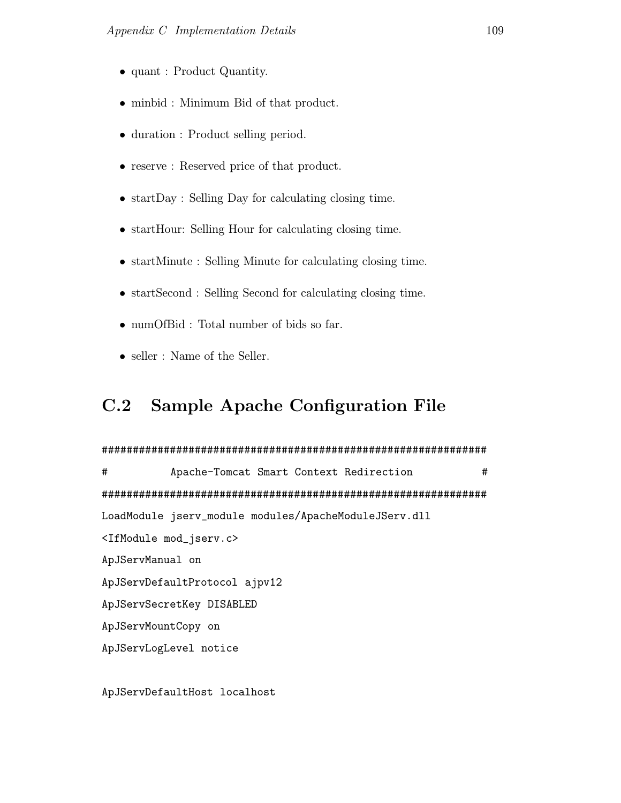- quant : Product Quantity.
- minbid : Minimum Bid of that product.
- duration : Product selling period.
- reserve : Reserved price of that product.
- startDay : Selling Day for calculating closing time.
- startHour: Selling Hour for calculating closing time.
- startMinute : Selling Minute for calculating closing time.
- startSecond : Selling Second for calculating closing time.
- numOfBid : Total number of bids so far.
- seller : Name of the Seller.

### C.2 Sample Apache Configuration File

#### ##############################################################

# Apache-Tomcat Smart Context Redirection # ############################################################## LoadModule jserv\_module modules/ApacheModuleJServ.dll <IfModule mod\_jserv.c> ApJServManual on ApJServDefaultProtocol ajpv12 ApJServSecretKey DISABLED ApJServMountCopy on ApJServLogLevel notice

ApJServDefaultHost localhost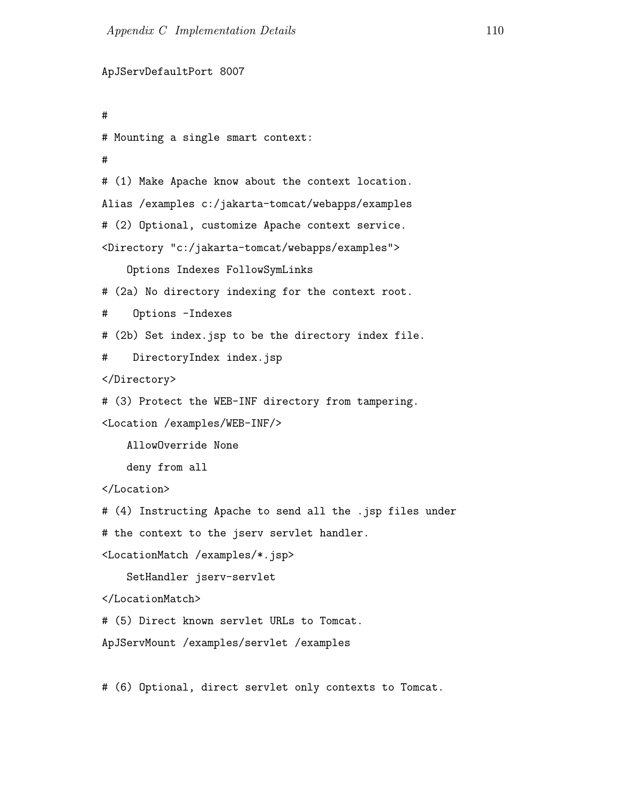```
ApJServDefaultPort 8007
#
# Mounting a single smart context:
#
# (1) Make Apache know about the context location.
Alias /examples c:/jakarta-tomcat/webapps/examples
# (2) Optional, customize Apache context service.
<Directory "c:/jakarta-tomcat/webapps/examples">
    Options Indexes FollowSymLinks
# (2a) No directory indexing for the context root.
# Options -Indexes
# (2b) Set index.jsp to be the directory index file.
# DirectoryIndex index.jsp
</Directory>
# (3) Protect the WEB-INF directory from tampering.
<Location /examples/WEB-INF/>
    AllowOverride None
    deny from all
</Location>
# (4) Instructing Apache to send all the .jsp files under
# the context to the jserv servlet handler.
<LocationMatch /examples/*.jsp>
    SetHandler jserv-servlet
</LocationMatch>
# (5) Direct known servlet URLs to Tomcat.
ApJServMount /examples/servlet /examples
# (6) Optional, direct servlet only contexts to Tomcat.
```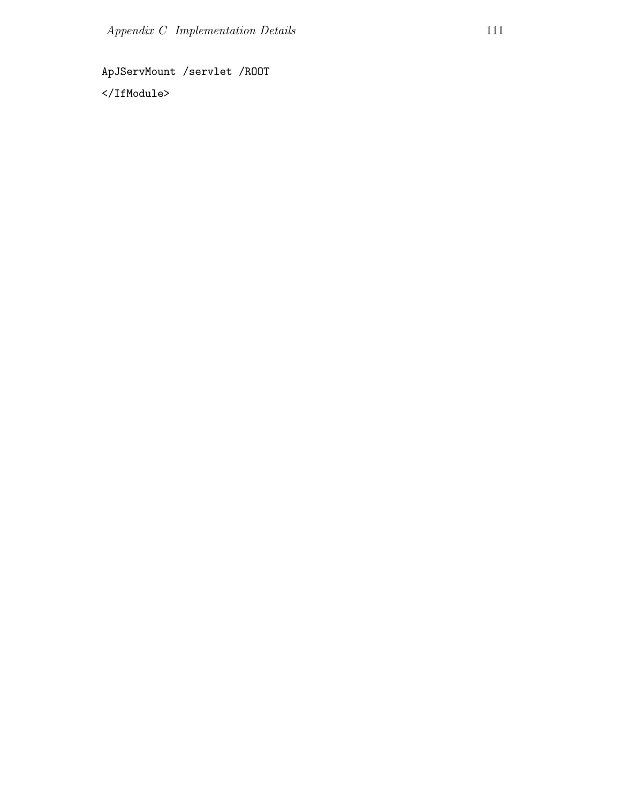ApJServMount /servlet /ROOT

</IfModule>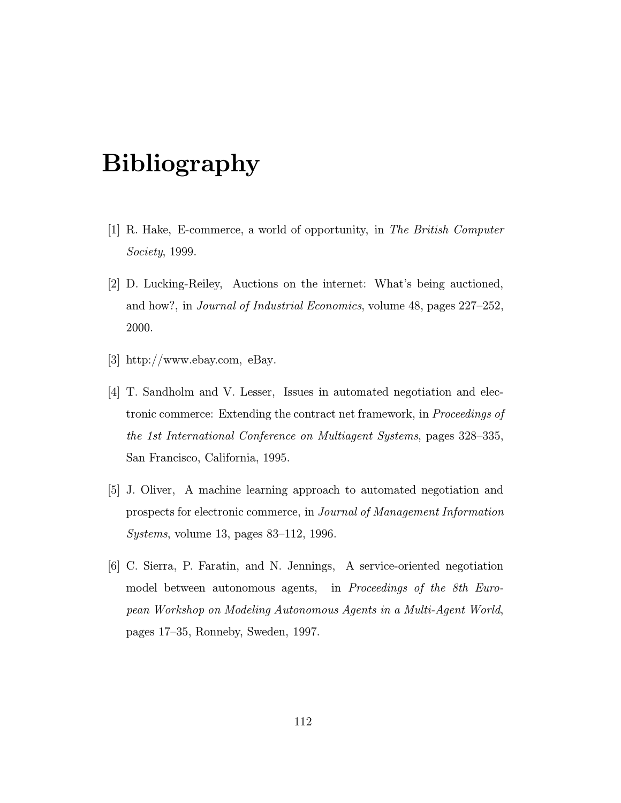# Bibliography

- [1] R. Hake, E-commerce, a world of opportunity, in The British Computer Society, 1999.
- [2] D. Lucking-Reiley, Auctions on the internet: What's being auctioned, and how?, in Journal of Industrial Economics, volume 48, pages 227–252, 2000.
- [3] http://www.ebay.com, eBay.
- [4] T. Sandholm and V. Lesser, Issues in automated negotiation and electronic commerce: Extending the contract net framework, in Proceedings of the 1st International Conference on Multiagent Systems, pages 328–335, San Francisco, California, 1995.
- [5] J. Oliver, A machine learning approach to automated negotiation and prospects for electronic commerce, in Journal of Management Information Systems, volume 13, pages 83–112, 1996.
- [6] C. Sierra, P. Faratin, and N. Jennings, A service-oriented negotiation model between autonomous agents, in *Proceedings of the 8th Euro*pean Workshop on Modeling Autonomous Agents in a Multi-Agent World, pages 17–35, Ronneby, Sweden, 1997.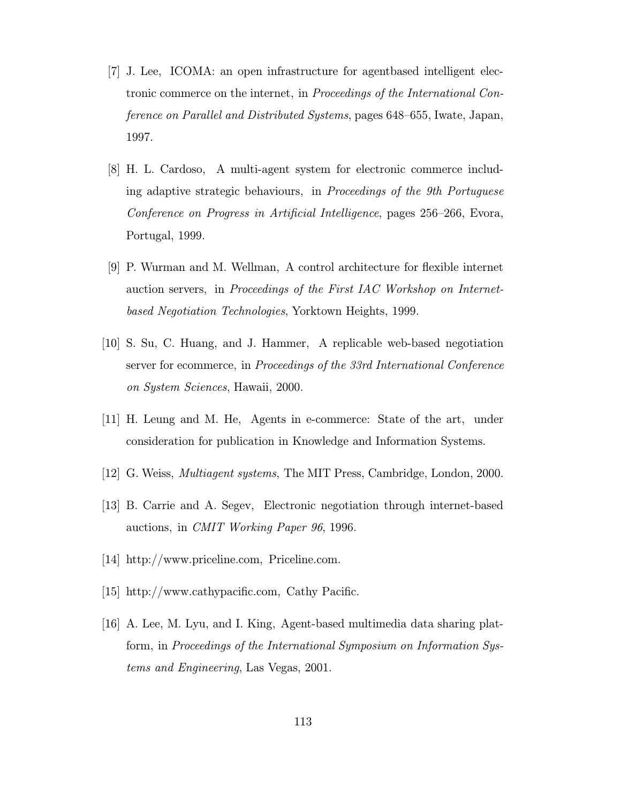- [7] J. Lee, ICOMA: an open infrastructure for agentbased intelligent electronic commerce on the internet, in Proceedings of the International Conference on Parallel and Distributed Systems, pages 648–655, Iwate, Japan, 1997.
- [8] H. L. Cardoso, A multi-agent system for electronic commerce including adaptive strategic behaviours, in Proceedings of the 9th Portuguese Conference on Progress in Artificial Intelligence, pages 256–266, Evora, Portugal, 1999.
- [9] P. Wurman and M. Wellman, A control architecture for flexible internet auction servers, in Proceedings of the First IAC Workshop on Internetbased Negotiation Technologies, Yorktown Heights, 1999.
- [10] S. Su, C. Huang, and J. Hammer, A replicable web-based negotiation server for ecommerce, in Proceedings of the 33rd International Conference on System Sciences, Hawaii, 2000.
- [11] H. Leung and M. He, Agents in e-commerce: State of the art, under consideration for publication in Knowledge and Information Systems.
- [12] G. Weiss, Multiagent systems, The MIT Press, Cambridge, London, 2000.
- [13] B. Carrie and A. Segev, Electronic negotiation through internet-based auctions, in CMIT Working Paper 96, 1996.
- [14] http://www.priceline.com, Priceline.com.
- [15] http://www.cathypacific.com, Cathy Pacific.
- [16] A. Lee, M. Lyu, and I. King, Agent-based multimedia data sharing platform, in Proceedings of the International Symposium on Information Systems and Engineering, Las Vegas, 2001.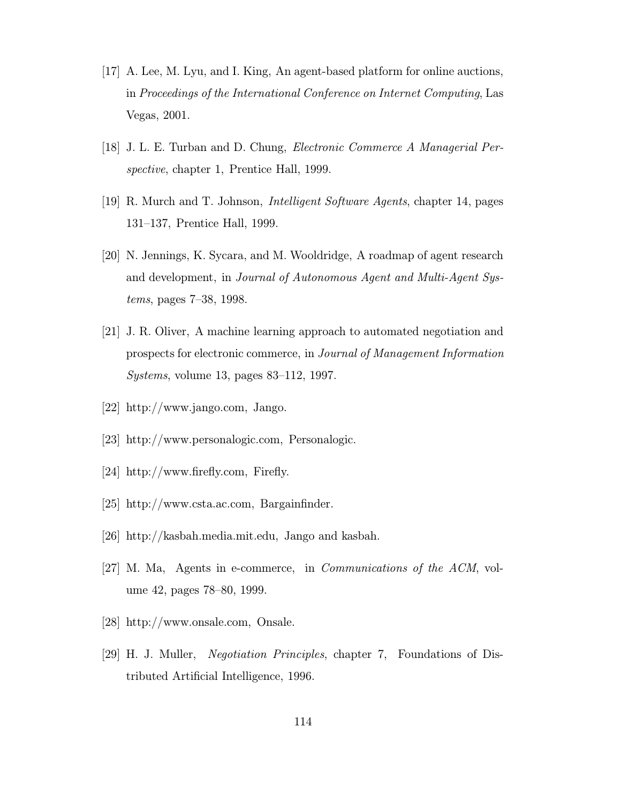- [17] A. Lee, M. Lyu, and I. King, An agent-based platform for online auctions, in Proceedings of the International Conference on Internet Computing, Las Vegas, 2001.
- [18] J. L. E. Turban and D. Chung, Electronic Commerce A Managerial Perspective, chapter 1, Prentice Hall, 1999.
- [19] R. Murch and T. Johnson, Intelligent Software Agents, chapter 14, pages 131–137, Prentice Hall, 1999.
- [20] N. Jennings, K. Sycara, and M. Wooldridge, A roadmap of agent research and development, in Journal of Autonomous Agent and Multi-Agent Systems, pages 7–38, 1998.
- [21] J. R. Oliver, A machine learning approach to automated negotiation and prospects for electronic commerce, in Journal of Management Information Systems, volume 13, pages 83–112, 1997.
- [22] http://www.jango.com, Jango.
- [23] http://www.personalogic.com, Personalogic.
- [24] http://www.firefly.com, Firefly.
- [25] http://www.csta.ac.com, Bargainfinder.
- [26] http://kasbah.media.mit.edu, Jango and kasbah.
- [27] M. Ma, Agents in e-commerce, in Communications of the ACM, volume 42, pages 78–80, 1999.
- [28] http://www.onsale.com, Onsale.
- [29] H. J. Muller, Negotiation Principles, chapter 7, Foundations of Distributed Artificial Intelligence, 1996.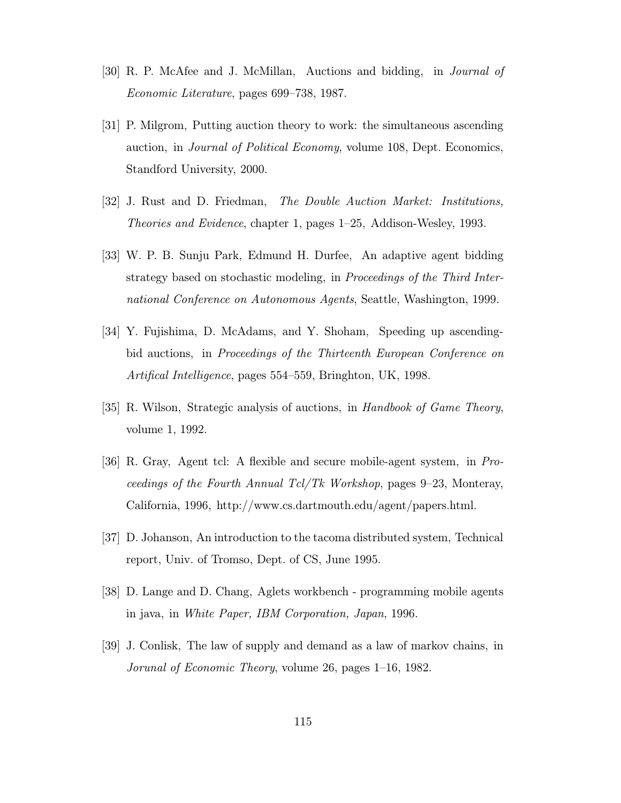- [30] R. P. McAfee and J. McMillan, Auctions and bidding, in Journal of Economic Literature, pages 699–738, 1987.
- [31] P. Milgrom, Putting auction theory to work: the simultaneous ascending auction, in Journal of Political Economy, volume 108, Dept. Economics, Standford University, 2000.
- [32] J. Rust and D. Friedman, The Double Auction Market: Institutions, Theories and Evidence, chapter 1, pages 1–25, Addison-Wesley, 1993.
- [33] W. P. B. Sunju Park, Edmund H. Durfee, An adaptive agent bidding strategy based on stochastic modeling, in Proceedings of the Third International Conference on Autonomous Agents, Seattle, Washington, 1999.
- [34] Y. Fujishima, D. McAdams, and Y. Shoham, Speeding up ascendingbid auctions, in Proceedings of the Thirteenth European Conference on Artifical Intelligence, pages 554–559, Bringhton, UK, 1998.
- [35] R. Wilson, Strategic analysis of auctions, in Handbook of Game Theory, volume 1, 1992.
- [36] R. Gray, Agent tcl: A flexible and secure mobile-agent system, in Proceedings of the Fourth Annual Tcl/Tk Workshop, pages 9–23, Monteray, California, 1996, http://www.cs.dartmouth.edu/agent/papers.html.
- [37] D. Johanson, An introduction to the tacoma distributed system, Technical report, Univ. of Tromso, Dept. of CS, June 1995.
- [38] D. Lange and D. Chang, Aglets workbench programming mobile agents in java, in White Paper, IBM Corporation, Japan, 1996.
- [39] J. Conlisk, The law of supply and demand as a law of markov chains, in Jorunal of Economic Theory, volume 26, pages 1–16, 1982.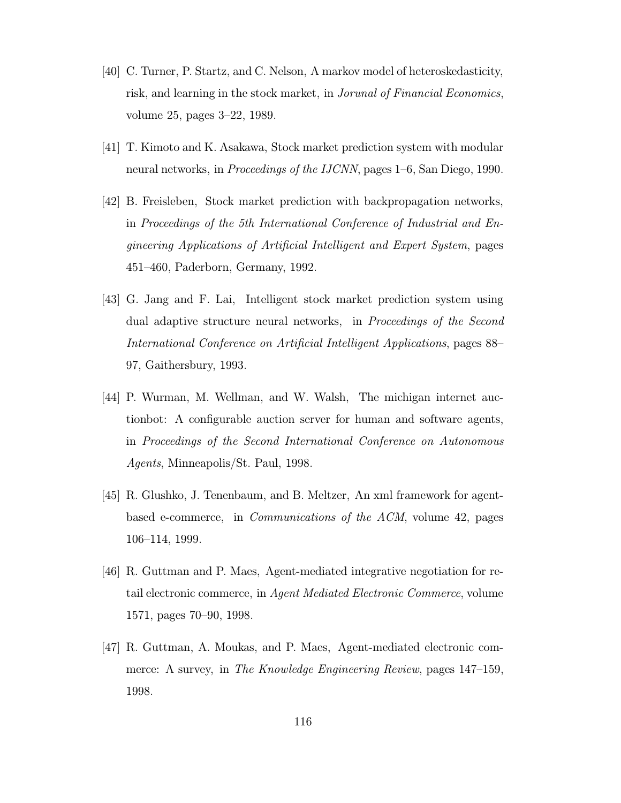- [40] C. Turner, P. Startz, and C. Nelson, A markov model of heteroskedasticity, risk, and learning in the stock market, in Jorunal of Financial Economics, volume 25, pages 3–22, 1989.
- [41] T. Kimoto and K. Asakawa, Stock market prediction system with modular neural networks, in Proceedings of the IJCNN, pages 1–6, San Diego, 1990.
- [42] B. Freisleben, Stock market prediction with backpropagation networks, in Proceedings of the 5th International Conference of Industrial and Engineering Applications of Artificial Intelligent and Expert System, pages 451–460, Paderborn, Germany, 1992.
- [43] G. Jang and F. Lai, Intelligent stock market prediction system using dual adaptive structure neural networks, in Proceedings of the Second International Conference on Artificial Intelligent Applications, pages 88– 97, Gaithersbury, 1993.
- [44] P. Wurman, M. Wellman, and W. Walsh, The michigan internet auctionbot: A configurable auction server for human and software agents, in Proceedings of the Second International Conference on Autonomous Agents, Minneapolis/St. Paul, 1998.
- [45] R. Glushko, J. Tenenbaum, and B. Meltzer, An xml framework for agentbased e-commerce, in Communications of the ACM, volume 42, pages 106–114, 1999.
- [46] R. Guttman and P. Maes, Agent-mediated integrative negotiation for retail electronic commerce, in Agent Mediated Electronic Commerce, volume 1571, pages 70–90, 1998.
- [47] R. Guttman, A. Moukas, and P. Maes, Agent-mediated electronic commerce: A survey, in The Knowledge Engineering Review, pages 147–159, 1998.